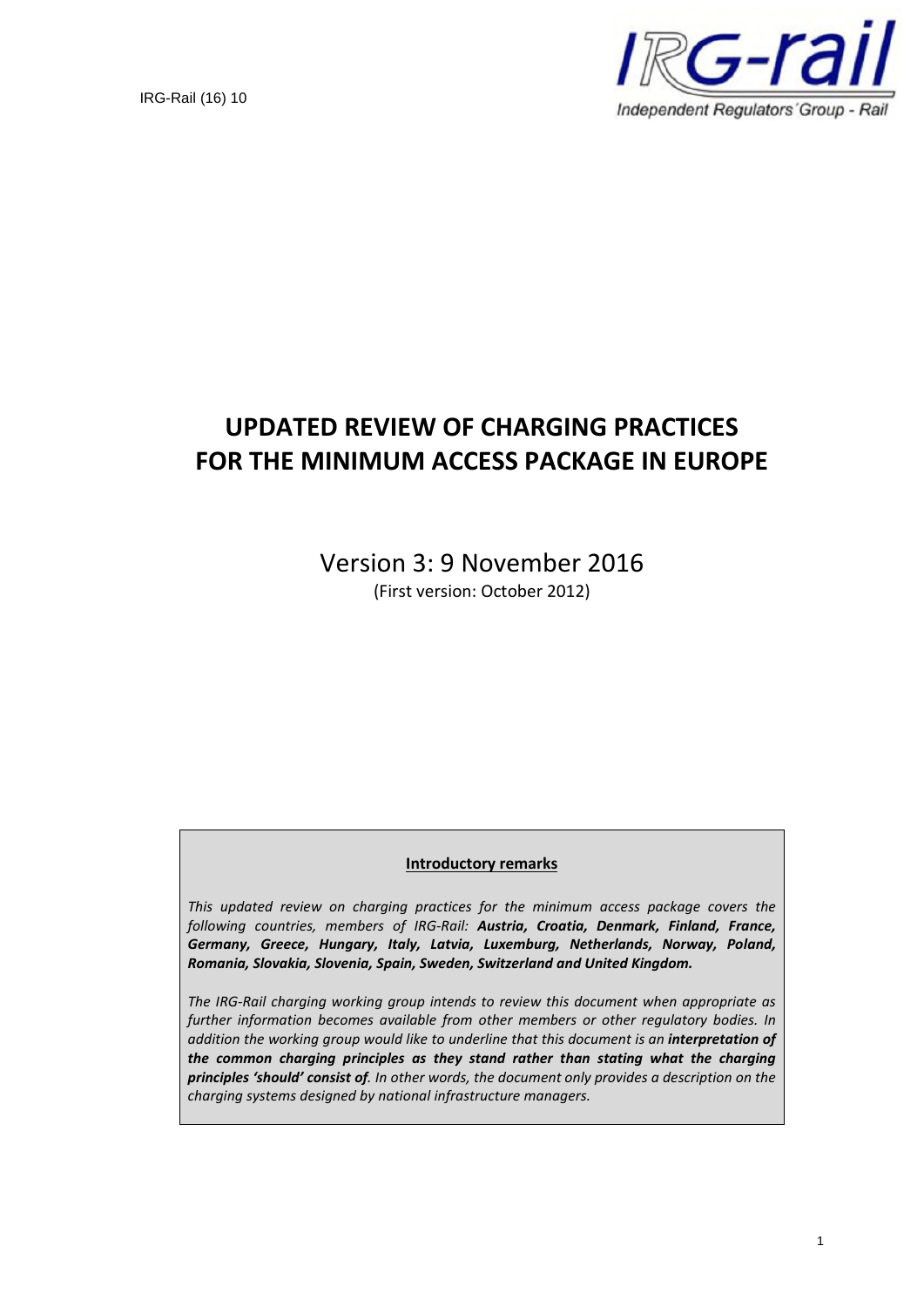

# **UPDATED REVIEW OF CHARGING PRACTICES FOR THE MINIMUM ACCESS PACKAGE IN EUROPE**

Version 3: 9 November 2016 (First version: October 2012)

#### **Introductory remarks**

*This updated review on charging practices for the minimum access package covers the following countries, members of IRG-Rail: Austria, Croatia, Denmark, Finland, France, Germany, Greece, Hungary, Italy, Latvia, Luxemburg, Netherlands, Norway, Poland, Romania, Slovakia, Slovenia, Spain, Sweden, Switzerland and United Kingdom.*

*The IRG-Rail charging working group intends to review this document when appropriate as further information becomes available from other members or other regulatory bodies. In addition the working group would like to underline that this document is an interpretation of the common charging principles as they stand rather than stating what the charging principles 'should' consist of. In other words, the document only provides a description on the charging systems designed by national infrastructure managers.*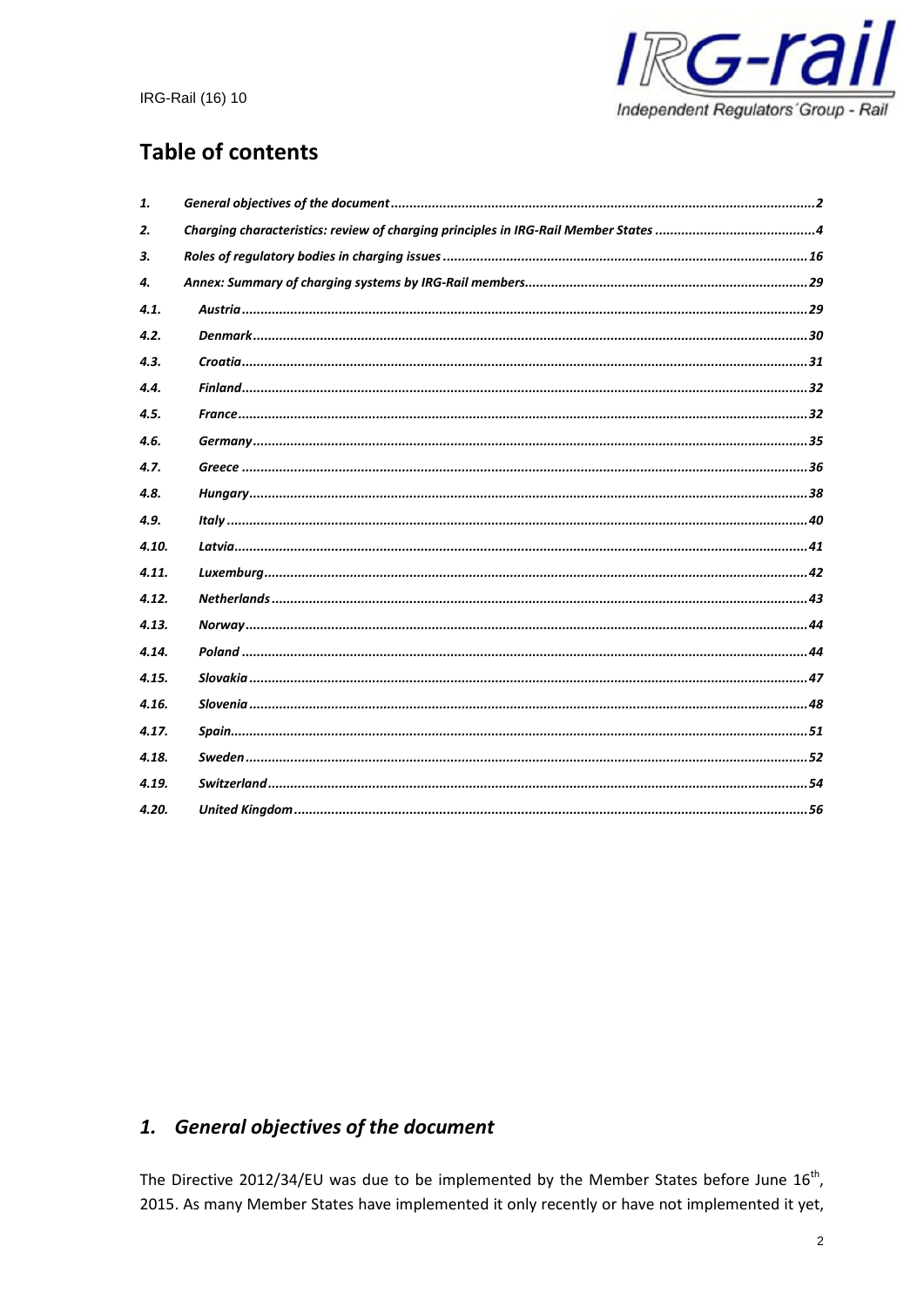

# **Table of contents**

| 1.    |  |
|-------|--|
| 2.    |  |
| 3.    |  |
| 4.    |  |
| 4.1.  |  |
| 4.2.  |  |
| 4.3.  |  |
| 4.4.  |  |
| 4.5.  |  |
| 4.6.  |  |
| 4.7.  |  |
| 4.8.  |  |
| 4.9.  |  |
| 4.10. |  |
| 4.11. |  |
| 4.12. |  |
| 4.13. |  |
| 4.14. |  |
| 4.15. |  |
| 4.16. |  |
| 4.17. |  |
| 4.18. |  |
| 4.19. |  |
| 4.20. |  |

# 1. General objectives of the document

The Directive 2012/34/EU was due to be implemented by the Member States before June  $16^{th}$ , 2015. As many Member States have implemented it only recently or have not implemented it yet,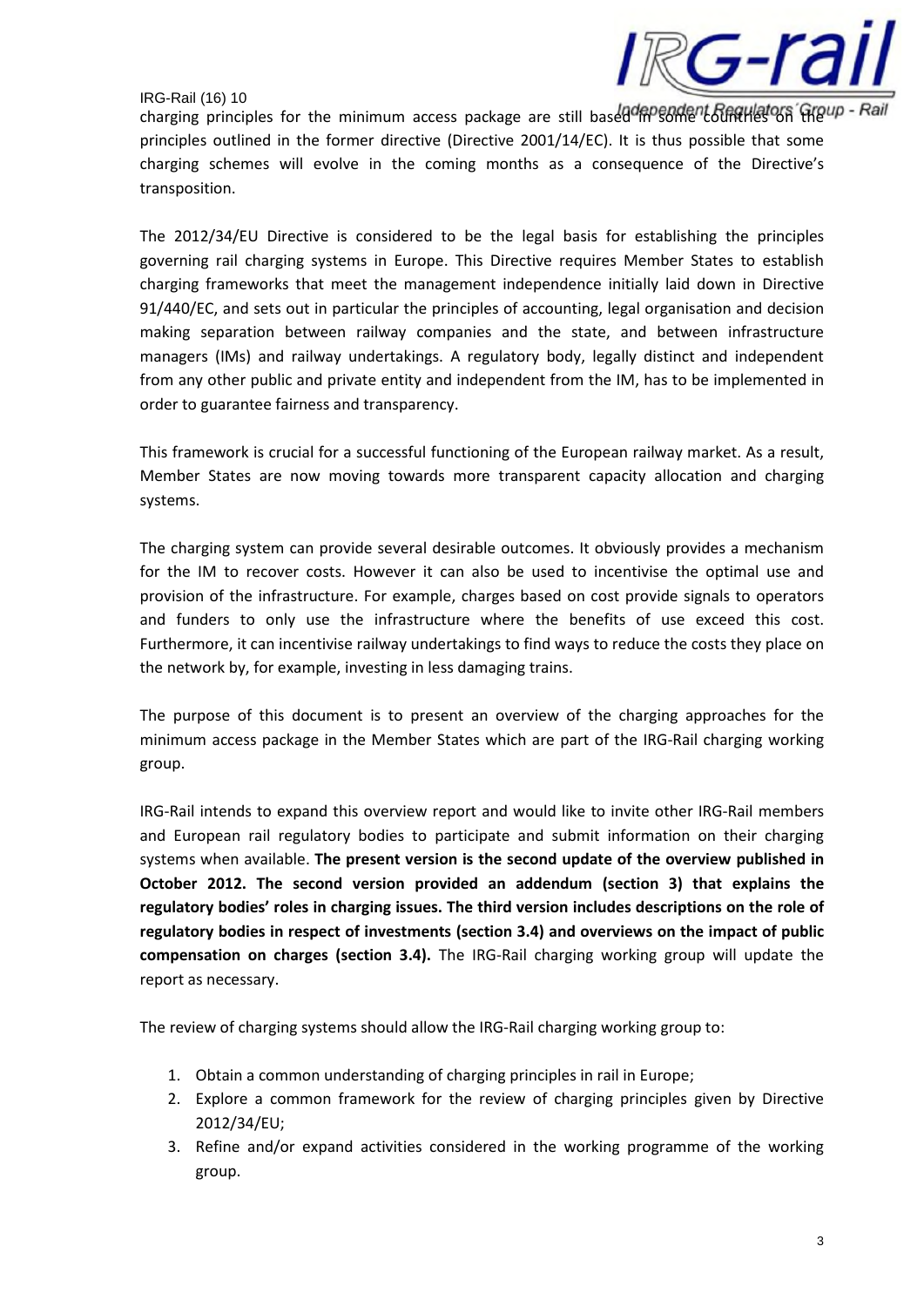

charging principles for the minimum access package are still based in some countries on the Pail principles outlined in the former directive (Directive 2001/14/EC). It is thus possible that some charging schemes will evolve in the coming months as a consequence of the Directive's transposition.

The 2012/34/EU Directive is considered to be the legal basis for establishing the principles governing rail charging systems in Europe. This Directive requires Member States to establish charging frameworks that meet the management independence initially laid down in Directive 91/440/EC, and sets out in particular the principles of accounting, legal organisation and decision making separation between railway companies and the state, and between infrastructure managers (IMs) and railway undertakings. A regulatory body, legally distinct and independent from any other public and private entity and independent from the IM, has to be implemented in order to guarantee fairness and transparency.

This framework is crucial for a successful functioning of the European railway market. As a result, Member States are now moving towards more transparent capacity allocation and charging systems.

The charging system can provide several desirable outcomes. It obviously provides a mechanism for the IM to recover costs. However it can also be used to incentivise the optimal use and provision of the infrastructure. For example, charges based on cost provide signals to operators and funders to only use the infrastructure where the benefits of use exceed this cost. Furthermore, it can incentivise railway undertakings to find ways to reduce the costs they place on the network by, for example, investing in less damaging trains.

The purpose of this document is to present an overview of the charging approaches for the minimum access package in the Member States which are part of the IRG-Rail charging working group.

IRG-Rail intends to expand this overview report and would like to invite other IRG-Rail members and European rail regulatory bodies to participate and submit information on their charging systems when available. **The present version is the second update of the overview published in October 2012. The second version provided an addendum (section 3) that explains the regulatory bodies' roles in charging issues. The third version includes descriptions on the role of regulatory bodies in respect of investments (section 3.4) and overviews on the impact of public compensation on charges (section 3.4).** The IRG-Rail charging working group will update the report as necessary.

The review of charging systems should allow the IRG-Rail charging working group to:

- 1. Obtain a common understanding of charging principles in rail in Europe;
- 2. Explore a common framework for the review of charging principles given by Directive 2012/34/EU;
- 3. Refine and/or expand activities considered in the working programme of the working group.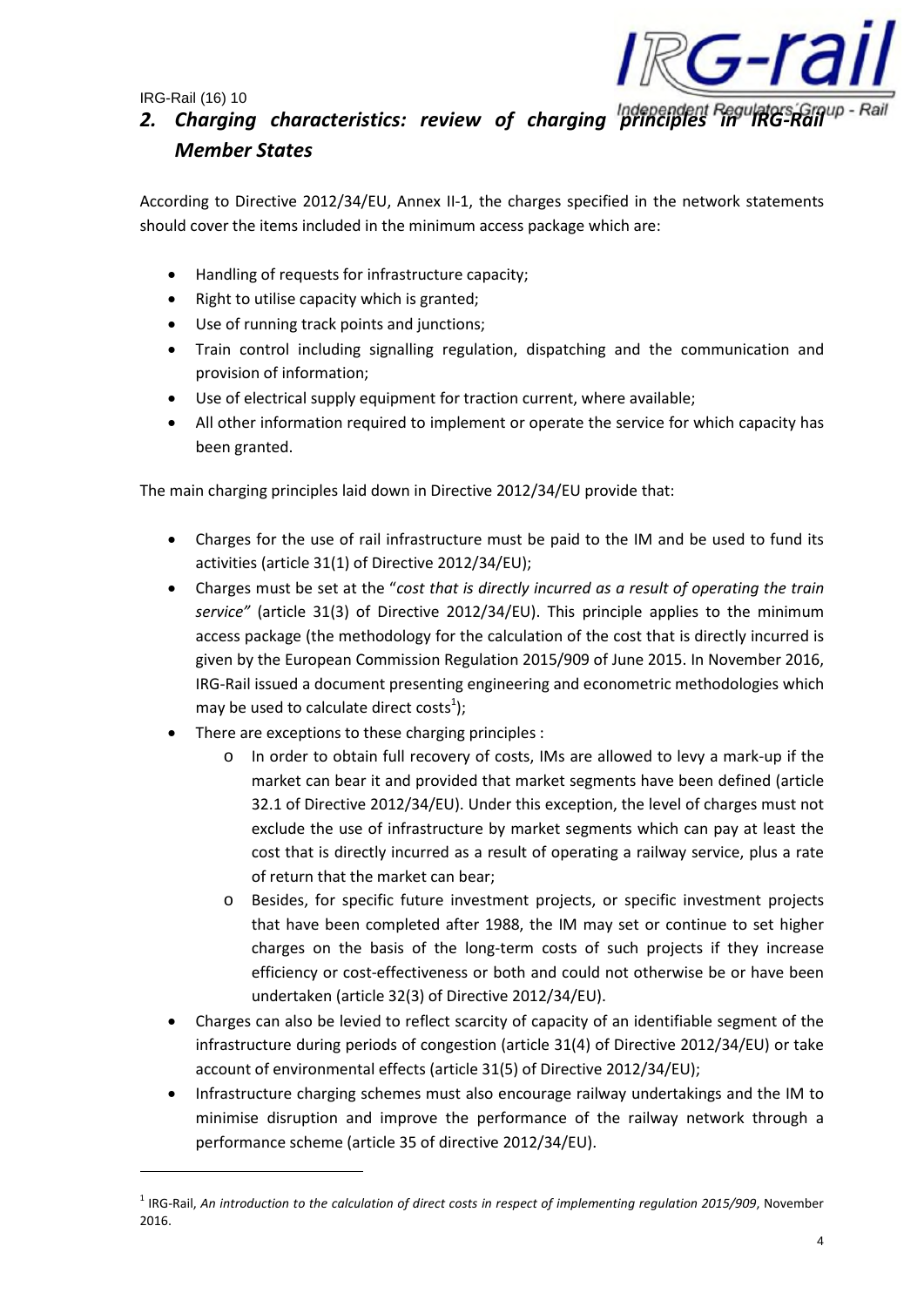

According to Directive 2012/34/EU, Annex II-1, the charges specified in the network statements should cover the items included in the minimum access package which are:

- Handling of requests for infrastructure capacity;
- Right to utilise capacity which is granted;
- Use of running track points and junctions;
- Train control including signalling regulation, dispatching and the communication and provision of information;
- Use of electrical supply equipment for traction current, where available;
- All other information required to implement or operate the service for which capacity has been granted.

The main charging principles laid down in Directive 2012/34/EU provide that:

- Charges for the use of rail infrastructure must be paid to the IM and be used to fund its activities (article 31(1) of Directive 2012/34/EU);
- Charges must be set at the "*cost that is directly incurred as a result of operating the train service"* (article 31(3) of Directive 2012/34/EU). This principle applies to the minimum access package (the methodology for the calculation of the cost that is directly incurred is given by the European Commission Regulation 2015/909 of June 2015. In November 2016, IRG-Rail issued a document presenting engineering and econometric methodologies which may be used to calculate direct costs<sup>1</sup>);
- There are exceptions to these charging principles :
	- o In order to obtain full recovery of costs, IMs are allowed to levy a mark-up if the market can bear it and provided that market segments have been defined (article 32.1 of Directive 2012/34/EU). Under this exception, the level of charges must not exclude the use of infrastructure by market segments which can pay at least the cost that is directly incurred as a result of operating a railway service, plus a rate of return that the market can bear;
	- o Besides, for specific future investment projects, or specific investment projects that have been completed after 1988, the IM may set or continue to set higher charges on the basis of the long-term costs of such projects if they increase efficiency or cost-effectiveness or both and could not otherwise be or have been undertaken (article 32(3) of Directive 2012/34/EU).
- Charges can also be levied to reflect scarcity of capacity of an identifiable segment of the infrastructure during periods of congestion (article 31(4) of Directive 2012/34/EU) or take account of environmental effects (article 31(5) of Directive 2012/34/EU);
- Infrastructure charging schemes must also encourage railway undertakings and the IM to minimise disruption and improve the performance of the railway network through a performance scheme (article 35 of directive 2012/34/EU).

<sup>&</sup>lt;sup>1</sup> IRG-Rail, An introduction to the calculation of direct costs in respect of implementing regulation 2015/909, November 2016.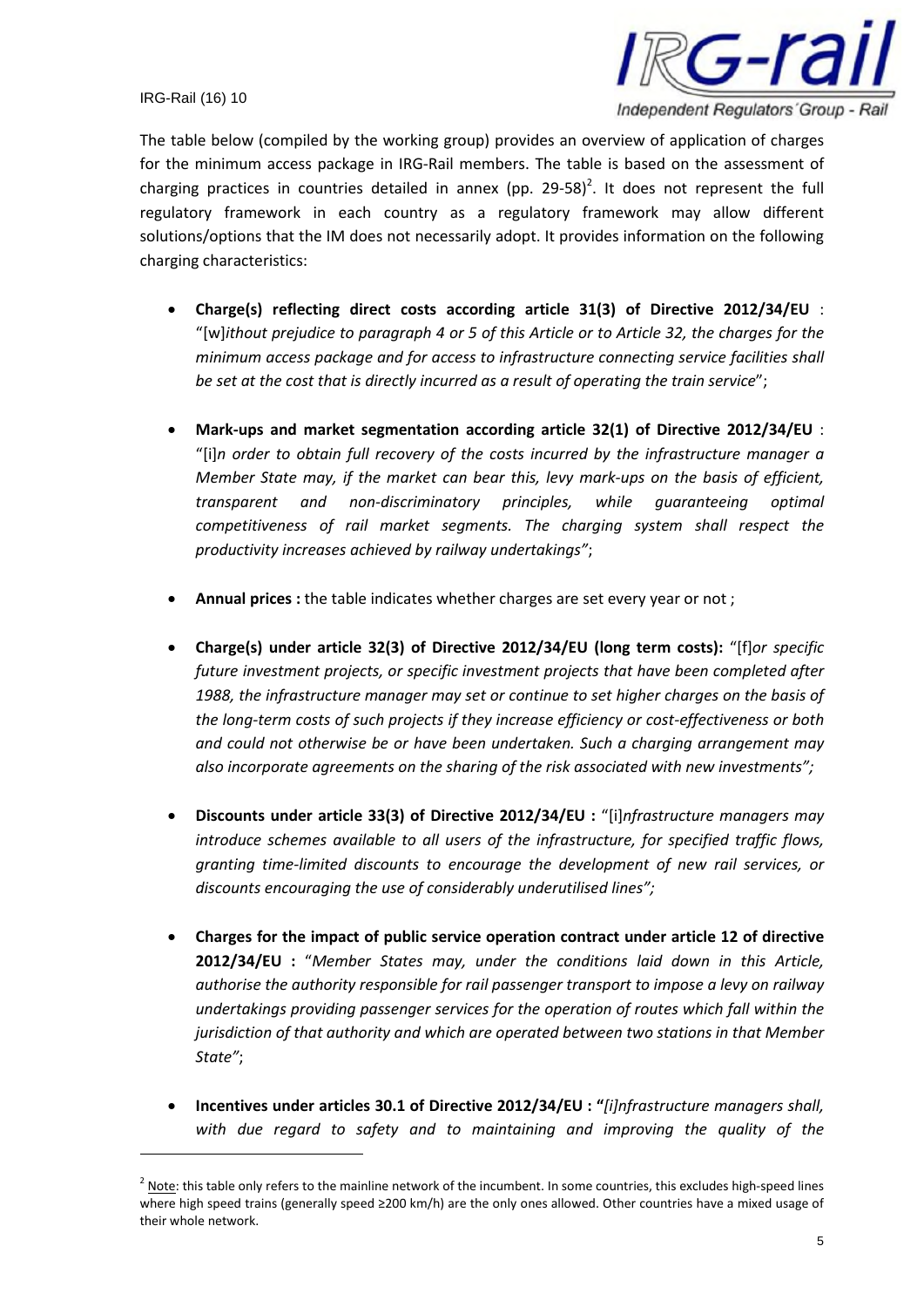

The table below (compiled by the working group) provides an overview of application of charges for the minimum access package in IRG-Rail members. The table is based on the assessment of charging practices in countries detailed in annex (pp. 29-58)<sup>2</sup>. It does not represent the full regulatory framework in each country as a regulatory framework may allow different solutions/options that the IM does not necessarily adopt. It provides information on the following charging characteristics:

- **Charge(s) reflecting direct costs according article 31(3) of Directive 2012/34/EU** : "[w]*ithout prejudice to paragraph 4 or 5 of this Article or to Article 32, the charges for the minimum access package and for access to infrastructure connecting service facilities shall be set at the cost that is directly incurred as a result of operating the train service*";
- **Mark-ups and market segmentation according article 32(1) of Directive 2012/34/EU** : "[i]*n order to obtain full recovery of the costs incurred by the infrastructure manager a Member State may, if the market can bear this, levy mark-ups on the basis of efficient, transparent and non-discriminatory principles, while guaranteeing optimal competitiveness of rail market segments. The charging system shall respect the productivity increases achieved by railway undertakings"*;
- **Annual prices :** the table indicates whether charges are set every year or not ;
- **Charge(s) under article 32(3) of Directive 2012/34/EU (long term costs):** "[f]*or specific future investment projects, or specific investment projects that have been completed after 1988, the infrastructure manager may set or continue to set higher charges on the basis of the long-term costs of such projects if they increase efficiency or cost-effectiveness or both and could not otherwise be or have been undertaken. Such a charging arrangement may also incorporate agreements on the sharing of the risk associated with new investments";*
- **Discounts under article 33(3) of Directive 2012/34/EU :** "[i]*nfrastructure managers may introduce schemes available to all users of the infrastructure, for specified traffic flows, granting time-limited discounts to encourage the development of new rail services, or discounts encouraging the use of considerably underutilised lines";*
- **Charges for the impact of public service operation contract under article 12 of directive 2012/34/EU :** "*Member States may, under the conditions laid down in this Article, authorise the authority responsible for rail passenger transport to impose a levy on railway undertakings providing passenger services for the operation of routes which fall within the jurisdiction of that authority and which are operated between two stations in that Member State"*;
- **Incentives under articles 30.1 of Directive 2012/34/EU : "***[i]nfrastructure managers shall, with due regard to safety and to maintaining and improving the quality of the*

 $^2$  Note: this table only refers to the mainline network of the incumbent. In some countries, this excludes high-speed lines where high speed trains (generally speed ≥200 km/h) are the only ones allowed. Other countries have a mixed usage of their whole network.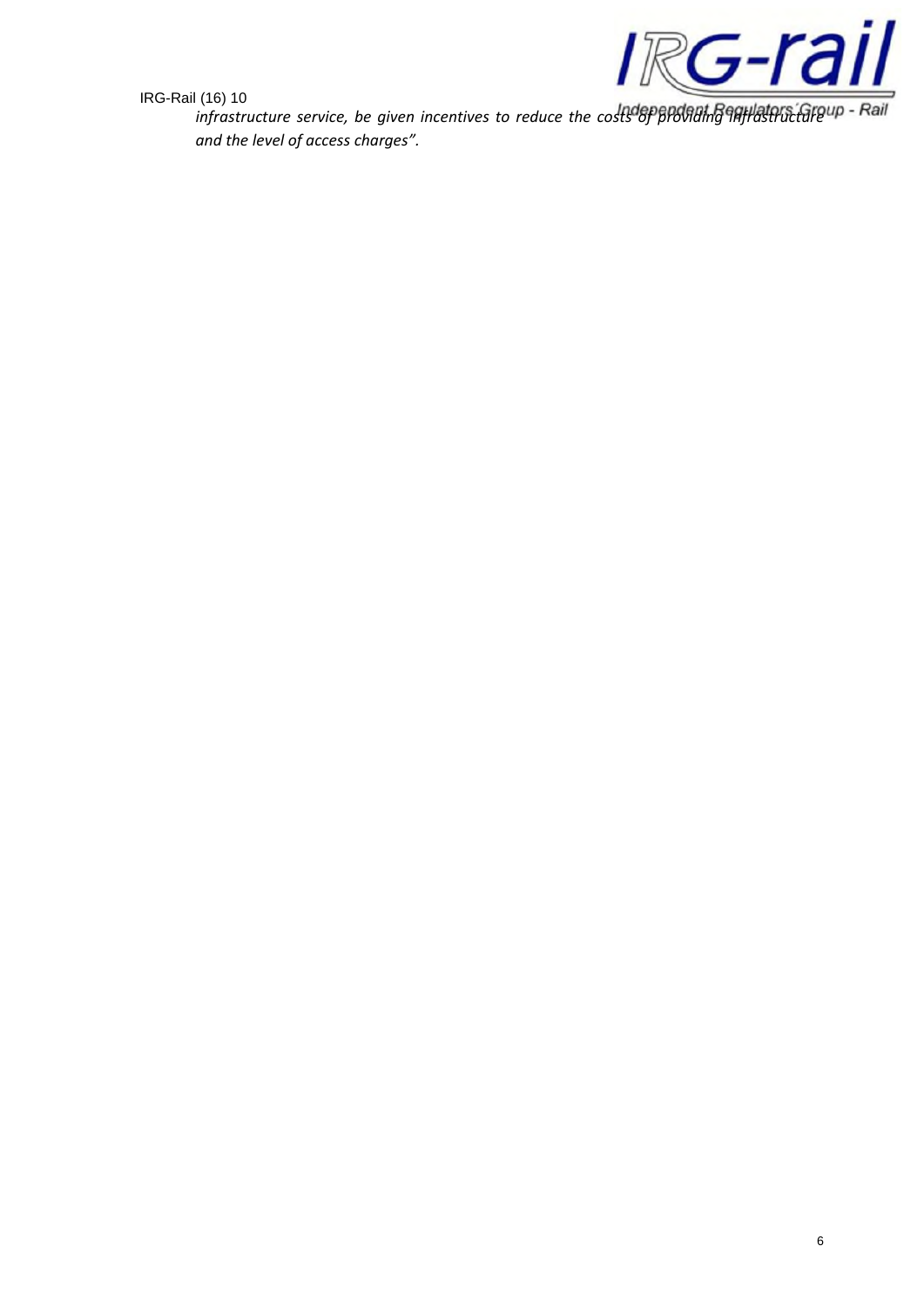

*infrastructure service, be given incentives to reduce the costs of providing infrastructure and the level of access charges".*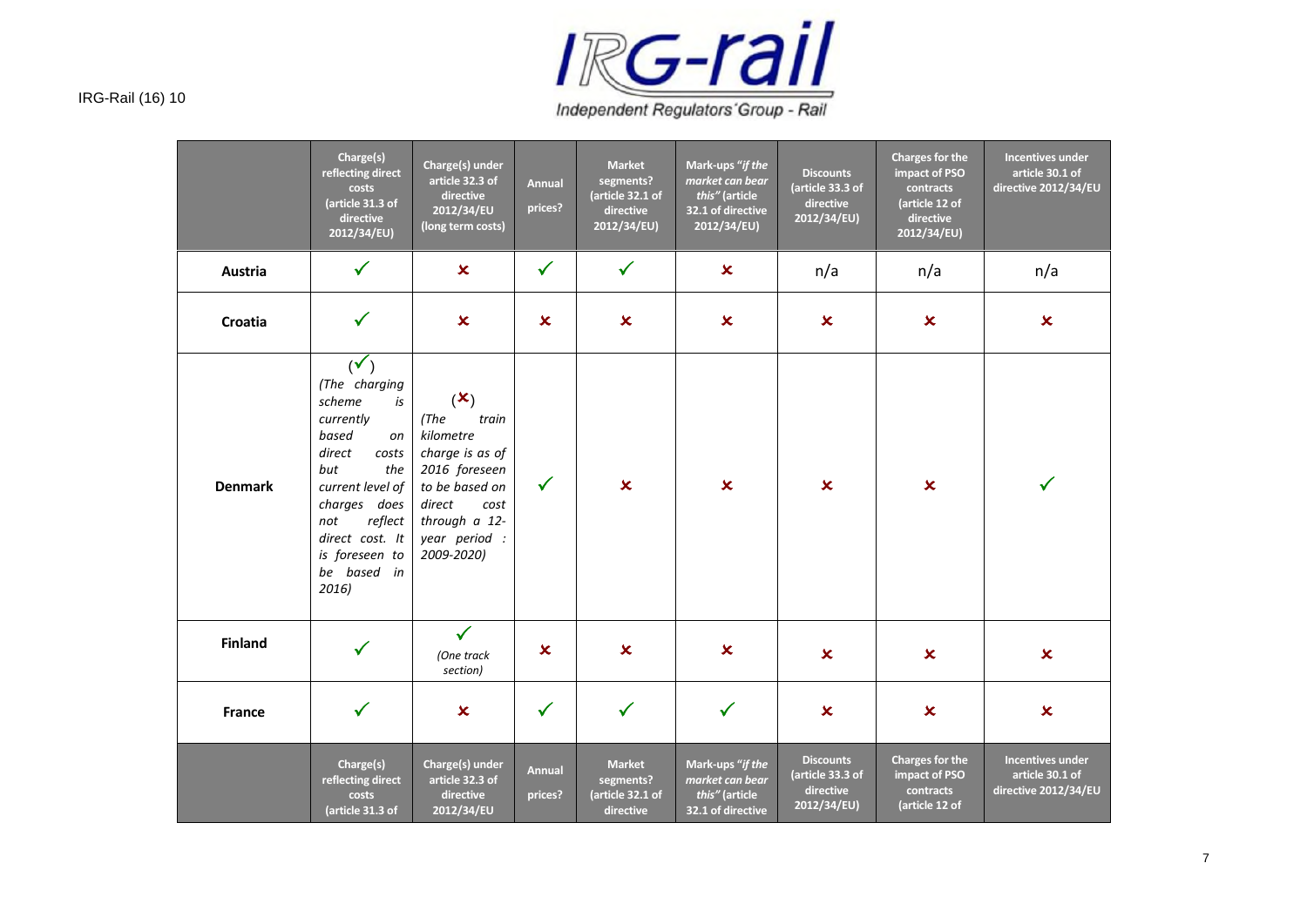

Independent Regulators' Group - Rail

|                | Charge(s)<br>reflecting direct<br>costs<br>(article 31.3 of<br>directive<br>2012/34/EU)                                                                                                                                         | Charge(s) under<br>article 32.3 of<br>directive<br>2012/34/EU<br>(long term costs)                                                                                    | <b>Annual</b><br>prices? | <b>Market</b><br>segments?<br>(article 32.1 of<br>directive<br>2012/34/EU) | Mark-ups "if the<br>market can bear<br>this" (article<br>32.1 of directive<br>2012/34/EU) | <b>Discounts</b><br>(article 33.3 of<br>directive<br>2012/34/EU) | <b>Charges for the</b><br>impact of PSO<br>contracts<br>(article 12 of<br>directive<br>2012/34/EU) | <b>Incentives under</b><br>article 30.1 of<br>directive 2012/34/EU |
|----------------|---------------------------------------------------------------------------------------------------------------------------------------------------------------------------------------------------------------------------------|-----------------------------------------------------------------------------------------------------------------------------------------------------------------------|--------------------------|----------------------------------------------------------------------------|-------------------------------------------------------------------------------------------|------------------------------------------------------------------|----------------------------------------------------------------------------------------------------|--------------------------------------------------------------------|
| Austria        | $\checkmark$                                                                                                                                                                                                                    | $\boldsymbol{\mathsf{x}}$                                                                                                                                             | $\checkmark$             | $\checkmark$                                                               | $\boldsymbol{\mathsf{x}}$                                                                 | n/a                                                              | n/a                                                                                                | n/a                                                                |
| Croatia        | $\checkmark$                                                                                                                                                                                                                    | $\mathbf x$                                                                                                                                                           | $\mathbf x$              | $\boldsymbol{\mathsf{x}}$                                                  | $\boldsymbol{\mathsf{x}}$                                                                 | $\boldsymbol{\mathsf{x}}$                                        | $\boldsymbol{\mathsf{x}}$                                                                          | $\mathbf x$                                                        |
| <b>Denmark</b> | $(\checkmark)$<br>(The charging<br>scheme<br>is<br>currently<br>based<br>on<br>direct<br>costs<br>the<br>but<br>current level of<br>charges does<br>reflect<br>not<br>direct cost. It<br>is foreseen to<br>be based in<br>2016) | $(\mathbf{x})$<br>(The)<br>train<br>kilometre<br>charge is as of<br>2016 foreseen<br>to be based on<br>direct<br>cost<br>through a 12-<br>year period :<br>2009-2020) | $\checkmark$             | $\boldsymbol{\mathsf{x}}$                                                  | $\boldsymbol{\mathsf{x}}$                                                                 | $\boldsymbol{\mathsf{x}}$                                        | $\boldsymbol{\mathsf{x}}$                                                                          | $\checkmark$                                                       |
| <b>Finland</b> | $\checkmark$                                                                                                                                                                                                                    | $\checkmark$<br>(One track<br>section)                                                                                                                                | $\mathbf x$              | $\mathbf x$                                                                | $\mathbf x$                                                                               | $\boldsymbol{\mathsf{x}}$                                        | $\boldsymbol{\mathsf{x}}$                                                                          | $\pmb{\times}$                                                     |
| France         | $\checkmark$                                                                                                                                                                                                                    | $\boldsymbol{\mathsf{x}}$                                                                                                                                             | $\checkmark$             | $\checkmark$                                                               | $\checkmark$                                                                              | $\boldsymbol{\mathsf{x}}$                                        | $\pmb{\times}$                                                                                     | $\pmb{\times}$                                                     |
|                | Charge(s)<br>reflecting direct<br>costs<br>(article 31.3 of                                                                                                                                                                     | Charge(s) under<br>article 32.3 of<br>directive<br>2012/34/EU                                                                                                         | <b>Annual</b><br>prices? | <b>Market</b><br>segments?<br>(article 32.1 of<br>directive                | Mark-ups "if the<br>market can bear<br>this" (article<br>32.1 of directive                | <b>Discounts</b><br>(article 33.3 of<br>directive<br>2012/34/EU) | <b>Charges for the</b><br>impact of PSO<br>contracts<br>(article 12 of                             | <b>Incentives under</b><br>article 30.1 of<br>directive 2012/34/EU |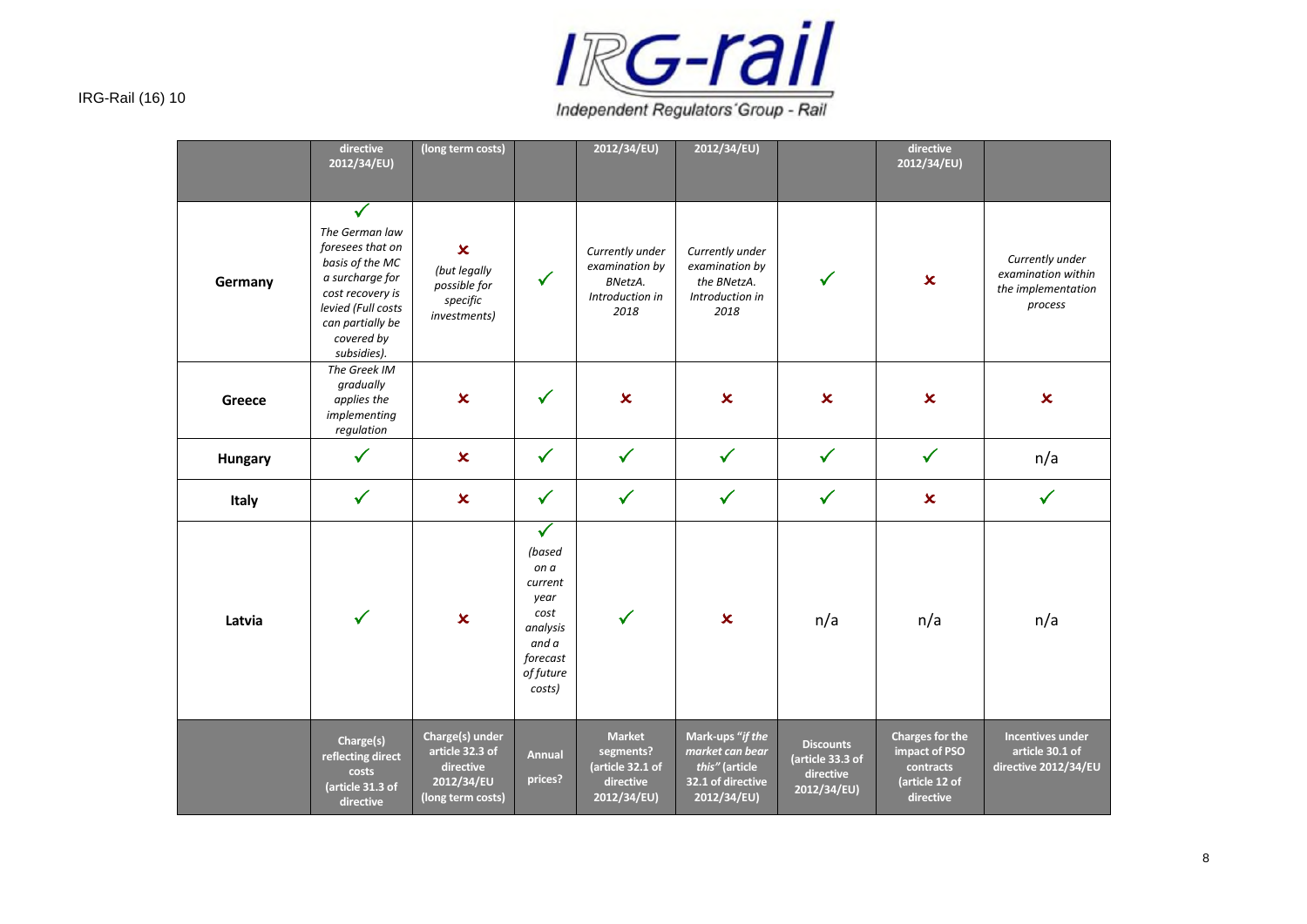

Independent Regulators' Group - Rail

|                | directive<br>2012/34/EU)                                                                                                                                                            | (long term costs)                                                                  |                                                                                                                   | 2012/34/EU)                                                                | 2012/34/EU)                                                                               |                                                                  | directive<br>2012/34/EU)                                                            |                                                                        |
|----------------|-------------------------------------------------------------------------------------------------------------------------------------------------------------------------------------|------------------------------------------------------------------------------------|-------------------------------------------------------------------------------------------------------------------|----------------------------------------------------------------------------|-------------------------------------------------------------------------------------------|------------------------------------------------------------------|-------------------------------------------------------------------------------------|------------------------------------------------------------------------|
| Germany        | $\checkmark$<br>The German law<br>foresees that on<br>basis of the MC<br>a surcharge for<br>cost recovery is<br>levied (Full costs<br>can partially be<br>covered by<br>subsidies). | $\pmb{\times}$<br>(but legally<br>possible for<br>specific<br>investments)         | $\checkmark$                                                                                                      | Currently under<br>examination by<br>BNetzA.<br>Introduction in<br>2018    | Currently under<br>examination by<br>the BNetzA.<br>Introduction in<br>2018               | $\checkmark$                                                     | $\boldsymbol{\mathsf{x}}$                                                           | Currently under<br>examination within<br>the implementation<br>process |
| Greece         | The Greek IM<br>gradually<br>applies the<br>implementing<br>regulation                                                                                                              | $\pmb{\times}$                                                                     | $\checkmark$                                                                                                      | $\boldsymbol{\mathsf{x}}$                                                  | $\boldsymbol{\mathsf{x}}$                                                                 | $\boldsymbol{\mathsf{x}}$                                        | $\overline{\mathbf{x}}$                                                             | $\boldsymbol{\mathsf{x}}$                                              |
| <b>Hungary</b> | $\checkmark$                                                                                                                                                                        | $\pmb{\times}$                                                                     | $\checkmark$                                                                                                      | $\checkmark$                                                               | $\checkmark$                                                                              | $\checkmark$                                                     | $\checkmark$                                                                        | n/a                                                                    |
| Italy          | $\checkmark$                                                                                                                                                                        | $\pmb{\times}$                                                                     | $\checkmark$                                                                                                      | $\checkmark$                                                               | $\checkmark$                                                                              | $\checkmark$                                                     | $\pmb{\times}$                                                                      | $\checkmark$                                                           |
| Latvia         | $\checkmark$                                                                                                                                                                        | $\overline{\mathbf{x}}$                                                            | $\checkmark$<br>(based<br>on a<br>current<br>year<br>cost<br>analysis<br>and a<br>forecast<br>of future<br>costs) | $\checkmark$                                                               | $\boldsymbol{\mathsf{x}}$                                                                 | n/a                                                              | n/a                                                                                 | n/a                                                                    |
|                | Charge(s)<br>reflecting direct<br>costs<br>(article 31.3 of<br>directive                                                                                                            | Charge(s) under<br>article 32.3 of<br>directive<br>2012/34/EU<br>(long term costs) | <b>Annual</b><br>prices?                                                                                          | <b>Market</b><br>segments?<br>(article 32.1 of<br>directive<br>2012/34/EU) | Mark-ups "if the<br>market can bear<br>this" (article<br>32.1 of directive<br>2012/34/EU) | <b>Discounts</b><br>(article 33.3 of<br>directive<br>2012/34/EU) | <b>Charges for the</b><br>impact of PSO<br>contracts<br>(article 12 of<br>directive | Incentives under<br>article 30.1 of<br>directive 2012/34/EU            |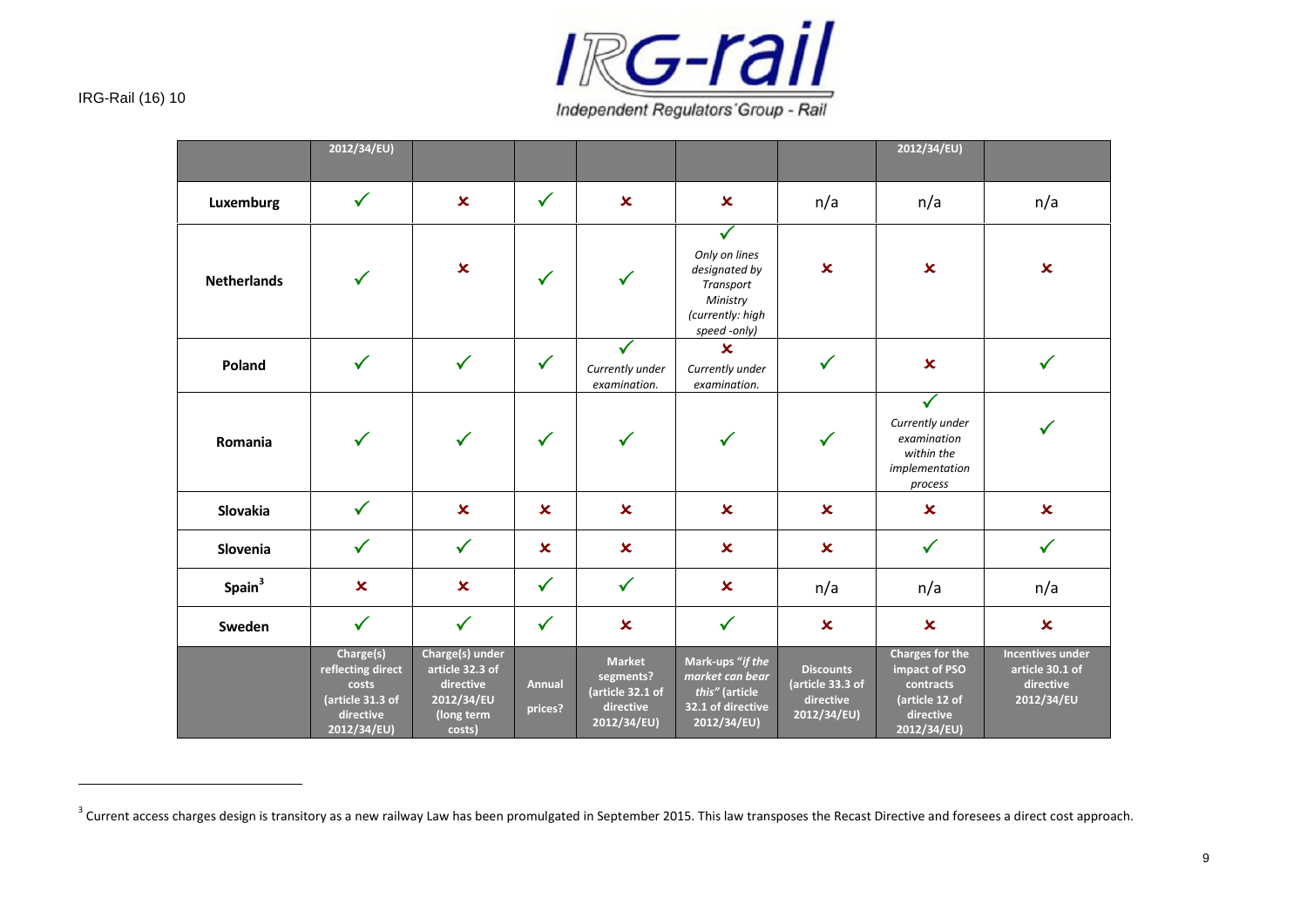

|                    | 2012/34/EU)                                                                             |                                                                                       |                           |                                                                            |                                                                                                             |                                                                  | 2012/34/EU)                                                                                 |                                                                       |
|--------------------|-----------------------------------------------------------------------------------------|---------------------------------------------------------------------------------------|---------------------------|----------------------------------------------------------------------------|-------------------------------------------------------------------------------------------------------------|------------------------------------------------------------------|---------------------------------------------------------------------------------------------|-----------------------------------------------------------------------|
| Luxemburg          | $\checkmark$                                                                            | $\overline{\mathbf{x}}$                                                               | $\checkmark$              | $\overline{\mathbf{x}}$                                                    | $\boldsymbol{\mathsf{x}}$                                                                                   | n/a                                                              | n/a                                                                                         | n/a                                                                   |
| <b>Netherlands</b> | $\checkmark$                                                                            | $\boldsymbol{\mathsf{x}}$                                                             | ✓                         | $\checkmark$                                                               | $\checkmark$<br>Only on lines<br>designated by<br>Transport<br>Ministry<br>(currently: high<br>speed -only) | $\pmb{\times}$                                                   | $\pmb{\times}$                                                                              | $\pmb{\times}$                                                        |
| Poland             | $\checkmark$                                                                            | $\checkmark$                                                                          | $\checkmark$              | Currently under<br>examination.                                            | $\boldsymbol{\mathsf{x}}$<br>Currently under<br>examination.                                                | $\checkmark$                                                     | $\boldsymbol{\mathsf{x}}$                                                                   |                                                                       |
| Romania            | $\checkmark$                                                                            | $\checkmark$                                                                          | $\checkmark$              | $\checkmark$                                                               | $\checkmark$                                                                                                | $\checkmark$                                                     | $\checkmark$<br>Currently under<br>examination<br>within the<br>implementation<br>process   |                                                                       |
| Slovakia           | $\checkmark$                                                                            | $\boldsymbol{\mathsf{x}}$                                                             | $\mathbf x$               | $\boldsymbol{\mathsf{x}}$                                                  | $\infty$                                                                                                    | $\boldsymbol{\mathsf{x}}$                                        | $\boldsymbol{\mathsf{x}}$                                                                   | $\boldsymbol{\mathsf{x}}$                                             |
| Slovenia           | $\checkmark$                                                                            | $\checkmark$                                                                          | $\boldsymbol{\mathsf{x}}$ | $\boldsymbol{\mathsf{x}}$                                                  | $\boldsymbol{\mathsf{x}}$                                                                                   | $\boldsymbol{\mathsf{x}}$                                        | $\checkmark$                                                                                | $\checkmark$                                                          |
| Spain <sup>3</sup> | $\boldsymbol{\mathsf{x}}$                                                               | $\mathbf x$                                                                           | $\checkmark$              | $\checkmark$                                                               | $\boldsymbol{\mathsf{x}}$                                                                                   | n/a                                                              | n/a                                                                                         | n/a                                                                   |
| Sweden             | $\checkmark$                                                                            | $\checkmark$                                                                          | $\checkmark$              | $\boldsymbol{\mathsf{x}}$                                                  | $\checkmark$                                                                                                | $\boldsymbol{\mathsf{x}}$                                        | $\boldsymbol{\mathsf{x}}$                                                                   | $\boldsymbol{\mathsf{x}}$                                             |
|                    | Charge(s)<br>reflecting direct<br>costs<br>(article 31.3 of<br>directive<br>2012/34/EU) | Charge(s) under<br>article 32.3 of<br>directive<br>2012/34/EU<br>(long term<br>costs) | <b>Annual</b><br>prices?  | <b>Market</b><br>segments?<br>(article 32.1 of<br>directive<br>2012/34/EU) | Mark-ups "if the<br>market can bear<br>this" (article<br>32.1 of directive<br>2012/34/EU)                   | <b>Discounts</b><br>(article 33.3 of<br>directive<br>2012/34/EU) | Charges for the<br>impact of PSO<br>contracts<br>(article 12 of<br>directive<br>2012/34/EU) | <b>Incentives under</b><br>article 30.1 of<br>directive<br>2012/34/EU |

 $^3$  Current access charges design is transitory as a new railway Law has been promulgated in September 2015. This law transposes the Recast Directive and foresees a direct cost approach.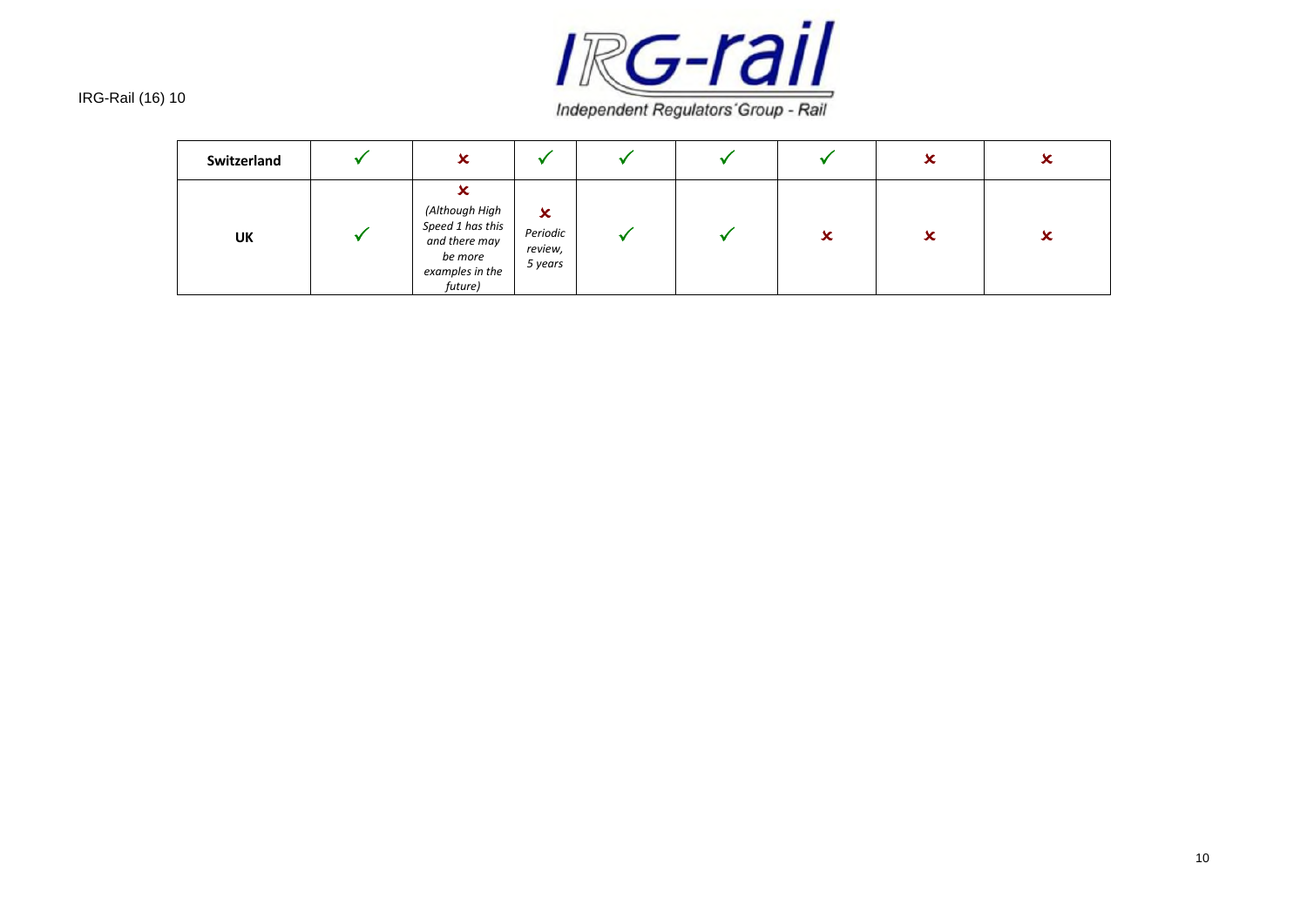

| Switzerland | $\overline{\phantom{a}}$<br>∼                                                                          |                                                             |  |   | x | 灬 |
|-------------|--------------------------------------------------------------------------------------------------------|-------------------------------------------------------------|--|---|---|---|
| UK          | v<br>∽<br>(Although High<br>Speed 1 has this<br>and there may<br>be more<br>examples in the<br>future) | $\boldsymbol{\mathsf{x}}$<br>Periodic<br>review,<br>5 years |  | x | x | ∽ |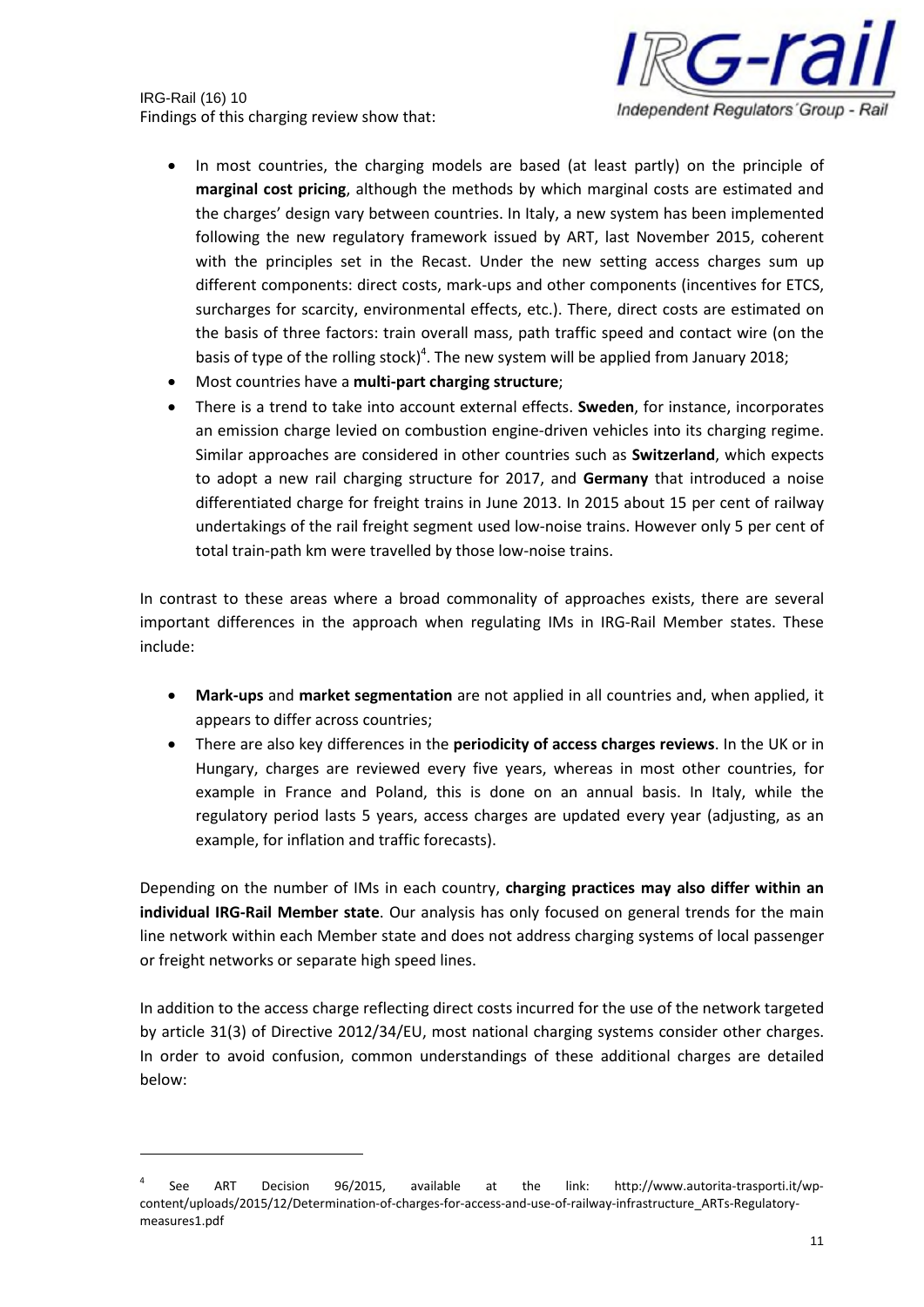IRG-Rail (16) 10 Findings of this charging review show that:



- In most countries, the charging models are based (at least partly) on the principle of **marginal cost pricing**, although the methods by which marginal costs are estimated and the charges' design vary between countries. In Italy, a new system has been implemented following the new regulatory framework issued by ART, last November 2015, coherent with the principles set in the Recast. Under the new setting access charges sum up different components: direct costs, mark-ups and other components (incentives for ETCS, surcharges for scarcity, environmental effects, etc.). There, direct costs are estimated on the basis of three factors: train overall mass, path traffic speed and contact wire (on the basis of type of the rolling stock)<sup>4</sup>. The new system will be applied from January 2018;
- Most countries have a **multi-part charging structure**;
- There is a trend to take into account external effects. **Sweden**, for instance, incorporates an emission charge levied on combustion engine-driven vehicles into its charging regime. Similar approaches are considered in other countries such as **Switzerland**, which expects to adopt a new rail charging structure for 2017, and **Germany** that introduced a noise differentiated charge for freight trains in June 2013. In 2015 about 15 per cent of railway undertakings of the rail freight segment used low-noise trains. However only 5 per cent of total train-path km were travelled by those low-noise trains.

In contrast to these areas where a broad commonality of approaches exists, there are several important differences in the approach when regulating IMs in IRG-Rail Member states. These include:

- **Mark-ups** and **market segmentation** are not applied in all countries and, when applied, it appears to differ across countries;
- There are also key differences in the **periodicity of access charges reviews**. In the UK or in Hungary, charges are reviewed every five years, whereas in most other countries, for example in France and Poland, this is done on an annual basis. In Italy, while the regulatory period lasts 5 years, access charges are updated every year (adjusting, as an example, for inflation and traffic forecasts).

Depending on the number of IMs in each country, **charging practices may also differ within an individual IRG-Rail Member state**. Our analysis has only focused on general trends for the main line network within each Member state and does not address charging systems of local passenger or freight networks or separate high speed lines.

In addition to the access charge reflecting direct costs incurred for the use of the network targeted by article 31(3) of Directive 2012/34/EU, most national charging systems consider other charges. In order to avoid confusion, common understandings of these additional charges are detailed below:

<sup>4</sup> See ART Decision 96/2015, available at the link: http://www.autorita-trasporti.it/wpcontent/uploads/2015/12/Determination-of-charges-for-access-and-use-of-railway-infrastructure\_ARTs-Regulatorymeasures1.pdf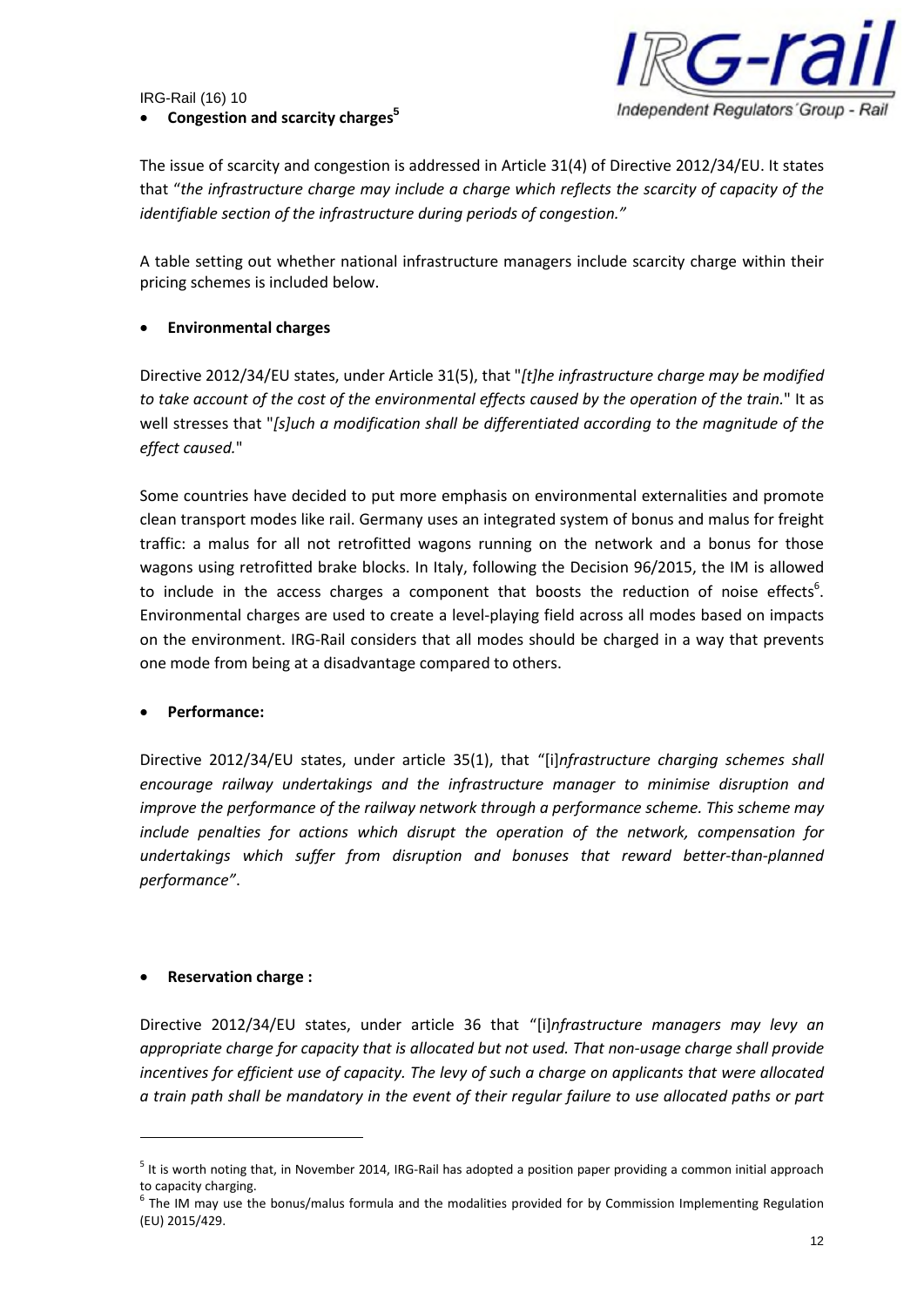## • **Congestion and scarcity charges<sup>5</sup>**



The issue of scarcity and congestion is addressed in Article 31(4) of Directive 2012/34/EU. It states that "*the infrastructure charge may include a charge which reflects the scarcity of capacity of the identifiable section of the infrastructure during periods of congestion."*

A table setting out whether national infrastructure managers include scarcity charge within their pricing schemes is included below.

## • **Environmental charges**

Directive 2012/34/EU states, under Article 31(5), that "*[t]he infrastructure charge may be modified to take account of the cost of the environmental effects caused by the operation of the train.*" It as well stresses that "*[s]uch a modification shall be differentiated according to the magnitude of the effect caused.*"

Some countries have decided to put more emphasis on environmental externalities and promote clean transport modes like rail. Germany uses an integrated system of bonus and malus for freight traffic: a malus for all not retrofitted wagons running on the network and a bonus for those wagons using retrofitted brake blocks. In Italy, following the Decision 96/2015, the IM is allowed to include in the access charges a component that boosts the reduction of noise effects<sup>6</sup>. Environmental charges are used to create a level-playing field across all modes based on impacts on the environment. IRG-Rail considers that all modes should be charged in a way that prevents one mode from being at a disadvantage compared to others.

#### • **Performance:**

Directive 2012/34/EU states, under article 35(1), that "[i]*nfrastructure charging schemes shall encourage railway undertakings and the infrastructure manager to minimise disruption and improve the performance of the railway network through a performance scheme. This scheme may include penalties for actions which disrupt the operation of the network, compensation for undertakings which suffer from disruption and bonuses that reward better-than-planned performance"*.

#### • **Reservation charge :**

Directive 2012/34/EU states, under article 36 that "[i]*nfrastructure managers may levy an appropriate charge for capacity that is allocated but not used. That non-usage charge shall provide incentives for efficient use of capacity. The levy of such a charge on applicants that were allocated a train path shall be mandatory in the event of their regular failure to use allocated paths or part*

<sup>&</sup>lt;sup>5</sup> It is worth noting that, in November 2014, IRG-Rail has adopted a position paper providing a common initial approach to capacity charging.

<sup>&</sup>lt;sup>6</sup> The IM may use the bonus/malus formula and the modalities provided for by Commission Implementing Regulation (EU) 2015/429.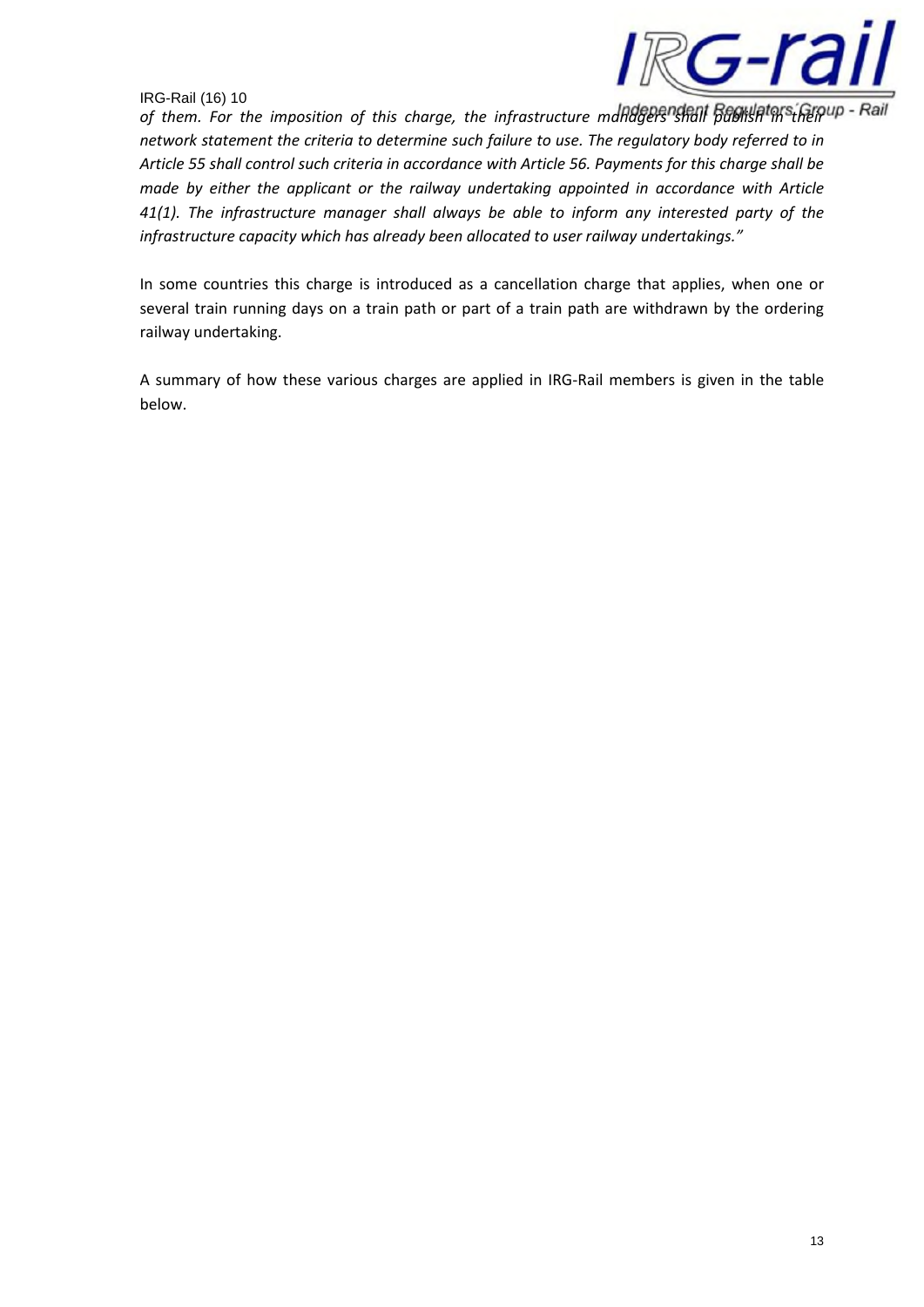

of them. For the imposition of this charge, the infrastructure managers shall publish ms from - Rail *network statement the criteria to determine such failure to use. The regulatory body referred to in Article 55 shall control such criteria in accordance with Article 56. Payments for this charge shall be made by either the applicant or the railway undertaking appointed in accordance with Article 41(1). The infrastructure manager shall always be able to inform any interested party of the infrastructure capacity which has already been allocated to user railway undertakings."*

In some countries this charge is introduced as a cancellation charge that applies, when one or several train running days on a train path or part of a train path are withdrawn by the ordering railway undertaking.

A summary of how these various charges are applied in IRG-Rail members is given in the table below.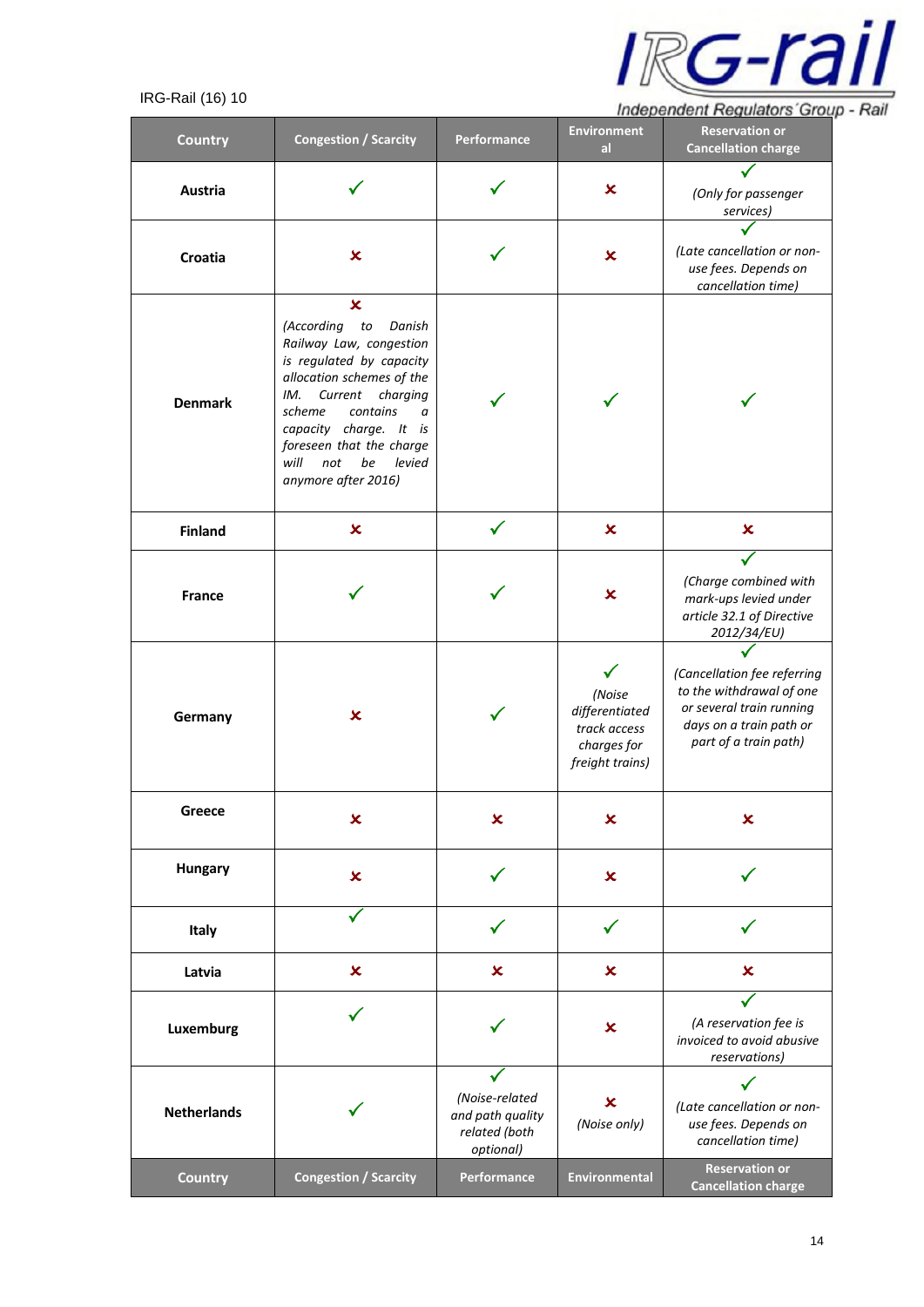

| <b>Country</b>     | <b>Congestion / Scarcity</b>                                                                                                                                                                                                                                                                       | Performance                                                      | <b>Environment</b><br>al.                                                  | <b>Reservation or</b><br><b>Cancellation charge</b>                                                                                     |
|--------------------|----------------------------------------------------------------------------------------------------------------------------------------------------------------------------------------------------------------------------------------------------------------------------------------------------|------------------------------------------------------------------|----------------------------------------------------------------------------|-----------------------------------------------------------------------------------------------------------------------------------------|
| Austria            |                                                                                                                                                                                                                                                                                                    |                                                                  | ×                                                                          | (Only for passenger<br>services)                                                                                                        |
| Croatia            | $\pmb{\times}$                                                                                                                                                                                                                                                                                     |                                                                  | $\boldsymbol{\mathsf{x}}$                                                  | (Late cancellation or non-<br>use fees. Depends on<br>cancellation time)                                                                |
| <b>Denmark</b>     | $\pmb{\times}$<br>(According to<br>Danish<br>Railway Law, congestion<br>is regulated by capacity<br>allocation schemes of the<br>Current<br>charging<br>IM.<br>contains<br>scheme<br>a<br>capacity charge. It is<br>foreseen that the charge<br>will<br>not<br>be<br>levied<br>anymore after 2016) |                                                                  |                                                                            |                                                                                                                                         |
| <b>Finland</b>     | ×                                                                                                                                                                                                                                                                                                  |                                                                  | $\boldsymbol{\mathsf{x}}$                                                  | $\boldsymbol{\mathsf{x}}$                                                                                                               |
| <b>France</b>      |                                                                                                                                                                                                                                                                                                    |                                                                  | ×                                                                          | (Charge combined with<br>mark-ups levied under<br>article 32.1 of Directive<br>2012/34/EU)                                              |
| Germany            | $\boldsymbol{\mathsf{x}}$                                                                                                                                                                                                                                                                          |                                                                  | (Noise<br>differentiated<br>track access<br>charges for<br>freight trains) | (Cancellation fee referring<br>to the withdrawal of one<br>or several train running<br>days on a train path or<br>part of a train path) |
| Greece             | $\pmb{\times}$                                                                                                                                                                                                                                                                                     | $\boldsymbol{\mathsf{x}}$                                        | $\boldsymbol{\mathsf{x}}$                                                  | $\boldsymbol{\mathsf{x}}$                                                                                                               |
| Hungary            | $\pmb{\times}$                                                                                                                                                                                                                                                                                     |                                                                  | $\boldsymbol{\mathsf{x}}$                                                  |                                                                                                                                         |
| Italy              |                                                                                                                                                                                                                                                                                                    |                                                                  | ✓                                                                          |                                                                                                                                         |
| Latvia             | $\boldsymbol{\mathsf{x}}$                                                                                                                                                                                                                                                                          | $\boldsymbol{\mathsf{x}}$                                        | $\boldsymbol{\mathsf{x}}$                                                  | $\boldsymbol{\mathsf{x}}$                                                                                                               |
| Luxemburg          |                                                                                                                                                                                                                                                                                                    | $\boldsymbol{\mathsf{x}}$                                        |                                                                            | (A reservation fee is<br>invoiced to avoid abusive<br>reservations)                                                                     |
| <b>Netherlands</b> |                                                                                                                                                                                                                                                                                                    | (Noise-related<br>and path quality<br>related (both<br>optional) | $\boldsymbol{\mathsf{x}}$<br>(Noise only)                                  | (Late cancellation or non-<br>use fees. Depends on<br>cancellation time)                                                                |
| <b>Country</b>     | <b>Congestion / Scarcity</b>                                                                                                                                                                                                                                                                       | Performance                                                      | Environmental                                                              | <b>Reservation or</b><br><b>Cancellation charge</b>                                                                                     |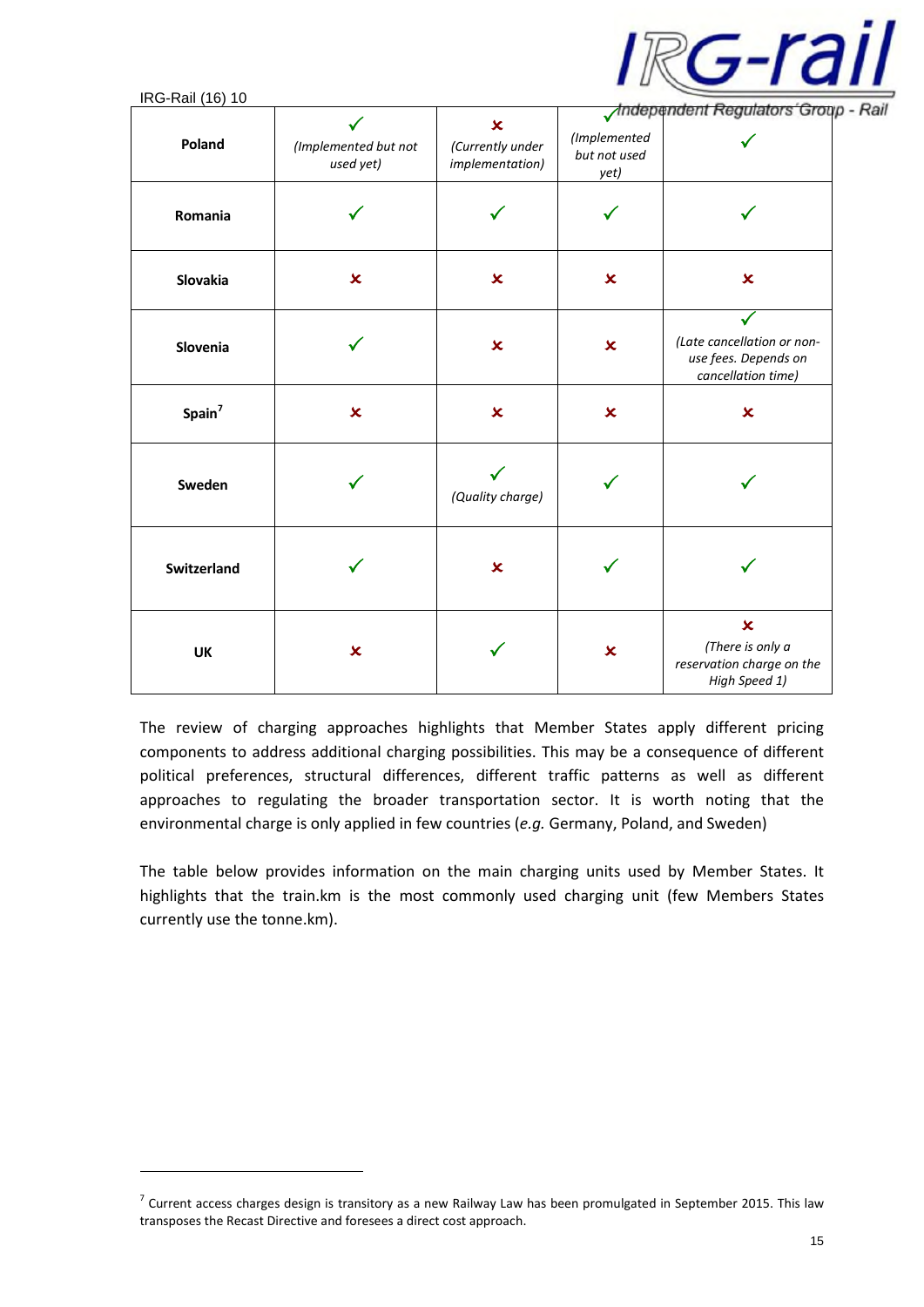

| $\overline{111}$ $\overline{111}$ $\overline{111}$ $\overline{111}$ $\overline{111}$ $\overline{111}$ |                                   |                                                                  |                                      | <b>Independent Regulators Group</b>                                                       |
|-------------------------------------------------------------------------------------------------------|-----------------------------------|------------------------------------------------------------------|--------------------------------------|-------------------------------------------------------------------------------------------|
| Poland                                                                                                | (Implemented but not<br>used yet) | $\boldsymbol{\mathsf{x}}$<br>(Currently under<br>implementation) | (Implemented<br>but not used<br>yet) |                                                                                           |
| Romania                                                                                               |                                   |                                                                  |                                      |                                                                                           |
| Slovakia                                                                                              | $\mathbf x$                       | $\boldsymbol{\mathsf{x}}$                                        | $\boldsymbol{\mathsf{x}}$            | $\boldsymbol{\mathsf{x}}$                                                                 |
| Slovenia                                                                                              |                                   | $\pmb{\times}$                                                   | $\pmb{\times}$                       | (Late cancellation or non-<br>use fees. Depends on<br>cancellation time)                  |
| Spain <sup>7</sup>                                                                                    | $\pmb{\times}$                    | $\overline{\mathbf{x}}$                                          | $\boldsymbol{\mathsf{x}}$            | $\overline{\mathbf{x}}$                                                                   |
| Sweden                                                                                                |                                   | (Quality charge)                                                 |                                      |                                                                                           |
| Switzerland                                                                                           |                                   | $\overline{\mathbf{x}}$                                          |                                      |                                                                                           |
| UK                                                                                                    | $\pmb{\times}$                    |                                                                  | $\boldsymbol{\mathsf{x}}$            | $\overline{\mathbf{x}}$<br>(There is only a<br>reservation charge on the<br>High Speed 1) |

The review of charging approaches highlights that Member States apply different pricing components to address additional charging possibilities. This may be a consequence of different political preferences, structural differences, different traffic patterns as well as different approaches to regulating the broader transportation sector. It is worth noting that the environmental charge is only applied in few countries (*e.g.* Germany, Poland, and Sweden)

The table below provides information on the main charging units used by Member States. It highlights that the train.km is the most commonly used charging unit (few Members States currently use the tonne.km).

 $^7$  Current access charges design is transitory as a new Railway Law has been promulgated in September 2015. This law transposes the Recast Directive and foresees a direct cost approach.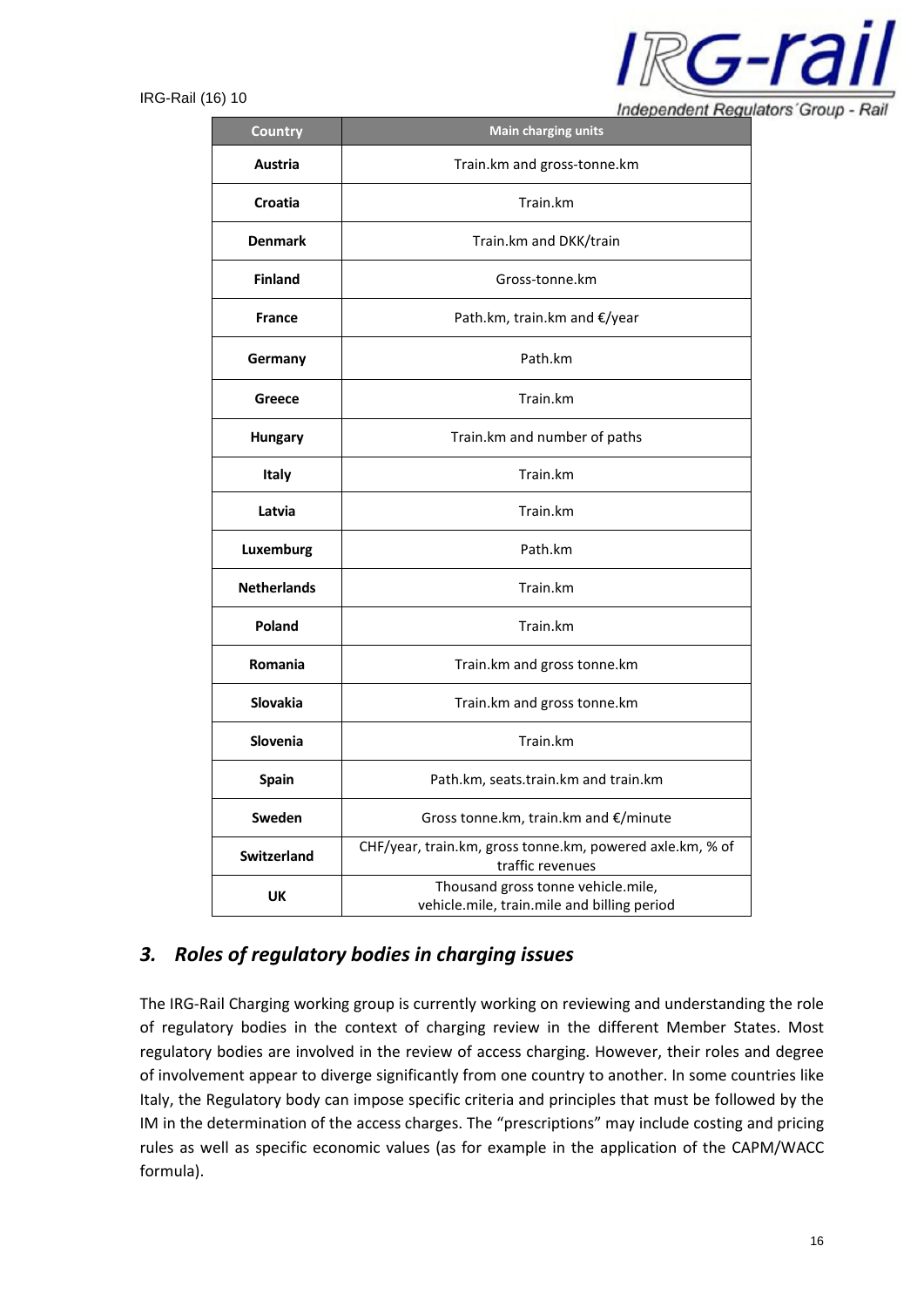

Independent Regulators' Group - Rail

| <b>Country</b>                                 | <b>Main charging units</b>                                                        |  |  |  |  |
|------------------------------------------------|-----------------------------------------------------------------------------------|--|--|--|--|
| Austria                                        | Train.km and gross-tonne.km                                                       |  |  |  |  |
| Croatia                                        | Train.km                                                                          |  |  |  |  |
| <b>Denmark</b>                                 | Train.km and DKK/train                                                            |  |  |  |  |
| <b>Finland</b>                                 | Gross-tonne.km                                                                    |  |  |  |  |
| <b>France</b>                                  | Path.km, train.km and €/year                                                      |  |  |  |  |
| Germany                                        | Path.km                                                                           |  |  |  |  |
| Greece                                         | Train.km                                                                          |  |  |  |  |
| Train.km and number of paths<br><b>Hungary</b> |                                                                                   |  |  |  |  |
| <b>Italy</b>                                   | Train.km                                                                          |  |  |  |  |
| Latvia                                         | Train.km                                                                          |  |  |  |  |
| Luxemburg                                      | Path.km                                                                           |  |  |  |  |
| <b>Netherlands</b>                             | Train.km                                                                          |  |  |  |  |
| Poland                                         | Train.km                                                                          |  |  |  |  |
| <b>Romania</b>                                 | Train.km and gross tonne.km                                                       |  |  |  |  |
| <b>Slovakia</b>                                | Train.km and gross tonne.km                                                       |  |  |  |  |
| Slovenia                                       | Train.km                                                                          |  |  |  |  |
| <b>Spain</b>                                   | Path.km, seats.train.km and train.km                                              |  |  |  |  |
| Sweden                                         | Gross tonne.km, train.km and €/minute                                             |  |  |  |  |
| <b>Switzerland</b>                             | CHF/year, train.km, gross tonne.km, powered axle.km, % of<br>traffic revenues     |  |  |  |  |
| UK                                             | Thousand gross tonne vehicle.mile,<br>vehicle.mile, train.mile and billing period |  |  |  |  |

# *3. Roles of regulatory bodies in charging issues*

The IRG-Rail Charging working group is currently working on reviewing and understanding the role of regulatory bodies in the context of charging review in the different Member States. Most regulatory bodies are involved in the review of access charging. However, their roles and degree of involvement appear to diverge significantly from one country to another. In some countries like Italy, the Regulatory body can impose specific criteria and principles that must be followed by the IM in the determination of the access charges. The "prescriptions" may include costing and pricing rules as well as specific economic values (as for example in the application of the CAPM/WACC formula).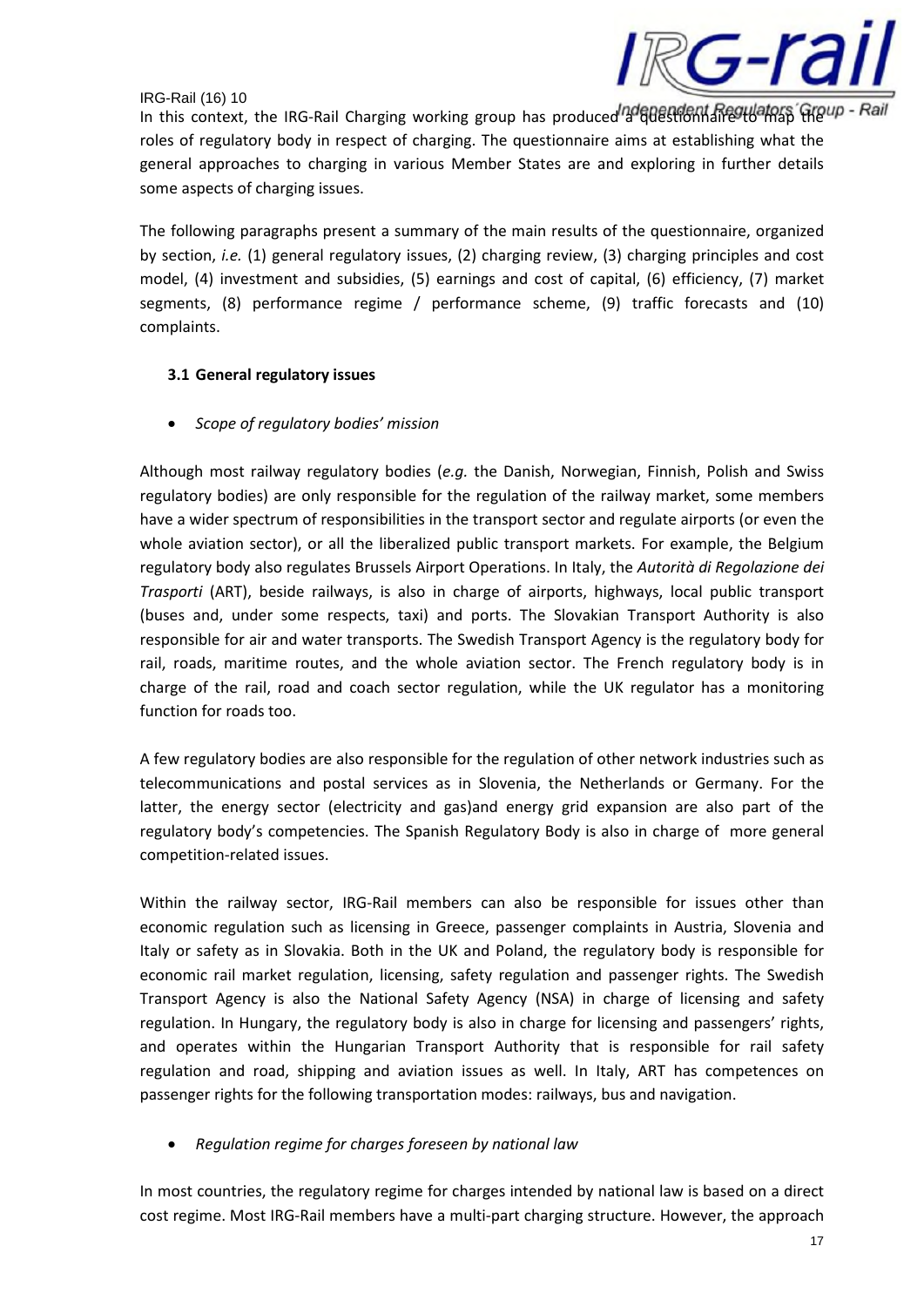

In this context, the IRG-Rail Charging working group has produced a questionnaire to map they roles of regulatory body in respect of charging. The questionnaire aims at establishing what the general approaches to charging in various Member States are and exploring in further details some aspects of charging issues.

The following paragraphs present a summary of the main results of the questionnaire, organized by section, *i.e.* (1) general regulatory issues, (2) charging review, (3) charging principles and cost model, (4) investment and subsidies, (5) earnings and cost of capital, (6) efficiency, (7) market segments, (8) performance regime / performance scheme, (9) traffic forecasts and (10) complaints.

## **3.1 General regulatory issues**

• *Scope of regulatory bodies' mission*

Although most railway regulatory bodies (*e.g.* the Danish, Norwegian, Finnish, Polish and Swiss regulatory bodies) are only responsible for the regulation of the railway market, some members have a wider spectrum of responsibilities in the transport sector and regulate airports (or even the whole aviation sector), or all the liberalized public transport markets. For example, the Belgium regulatory body also regulates Brussels Airport Operations. In Italy, the *Autorità di Regolazione dei Trasporti* (ART), beside railways, is also in charge of airports, highways, local public transport (buses and, under some respects, taxi) and ports. The Slovakian Transport Authority is also responsible for air and water transports. The Swedish Transport Agency is the regulatory body for rail, roads, maritime routes, and the whole aviation sector. The French regulatory body is in charge of the rail, road and coach sector regulation, while the UK regulator has a monitoring function for roads too.

A few regulatory bodies are also responsible for the regulation of other network industries such as telecommunications and postal services as in Slovenia, the Netherlands or Germany. For the latter, the energy sector (electricity and gas)and energy grid expansion are also part of the regulatory body's competencies. The Spanish Regulatory Body is also in charge of more general competition-related issues.

Within the railway sector, IRG-Rail members can also be responsible for issues other than economic regulation such as licensing in Greece, passenger complaints in Austria, Slovenia and Italy or safety as in Slovakia. Both in the UK and Poland, the regulatory body is responsible for economic rail market regulation, licensing, safety regulation and passenger rights. The Swedish Transport Agency is also the National Safety Agency (NSA) in charge of licensing and safety regulation. In Hungary, the regulatory body is also in charge for licensing and passengers' rights, and operates within the Hungarian Transport Authority that is responsible for rail safety regulation and road, shipping and aviation issues as well. In Italy, ART has competences on passenger rights for the following transportation modes: railways, bus and navigation.

• *Regulation regime for charges foreseen by national law*

In most countries, the regulatory regime for charges intended by national law is based on a direct cost regime. Most IRG-Rail members have a multi-part charging structure. However, the approach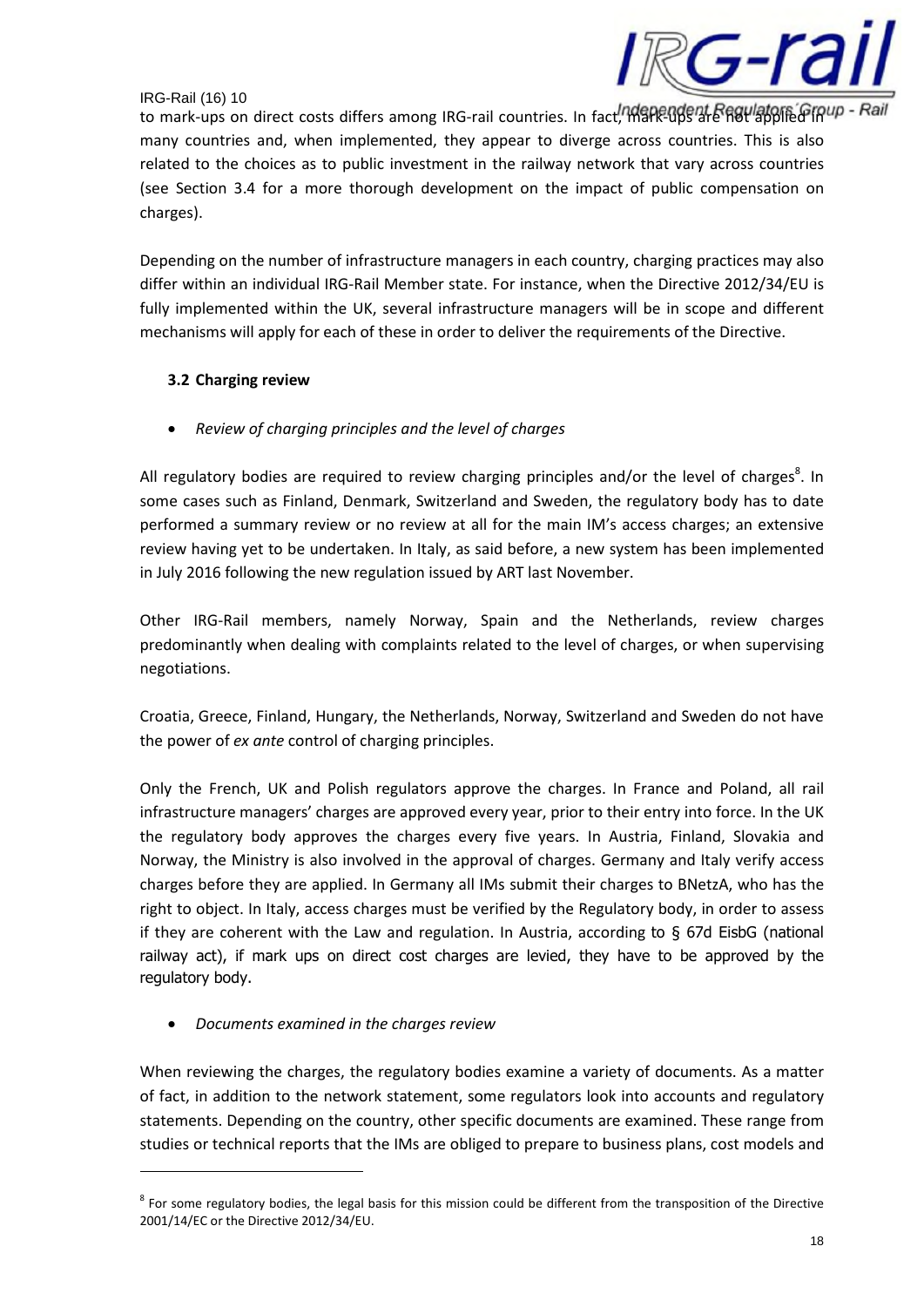

to mark-ups on direct costs differs among IRG-rail countries. In fact, mark-ups are not applied in up many countries and, when implemented, they appear to diverge across countries. This is also related to the choices as to public investment in the railway network that vary across countries (see Section 3.4 for a more thorough development on the impact of public compensation on charges).

Depending on the number of infrastructure managers in each country, charging practices may also differ within an individual IRG-Rail Member state. For instance, when the Directive 2012/34/EU is fully implemented within the UK, several infrastructure managers will be in scope and different mechanisms will apply for each of these in order to deliver the requirements of the Directive.

# **3.2 Charging review**

• *Review of charging principles and the level of charges*

All regulatory bodies are required to review charging principles and/or the level of charges<sup>8</sup>. In some cases such as Finland, Denmark, Switzerland and Sweden, the regulatory body has to date performed a summary review or no review at all for the main IM's access charges; an extensive review having yet to be undertaken. In Italy, as said before, a new system has been implemented in July 2016 following the new regulation issued by ART last November.

Other IRG-Rail members, namely Norway, Spain and the Netherlands, review charges predominantly when dealing with complaints related to the level of charges, or when supervising negotiations.

Croatia, Greece, Finland, Hungary, the Netherlands, Norway, Switzerland and Sweden do not have the power of *ex ante* control of charging principles.

Only the French, UK and Polish regulators approve the charges. In France and Poland, all rail infrastructure managers' charges are approved every year, prior to their entry into force. In the UK the regulatory body approves the charges every five years. In Austria, Finland, Slovakia and Norway, the Ministry is also involved in the approval of charges. Germany and Italy verify access charges before they are applied. In Germany all IMs submit their charges to BNetzA, who has the right to object. In Italy, access charges must be verified by the Regulatory body, in order to assess if they are coherent with the Law and regulation. In Austria, according to § 67d EisbG (national railway act), if mark ups on direct cost charges are levied, they have to be approved by the regulatory body.

• *Documents examined in the charges review*

When reviewing the charges, the regulatory bodies examine a variety of documents. As a matter of fact, in addition to the network statement, some regulators look into accounts and regulatory statements. Depending on the country, other specific documents are examined. These range from studies or technical reports that the IMs are obliged to prepare to business plans, cost models and

 $^8$  For some regulatory bodies, the legal basis for this mission could be different from the transposition of the Directive 2001/14/EC or the Directive 2012/34/EU.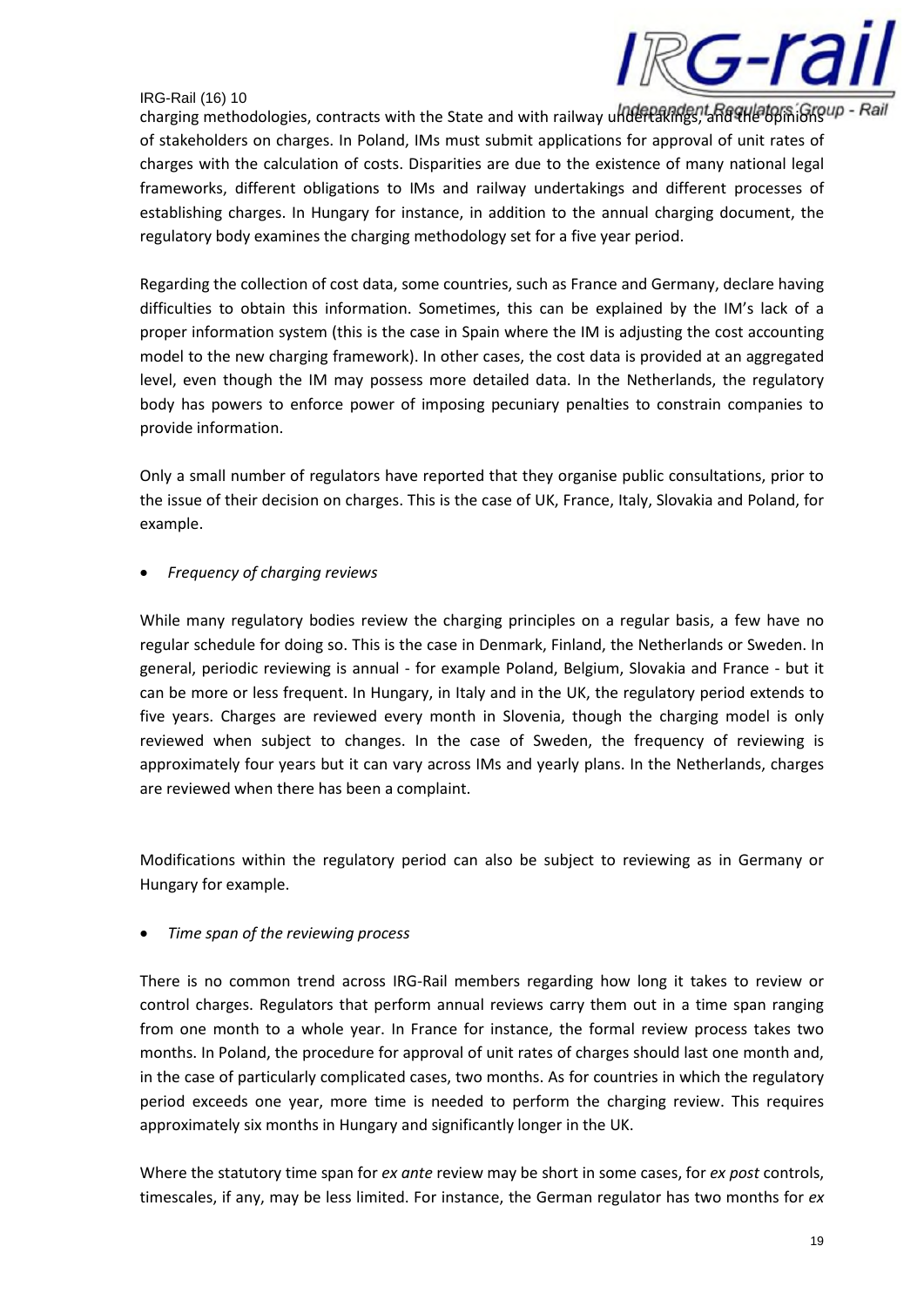

charging methodologies, contracts with the State and with railway undertakings, and and the opinions in of stakeholders on charges. In Poland, IMs must submit applications for approval of unit rates of charges with the calculation of costs. Disparities are due to the existence of many national legal frameworks, different obligations to IMs and railway undertakings and different processes of establishing charges. In Hungary for instance, in addition to the annual charging document, the regulatory body examines the charging methodology set for a five year period.

Regarding the collection of cost data, some countries, such as France and Germany, declare having difficulties to obtain this information. Sometimes, this can be explained by the IM's lack of a proper information system (this is the case in Spain where the IM is adjusting the cost accounting model to the new charging framework). In other cases, the cost data is provided at an aggregated level, even though the IM may possess more detailed data. In the Netherlands, the regulatory body has powers to enforce power of imposing pecuniary penalties to constrain companies to provide information.

Only a small number of regulators have reported that they organise public consultations, prior to the issue of their decision on charges. This is the case of UK, France, Italy, Slovakia and Poland, for example.

• *Frequency of charging reviews*

While many regulatory bodies review the charging principles on a regular basis, a few have no regular schedule for doing so. This is the case in Denmark, Finland, the Netherlands or Sweden. In general, periodic reviewing is annual - for example Poland, Belgium, Slovakia and France - but it can be more or less frequent. In Hungary, in Italy and in the UK, the regulatory period extends to five years. Charges are reviewed every month in Slovenia, though the charging model is only reviewed when subject to changes. In the case of Sweden, the frequency of reviewing is approximately four years but it can vary across IMs and yearly plans. In the Netherlands, charges are reviewed when there has been a complaint.

Modifications within the regulatory period can also be subject to reviewing as in Germany or Hungary for example.

• *Time span of the reviewing process*

There is no common trend across IRG-Rail members regarding how long it takes to review or control charges. Regulators that perform annual reviews carry them out in a time span ranging from one month to a whole year. In France for instance, the formal review process takes two months. In Poland, the procedure for approval of unit rates of charges should last one month and, in the case of particularly complicated cases, two months. As for countries in which the regulatory period exceeds one year, more time is needed to perform the charging review. This requires approximately six months in Hungary and significantly longer in the UK.

Where the statutory time span for *ex ante* review may be short in some cases, for *ex post* controls, timescales, if any, may be less limited. For instance, the German regulator has two months for *ex*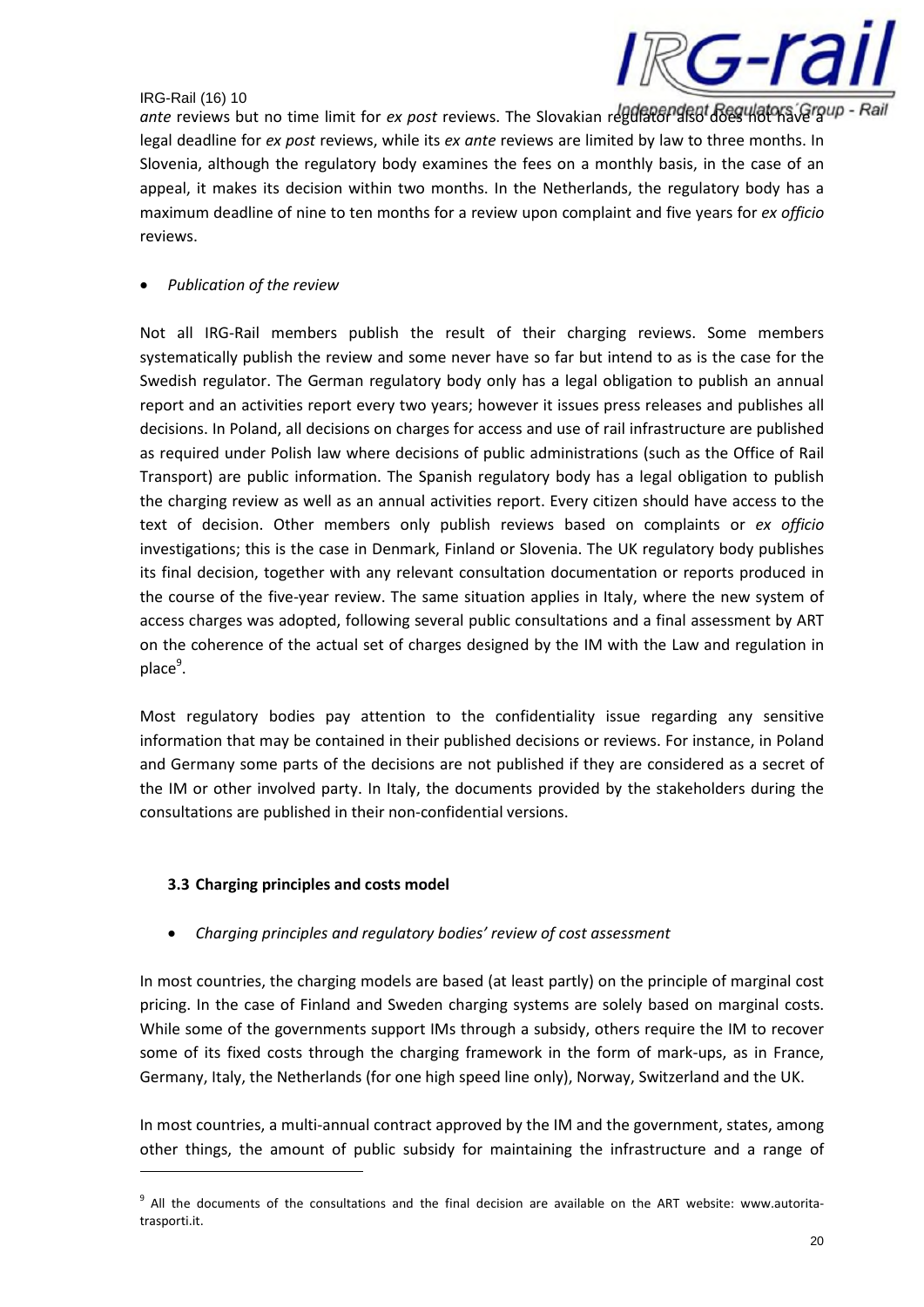

ante reviews but no time limit for *ex post* reviews. The Slovakian regulator also does not have a Rail legal deadline for *ex post* reviews, while its *ex ante* reviews are limited by law to three months. In Slovenia, although the regulatory body examines the fees on a monthly basis, in the case of an appeal, it makes its decision within two months. In the Netherlands, the regulatory body has a maximum deadline of nine to ten months for a review upon complaint and five years for *ex officio* reviews.

## • *Publication of the review*

Not all IRG-Rail members publish the result of their charging reviews. Some members systematically publish the review and some never have so far but intend to as is the case for the Swedish regulator. The German regulatory body only has a legal obligation to publish an annual report and an activities report every two years; however it issues press releases and publishes all decisions. In Poland, all decisions on charges for access and use of rail infrastructure are published as required under Polish law where decisions of public administrations (such as the Office of Rail Transport) are public information. The Spanish regulatory body has a legal obligation to publish the charging review as well as an annual activities report. Every citizen should have access to the text of decision. Other members only publish reviews based on complaints or *ex officio* investigations; this is the case in Denmark, Finland or Slovenia. The UK regulatory body publishes its final decision, together with any relevant consultation documentation or reports produced in the course of the five-year review. The same situation applies in Italy, where the new system of access charges was adopted, following several public consultations and a final assessment by ART on the coherence of the actual set of charges designed by the IM with the Law and regulation in place<sup>9</sup>.

Most regulatory bodies pay attention to the confidentiality issue regarding any sensitive information that may be contained in their published decisions or reviews. For instance, in Poland and Germany some parts of the decisions are not published if they are considered as a secret of the IM or other involved party. In Italy, the documents provided by the stakeholders during the consultations are published in their non-confidential versions.

## **3.3 Charging principles and costs model**

• *Charging principles and regulatory bodies' review of cost assessment*

In most countries, the charging models are based (at least partly) on the principle of marginal cost pricing. In the case of Finland and Sweden charging systems are solely based on marginal costs. While some of the governments support IMs through a subsidy, others require the IM to recover some of its fixed costs through the charging framework in the form of mark-ups, as in France, Germany, Italy, the Netherlands (for one high speed line only), Norway, Switzerland and the UK.

In most countries, a multi-annual contract approved by the IM and the government, states, among other things, the amount of public subsidy for maintaining the infrastructure and a range of

<sup>&</sup>lt;sup>9</sup> All the documents of the consultations and the final decision are available on the ART website: www.autoritatrasporti.it.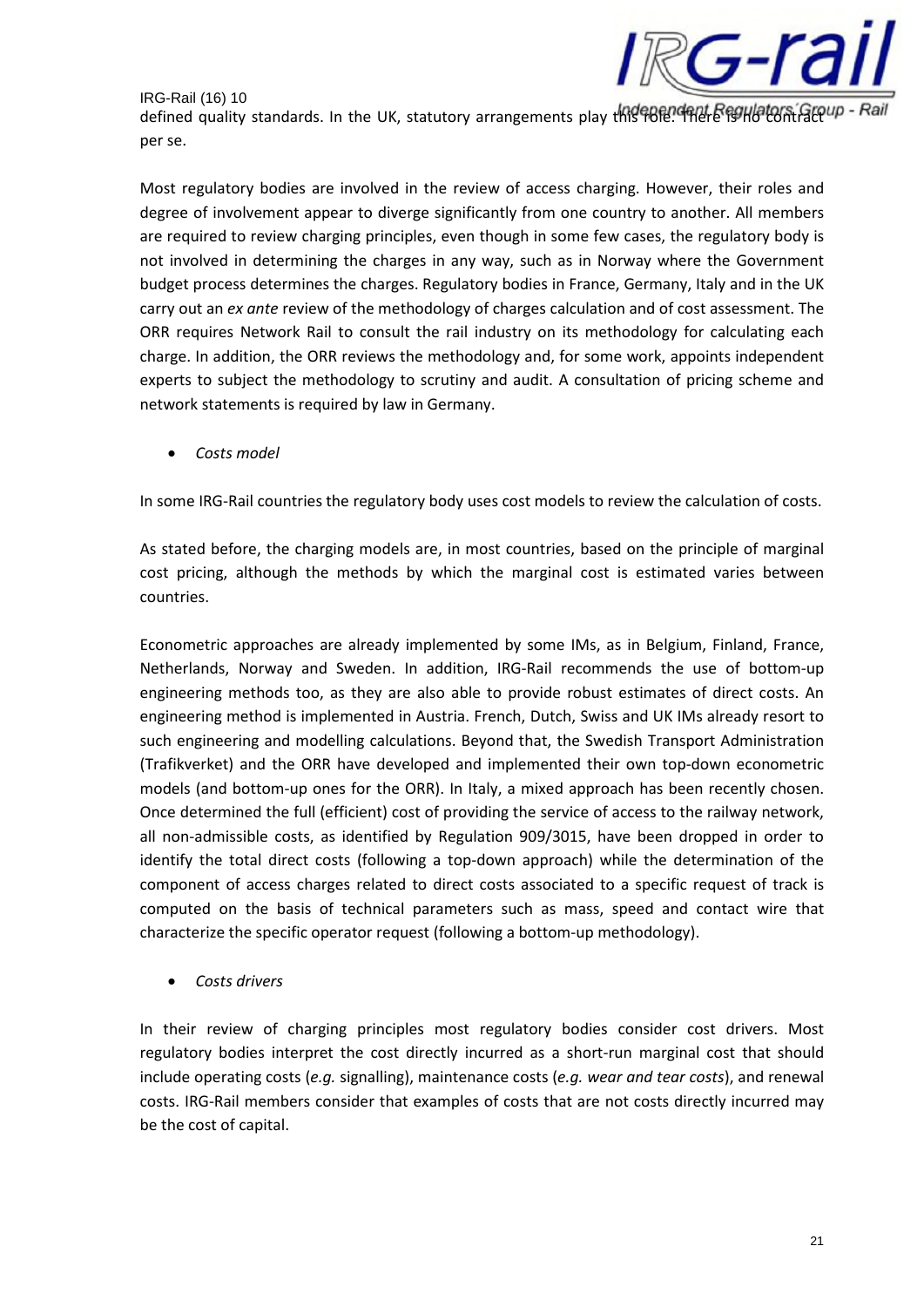

defined quality standards. In the UK, statutory arrangements play this ROEP. There is no contract and the Rail per se.

Most regulatory bodies are involved in the review of access charging. However, their roles and degree of involvement appear to diverge significantly from one country to another. All members are required to review charging principles, even though in some few cases, the regulatory body is not involved in determining the charges in any way, such as in Norway where the Government budget process determines the charges. Regulatory bodies in France, Germany, Italy and in the UK carry out an *ex ante* review of the methodology of charges calculation and of cost assessment. The ORR requires Network Rail to consult the rail industry on its methodology for calculating each charge. In addition, the ORR reviews the methodology and, for some work, appoints independent experts to subject the methodology to scrutiny and audit. A consultation of pricing scheme and network statements is required by law in Germany.

• *Costs model*

In some IRG-Rail countries the regulatory body uses cost models to review the calculation of costs.

As stated before, the charging models are, in most countries, based on the principle of marginal cost pricing, although the methods by which the marginal cost is estimated varies between countries.

Econometric approaches are already implemented by some IMs, as in Belgium, Finland, France, Netherlands, Norway and Sweden. In addition, IRG-Rail recommends the use of bottom-up engineering methods too, as they are also able to provide robust estimates of direct costs. An engineering method is implemented in Austria. French, Dutch, Swiss and UK IMs already resort to such engineering and modelling calculations. Beyond that, the Swedish Transport Administration (Trafikverket) and the ORR have developed and implemented their own top-down econometric models (and bottom-up ones for the ORR). In Italy, a mixed approach has been recently chosen. Once determined the full (efficient) cost of providing the service of access to the railway network, all non-admissible costs, as identified by Regulation 909/3015, have been dropped in order to identify the total direct costs (following a top-down approach) while the determination of the component of access charges related to direct costs associated to a specific request of track is computed on the basis of technical parameters such as mass, speed and contact wire that characterize the specific operator request (following a bottom-up methodology).

• *Costs drivers*

In their review of charging principles most regulatory bodies consider cost drivers. Most regulatory bodies interpret the cost directly incurred as a short-run marginal cost that should include operating costs (*e.g.* signalling), maintenance costs (*e.g. wear and tear costs*), and renewal costs. IRG-Rail members consider that examples of costs that are not costs directly incurred may be the cost of capital.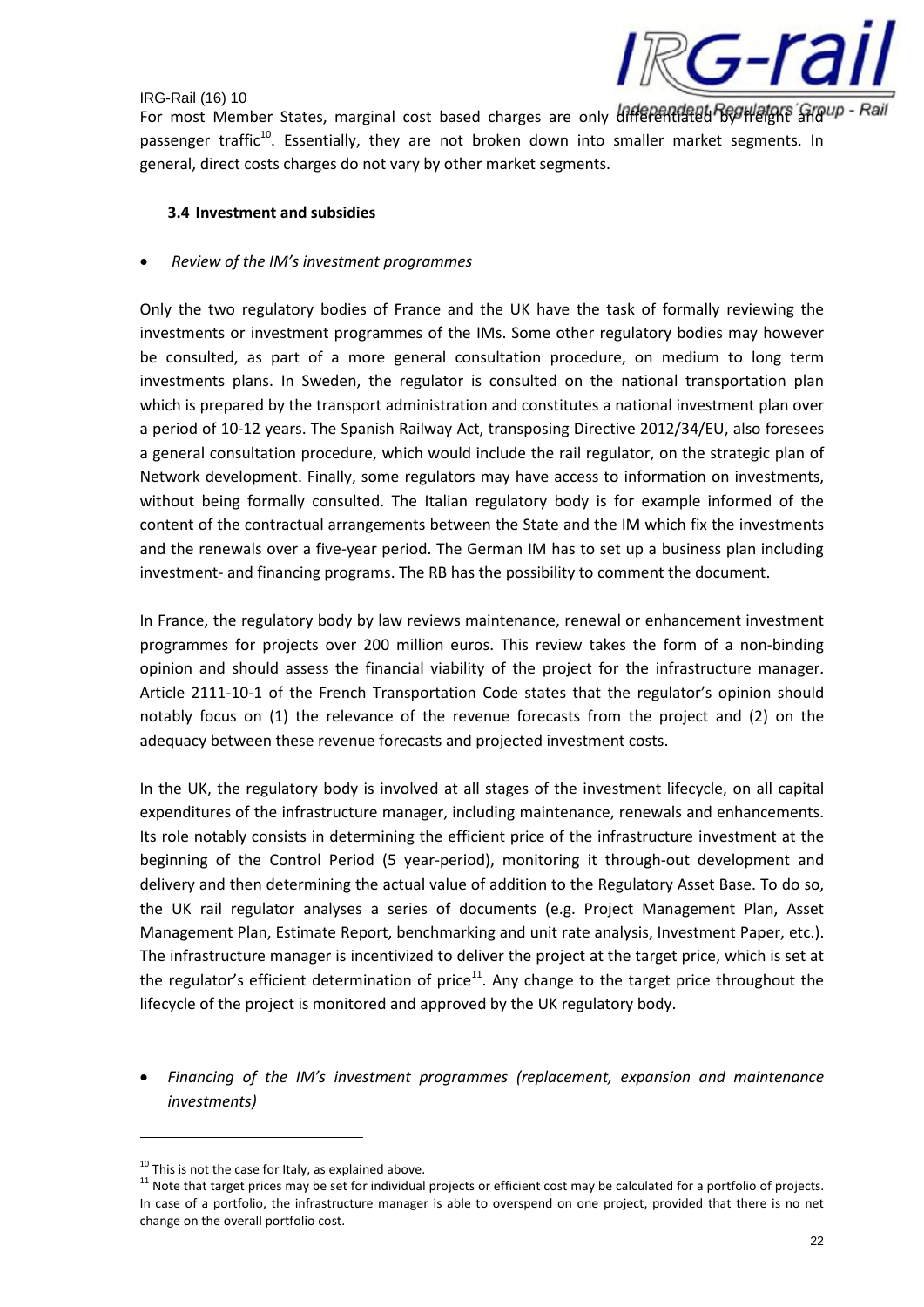

For most Member States, marginal cost based charges are only differentiated Bogweight and Pail passenger traffic<sup>10</sup>. Essentially, they are not broken down into smaller market segments. In general, direct costs charges do not vary by other market segments.

## **3.4 Investment and subsidies**

## • *Review of the IM's investment programmes*

Only the two regulatory bodies of France and the UK have the task of formally reviewing the investments or investment programmes of the IMs. Some other regulatory bodies may however be consulted, as part of a more general consultation procedure, on medium to long term investments plans. In Sweden, the regulator is consulted on the national transportation plan which is prepared by the transport administration and constitutes a national investment plan over a period of 10-12 years. The Spanish Railway Act, transposing Directive 2012/34/EU, also foresees a general consultation procedure, which would include the rail regulator, on the strategic plan of Network development. Finally, some regulators may have access to information on investments, without being formally consulted. The Italian regulatory body is for example informed of the content of the contractual arrangements between the State and the IM which fix the investments and the renewals over a five-year period. The German IM has to set up a business plan including investment- and financing programs. The RB has the possibility to comment the document.

In France, the regulatory body by law reviews maintenance, renewal or enhancement investment programmes for projects over 200 million euros. This review takes the form of a non-binding opinion and should assess the financial viability of the project for the infrastructure manager. Article 2111-10-1 of the French Transportation Code states that the regulator's opinion should notably focus on (1) the relevance of the revenue forecasts from the project and (2) on the adequacy between these revenue forecasts and projected investment costs.

In the UK, the regulatory body is involved at all stages of the investment lifecycle, on all capital expenditures of the infrastructure manager, including maintenance, renewals and enhancements. Its role notably consists in determining the efficient price of the infrastructure investment at the beginning of the Control Period (5 year-period), monitoring it through-out development and delivery and then determining the actual value of addition to the Regulatory Asset Base. To do so, the UK rail regulator analyses a series of documents (e.g. Project Management Plan, Asset Management Plan, Estimate Report, benchmarking and unit rate analysis, Investment Paper, etc.). The infrastructure manager is incentivized to deliver the project at the target price, which is set at the regulator's efficient determination of price<sup>11</sup>. Any change to the target price throughout the lifecycle of the project is monitored and approved by the UK regulatory body.

• *Financing of the IM's investment programmes (replacement, expansion and maintenance investments)*

 $10$  This is not the case for Italy, as explained above.

 $11$  Note that target prices may be set for individual projects or efficient cost may be calculated for a portfolio of projects. In case of a portfolio, the infrastructure manager is able to overspend on one project, provided that there is no net change on the overall portfolio cost.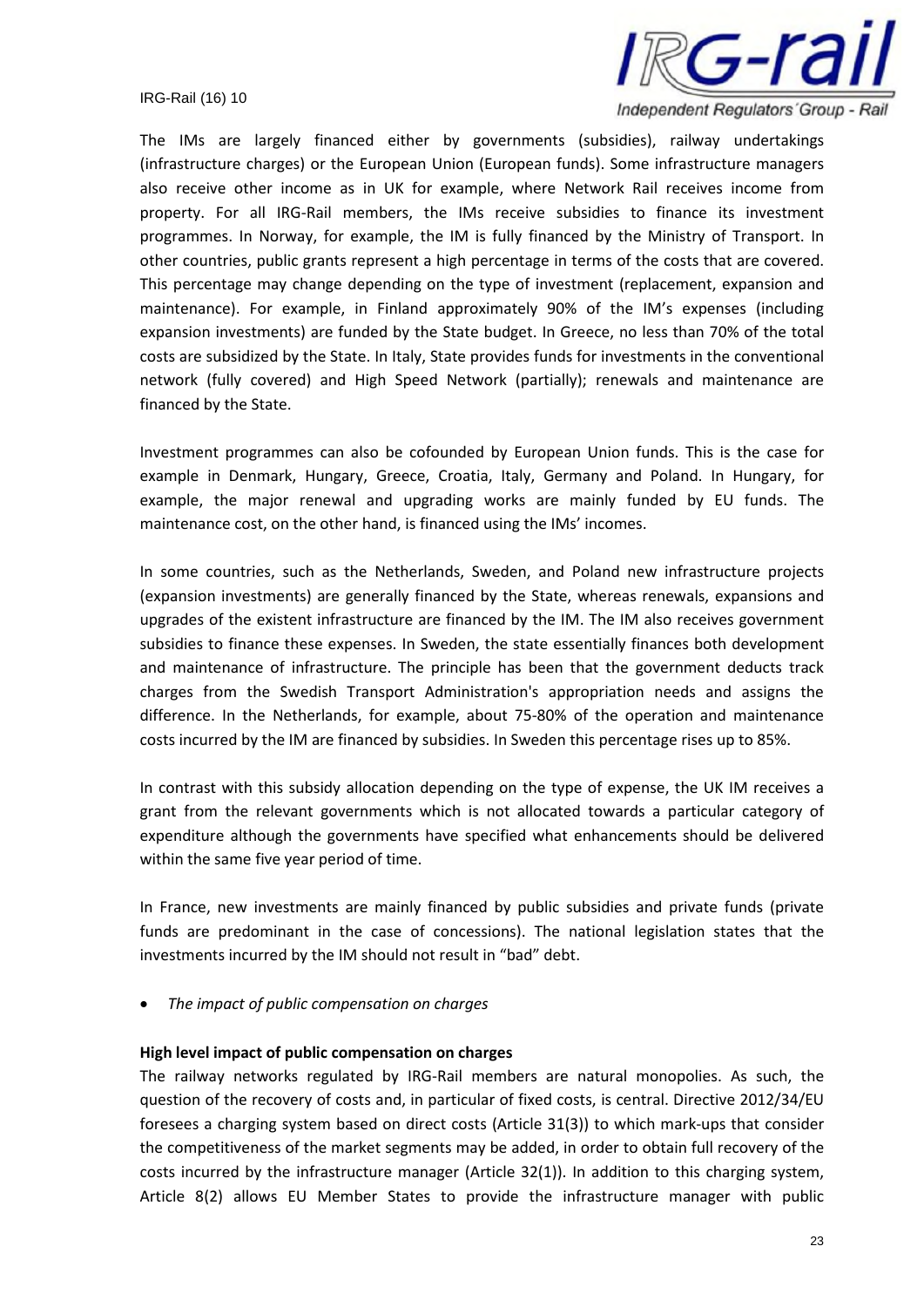

The IMs are largely financed either by governments (subsidies), railway undertakings (infrastructure charges) or the European Union (European funds). Some infrastructure managers also receive other income as in UK for example, where Network Rail receives income from property. For all IRG-Rail members, the IMs receive subsidies to finance its investment programmes. In Norway, for example, the IM is fully financed by the Ministry of Transport. In other countries, public grants represent a high percentage in terms of the costs that are covered. This percentage may change depending on the type of investment (replacement, expansion and maintenance). For example, in Finland approximately 90% of the IM's expenses (including expansion investments) are funded by the State budget. In Greece, no less than 70% of the total costs are subsidized by the State. In Italy, State provides funds for investments in the conventional network (fully covered) and High Speed Network (partially); renewals and maintenance are financed by the State.

Investment programmes can also be cofounded by European Union funds. This is the case for example in Denmark, Hungary, Greece, Croatia, Italy, Germany and Poland. In Hungary, for example, the major renewal and upgrading works are mainly funded by EU funds. The maintenance cost, on the other hand, is financed using the IMs' incomes.

In some countries, such as the Netherlands, Sweden, and Poland new infrastructure projects (expansion investments) are generally financed by the State, whereas renewals, expansions and upgrades of the existent infrastructure are financed by the IM. The IM also receives government subsidies to finance these expenses. In Sweden, the state essentially finances both development and maintenance of infrastructure. The principle has been that the government deducts track charges from the Swedish Transport Administration's appropriation needs and assigns the difference. In the Netherlands, for example, about 75-80% of the operation and maintenance costs incurred by the IM are financed by subsidies. In Sweden this percentage rises up to 85%.

In contrast with this subsidy allocation depending on the type of expense, the UK IM receives a grant from the relevant governments which is not allocated towards a particular category of expenditure although the governments have specified what enhancements should be delivered within the same five year period of time.

In France, new investments are mainly financed by public subsidies and private funds (private funds are predominant in the case of concessions). The national legislation states that the investments incurred by the IM should not result in "bad" debt.

• *The impact of public compensation on charges*

#### **High level impact of public compensation on charges**

The railway networks regulated by IRG-Rail members are natural monopolies. As such, the question of the recovery of costs and, in particular of fixed costs, is central. Directive 2012/34/EU foresees a charging system based on direct costs (Article 31(3)) to which mark-ups that consider the competitiveness of the market segments may be added, in order to obtain full recovery of the costs incurred by the infrastructure manager (Article 32(1)). In addition to this charging system, Article 8(2) allows EU Member States to provide the infrastructure manager with public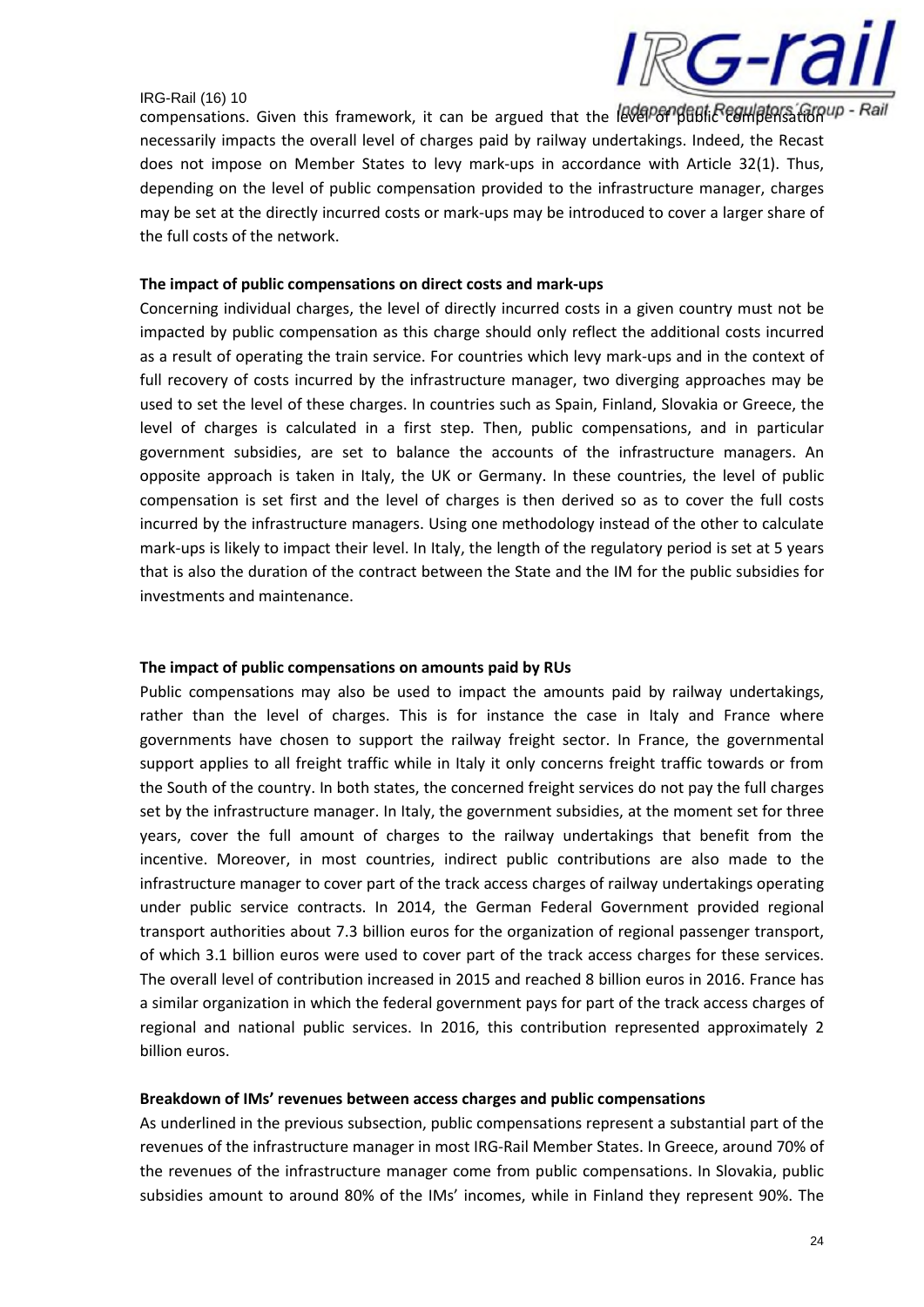

compensations. Given this framework, it can be argued that the **Redependent compensations**. Given this framework, it can be argued that the RedPort of Campensations. necessarily impacts the overall level of charges paid by railway undertakings. Indeed, the Recast does not impose on Member States to levy mark-ups in accordance with Article 32(1). Thus, depending on the level of public compensation provided to the infrastructure manager, charges may be set at the directly incurred costs or mark-ups may be introduced to cover a larger share of the full costs of the network.

## **The impact of public compensations on direct costs and mark-ups**

Concerning individual charges, the level of directly incurred costs in a given country must not be impacted by public compensation as this charge should only reflect the additional costs incurred as a result of operating the train service. For countries which levy mark-ups and in the context of full recovery of costs incurred by the infrastructure manager, two diverging approaches may be used to set the level of these charges. In countries such as Spain, Finland, Slovakia or Greece, the level of charges is calculated in a first step. Then, public compensations, and in particular government subsidies, are set to balance the accounts of the infrastructure managers. An opposite approach is taken in Italy, the UK or Germany. In these countries, the level of public compensation is set first and the level of charges is then derived so as to cover the full costs incurred by the infrastructure managers. Using one methodology instead of the other to calculate mark-ups is likely to impact their level. In Italy, the length of the regulatory period is set at 5 years that is also the duration of the contract between the State and the IM for the public subsidies for investments and maintenance.

#### **The impact of public compensations on amounts paid by RUs**

Public compensations may also be used to impact the amounts paid by railway undertakings, rather than the level of charges. This is for instance the case in Italy and France where governments have chosen to support the railway freight sector. In France, the governmental support applies to all freight traffic while in Italy it only concerns freight traffic towards or from the South of the country. In both states, the concerned freight services do not pay the full charges set by the infrastructure manager. In Italy, the government subsidies, at the moment set for three years, cover the full amount of charges to the railway undertakings that benefit from the incentive. Moreover, in most countries, indirect public contributions are also made to the infrastructure manager to cover part of the track access charges of railway undertakings operating under public service contracts. In 2014, the German Federal Government provided regional transport authorities about 7.3 billion euros for the organization of regional passenger transport, of which 3.1 billion euros were used to cover part of the track access charges for these services. The overall level of contribution increased in 2015 and reached 8 billion euros in 2016. France has a similar organization in which the federal government pays for part of the track access charges of regional and national public services. In 2016, this contribution represented approximately 2 billion euros.

#### **Breakdown of IMs' revenues between access charges and public compensations**

As underlined in the previous subsection, public compensations represent a substantial part of the revenues of the infrastructure manager in most IRG-Rail Member States. In Greece, around 70% of the revenues of the infrastructure manager come from public compensations. In Slovakia, public subsidies amount to around 80% of the IMs' incomes, while in Finland they represent 90%. The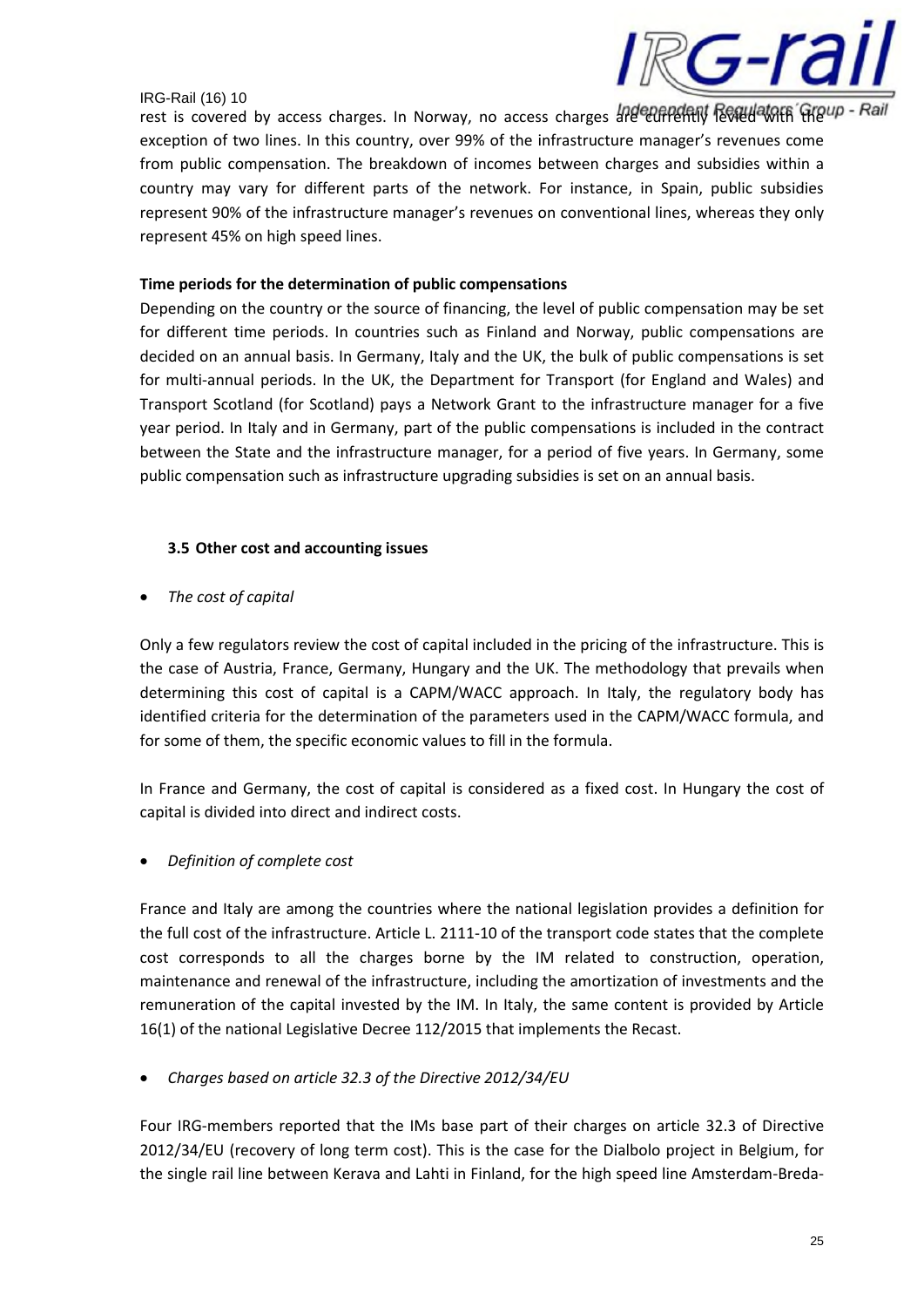

rest is covered by access charges. In Norway, no access charges are currently levied with the vall exception of two lines. In this country, over 99% of the infrastructure manager's revenues come from public compensation. The breakdown of incomes between charges and subsidies within a country may vary for different parts of the network. For instance, in Spain, public subsidies represent 90% of the infrastructure manager's revenues on conventional lines, whereas they only represent 45% on high speed lines.

## **Time periods for the determination of public compensations**

Depending on the country or the source of financing, the level of public compensation may be set for different time periods. In countries such as Finland and Norway, public compensations are decided on an annual basis. In Germany, Italy and the UK, the bulk of public compensations is set for multi-annual periods. In the UK, the Department for Transport (for England and Wales) and Transport Scotland (for Scotland) pays a Network Grant to the infrastructure manager for a five year period. In Italy and in Germany, part of the public compensations is included in the contract between the State and the infrastructure manager, for a period of five years. In Germany, some public compensation such as infrastructure upgrading subsidies is set on an annual basis.

## **3.5 Other cost and accounting issues**

• *The cost of capital*

Only a few regulators review the cost of capital included in the pricing of the infrastructure. This is the case of Austria, France, Germany, Hungary and the UK. The methodology that prevails when determining this cost of capital is a CAPM/WACC approach. In Italy, the regulatory body has identified criteria for the determination of the parameters used in the CAPM/WACC formula, and for some of them, the specific economic values to fill in the formula.

In France and Germany, the cost of capital is considered as a fixed cost. In Hungary the cost of capital is divided into direct and indirect costs.

• *Definition of complete cost*

France and Italy are among the countries where the national legislation provides a definition for the full cost of the infrastructure. Article L. 2111-10 of the transport code states that the complete cost corresponds to all the charges borne by the IM related to construction, operation, maintenance and renewal of the infrastructure, including the amortization of investments and the remuneration of the capital invested by the IM. In Italy, the same content is provided by Article 16(1) of the national Legislative Decree 112/2015 that implements the Recast.

• *Charges based on article 32.3 of the Directive 2012/34/EU*

Four IRG-members reported that the IMs base part of their charges on article 32.3 of Directive 2012/34/EU (recovery of long term cost). This is the case for the Dialbolo project in Belgium, for the single rail line between Kerava and Lahti in Finland, for the high speed line Amsterdam-Breda-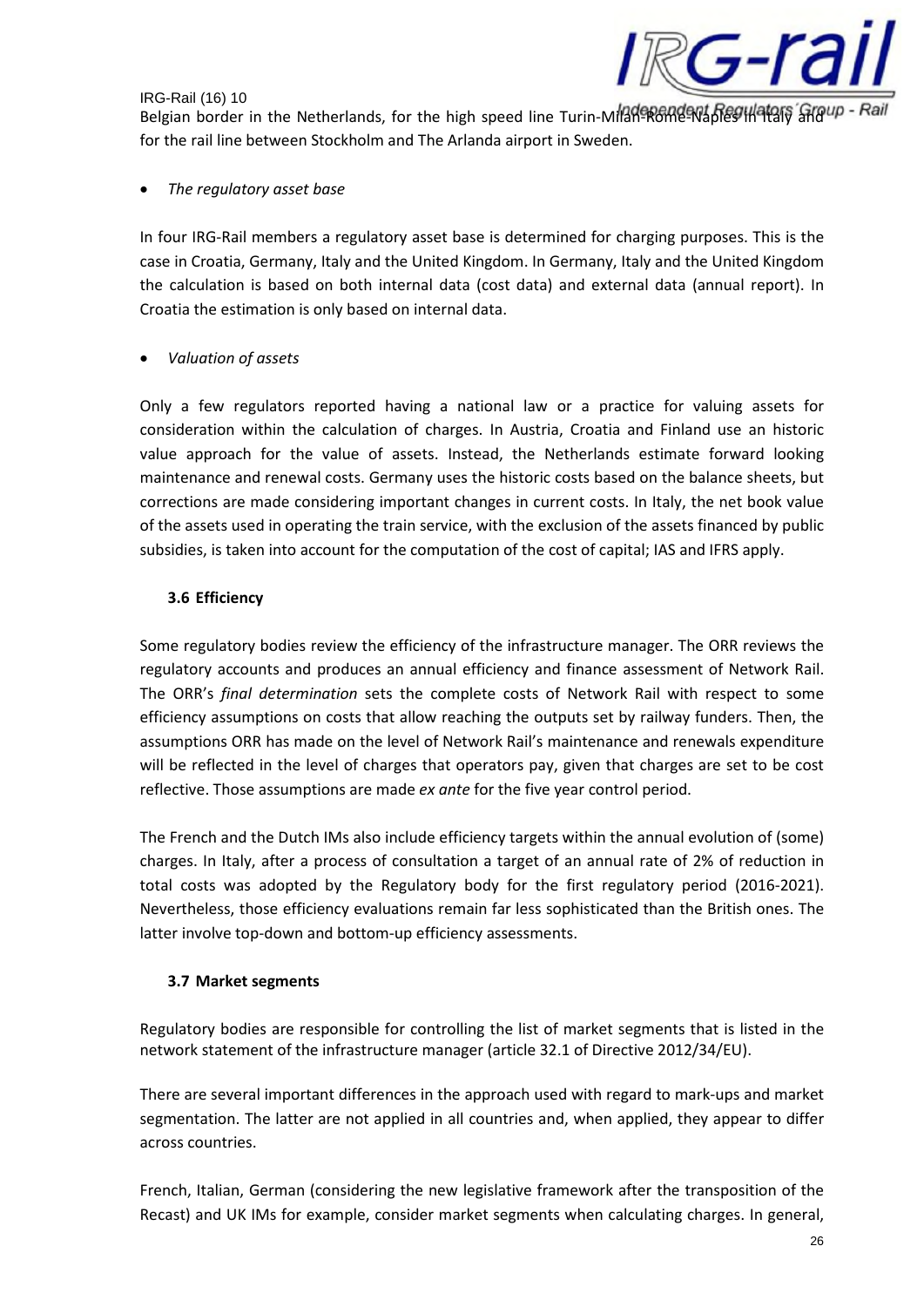

Belgian border in the Netherlands, for the high speed line Turin-Milan-Rome-Naples in Italy and Pail for the rail line between Stockholm and The Arlanda airport in Sweden.

• *The regulatory asset base*

In four IRG-Rail members a regulatory asset base is determined for charging purposes. This is the case in Croatia, Germany, Italy and the United Kingdom. In Germany, Italy and the United Kingdom the calculation is based on both internal data (cost data) and external data (annual report). In Croatia the estimation is only based on internal data.

## • *Valuation of assets*

Only a few regulators reported having a national law or a practice for valuing assets for consideration within the calculation of charges. In Austria, Croatia and Finland use an historic value approach for the value of assets. Instead, the Netherlands estimate forward looking maintenance and renewal costs. Germany uses the historic costs based on the balance sheets, but corrections are made considering important changes in current costs. In Italy, the net book value of the assets used in operating the train service, with the exclusion of the assets financed by public subsidies, is taken into account for the computation of the cost of capital; IAS and IFRS apply.

## **3.6 Efficiency**

Some regulatory bodies review the efficiency of the infrastructure manager. The ORR reviews the regulatory accounts and produces an annual efficiency and finance assessment of Network Rail. The ORR's *final determination* sets the complete costs of Network Rail with respect to some efficiency assumptions on costs that allow reaching the outputs set by railway funders. Then, the assumptions ORR has made on the level of Network Rail's maintenance and renewals expenditure will be reflected in the level of charges that operators pay, given that charges are set to be cost reflective. Those assumptions are made *ex ante* for the five year control period.

The French and the Dutch IMs also include efficiency targets within the annual evolution of (some) charges. In Italy, after a process of consultation a target of an annual rate of 2% of reduction in total costs was adopted by the Regulatory body for the first regulatory period (2016-2021). Nevertheless, those efficiency evaluations remain far less sophisticated than the British ones. The latter involve top-down and bottom-up efficiency assessments.

## **3.7 Market segments**

Regulatory bodies are responsible for controlling the list of market segments that is listed in the network statement of the infrastructure manager (article 32.1 of Directive 2012/34/EU).

There are several important differences in the approach used with regard to mark-ups and market segmentation. The latter are not applied in all countries and, when applied, they appear to differ across countries.

French, Italian, German (considering the new legislative framework after the transposition of the Recast) and UK IMs for example, consider market segments when calculating charges. In general,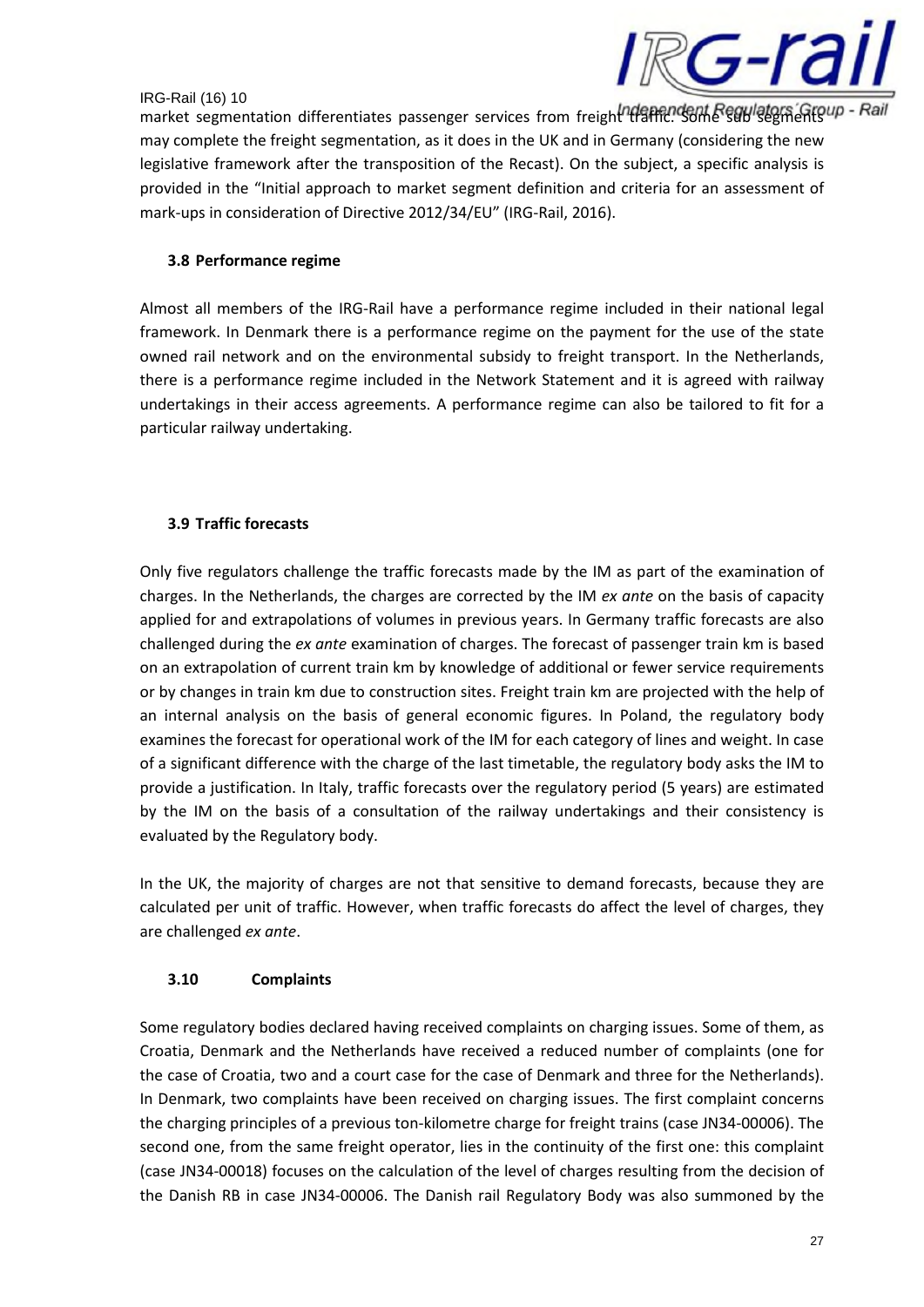

market segmentation differentiates passenger services from freight traffic. Some sub segments in may complete the freight segmentation, as it does in the UK and in Germany (considering the new legislative framework after the transposition of the Recast). On the subject, a specific analysis is provided in the "Initial approach to market segment definition and criteria for an assessment of mark-ups in consideration of Directive 2012/34/EU" (IRG-Rail, 2016).

## **3.8 Performance regime**

Almost all members of the IRG-Rail have a performance regime included in their national legal framework. In Denmark there is a performance regime on the payment for the use of the state owned rail network and on the environmental subsidy to freight transport. In the Netherlands, there is a performance regime included in the Network Statement and it is agreed with railway undertakings in their access agreements. A performance regime can also be tailored to fit for a particular railway undertaking.

## **3.9 Traffic forecasts**

Only five regulators challenge the traffic forecasts made by the IM as part of the examination of charges. In the Netherlands, the charges are corrected by the IM *ex ante* on the basis of capacity applied for and extrapolations of volumes in previous years. In Germany traffic forecasts are also challenged during the *ex ante* examination of charges. The forecast of passenger train km is based on an extrapolation of current train km by knowledge of additional or fewer service requirements or by changes in train km due to construction sites. Freight train km are projected with the help of an internal analysis on the basis of general economic figures. In Poland, the regulatory body examines the forecast for operational work of the IM for each category of lines and weight. In case of a significant difference with the charge of the last timetable, the regulatory body asks the IM to provide a justification. In Italy, traffic forecasts over the regulatory period (5 years) are estimated by the IM on the basis of a consultation of the railway undertakings and their consistency is evaluated by the Regulatory body.

In the UK, the majority of charges are not that sensitive to demand forecasts, because they are calculated per unit of traffic. However, when traffic forecasts do affect the level of charges, they are challenged *ex ante*.

## **3.10 Complaints**

Some regulatory bodies declared having received complaints on charging issues. Some of them, as Croatia, Denmark and the Netherlands have received a reduced number of complaints (one for the case of Croatia, two and a court case for the case of Denmark and three for the Netherlands). In Denmark, two complaints have been received on charging issues. The first complaint concerns the charging principles of a previous ton-kilometre charge for freight trains (case JN34-00006). The second one, from the same freight operator, lies in the continuity of the first one: this complaint (case JN34-00018) focuses on the calculation of the level of charges resulting from the decision of the Danish RB in case JN34-00006. The Danish rail Regulatory Body was also summoned by the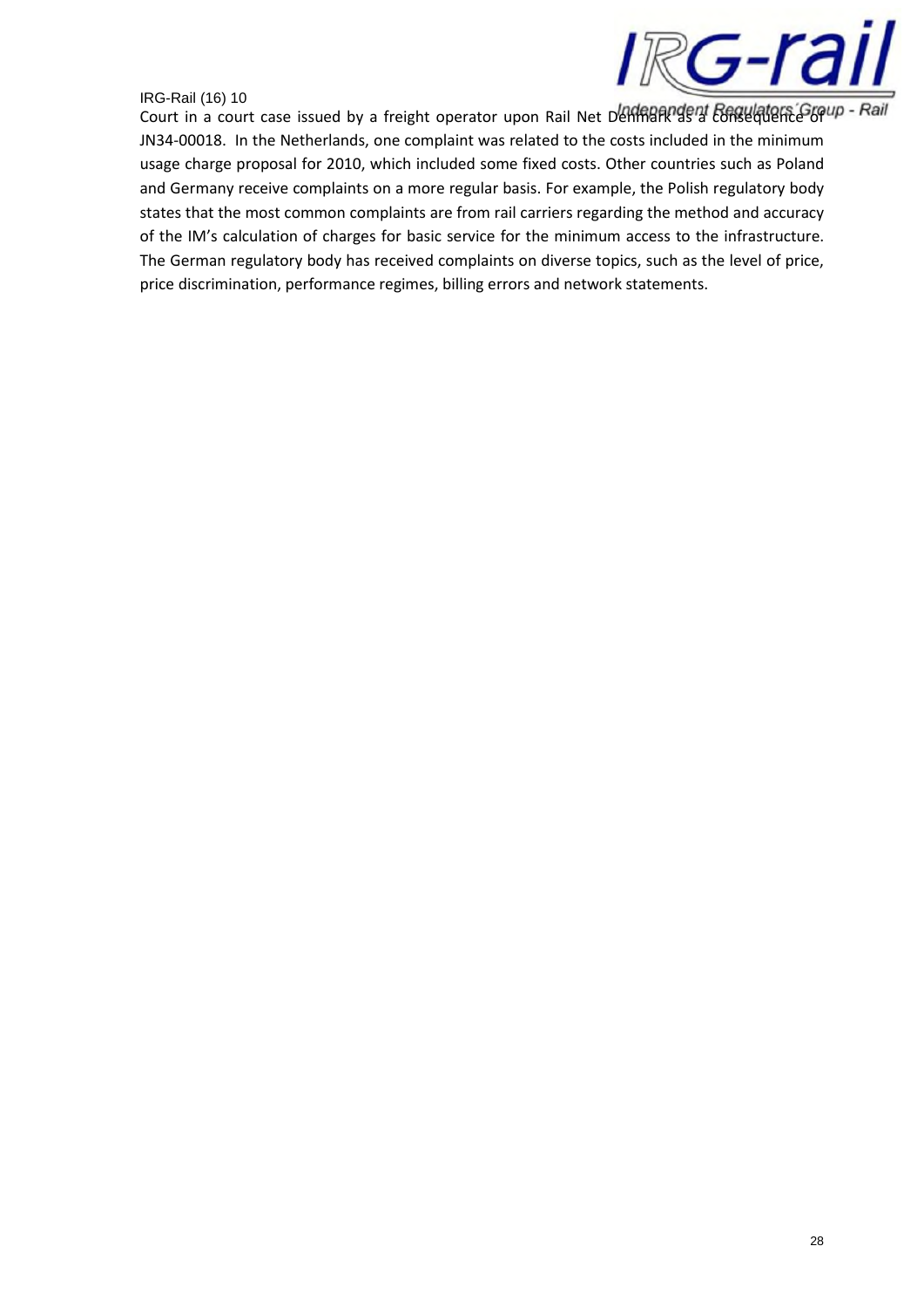

Court in a court case issued by a freight operator upon Rail Net Denmark as *Court in a court case issued by a freight operator upon Rail Net Denmark as Consequence of Rail* JN34-00018. In the Netherlands, one complaint was related to the costs included in the minimum usage charge proposal for 2010, which included some fixed costs. Other countries such as Poland and Germany receive complaints on a more regular basis. For example, the Polish regulatory body states that the most common complaints are from rail carriers regarding the method and accuracy of the IM's calculation of charges for basic service for the minimum access to the infrastructure. The German regulatory body has received complaints on diverse topics, such as the level of price, price discrimination, performance regimes, billing errors and network statements.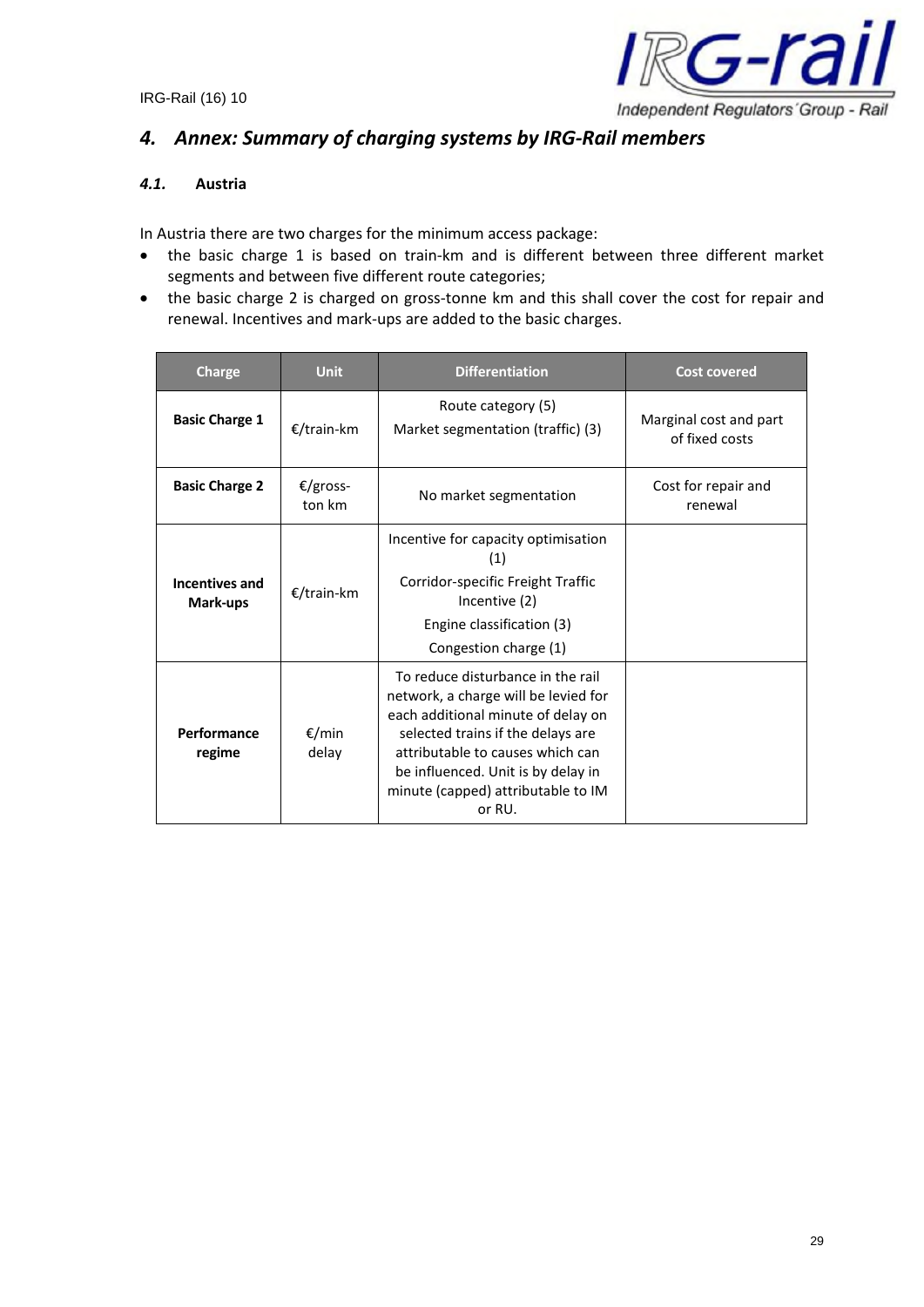

# *4. Annex: Summary of charging systems by IRG-Rail members*

## *4.1.* **Austria**

In Austria there are two charges for the minimum access package:

- the basic charge 1 is based on train-km and is different between three different market segments and between five different route categories;
- the basic charge 2 is charged on gross-tonne km and this shall cover the cost for repair and renewal. Incentives and mark-ups are added to the basic charges.

| <b>Charge</b>              | <b>Unit</b>        | <b>Differentiation</b>                                                                                                                                                                                                                                                         | <b>Cost covered</b>                      |
|----------------------------|--------------------|--------------------------------------------------------------------------------------------------------------------------------------------------------------------------------------------------------------------------------------------------------------------------------|------------------------------------------|
| <b>Basic Charge 1</b>      | €/train-km         | Route category (5)<br>Market segmentation (traffic) (3)                                                                                                                                                                                                                        | Marginal cost and part<br>of fixed costs |
| <b>Basic Charge 2</b>      | €/gross-<br>ton km | No market segmentation                                                                                                                                                                                                                                                         | Cost for repair and<br>renewal           |
| Incentives and<br>Mark-ups | €/train-km         | Incentive for capacity optimisation<br>(1)<br>Corridor-specific Freight Traffic<br>Incentive (2)<br>Engine classification (3)<br>Congestion charge (1)                                                                                                                         |                                          |
| Performance<br>regime      | €/min<br>delay     | To reduce disturbance in the rail<br>network, a charge will be levied for<br>each additional minute of delay on<br>selected trains if the delays are<br>attributable to causes which can<br>be influenced. Unit is by delay in<br>minute (capped) attributable to IM<br>or RU. |                                          |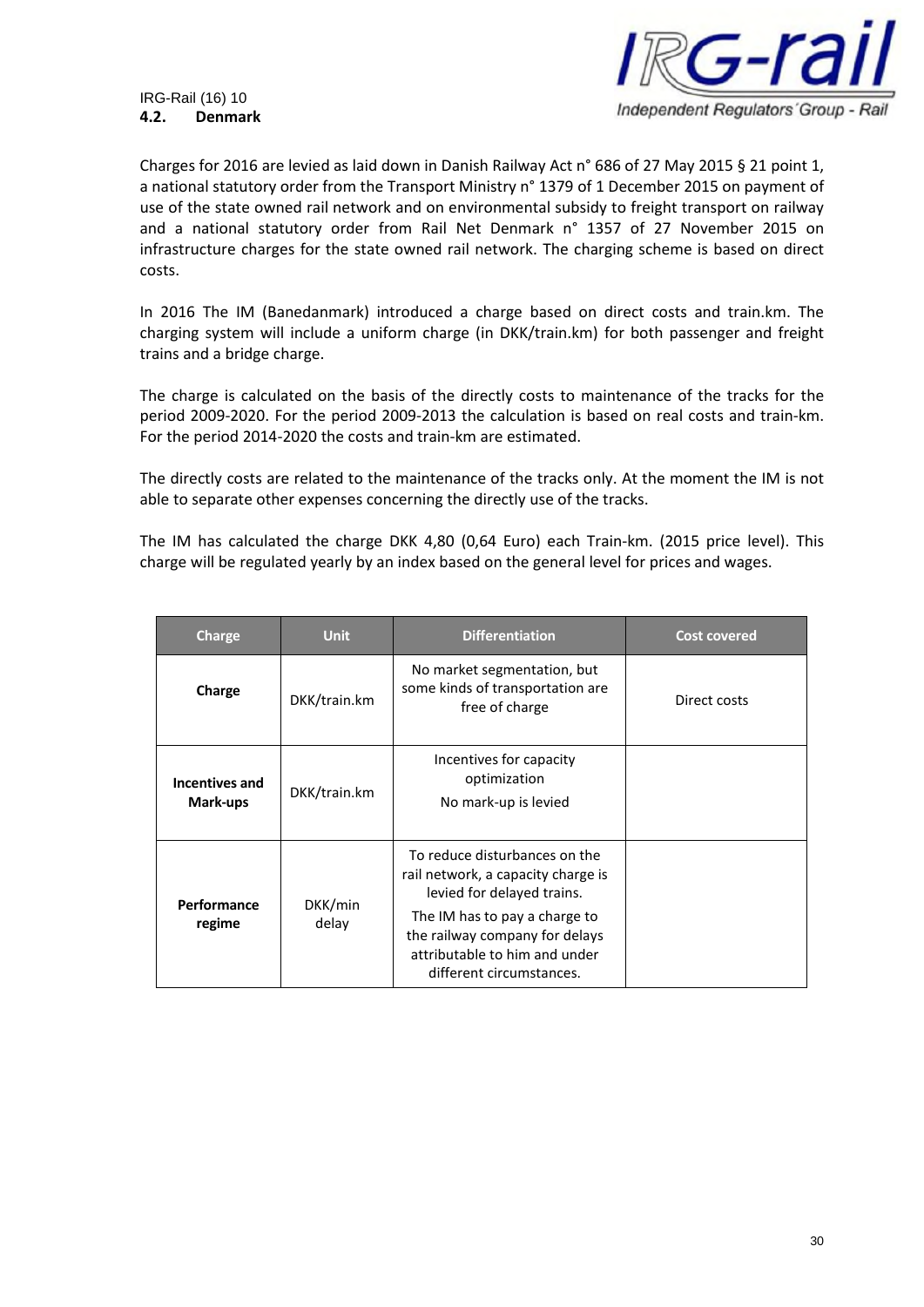#### IRG-Rail (16) 10 **4.2. Denmark**



Charges for 2016 are levied as laid down in Danish Railway Act n° 686 of 27 May 2015 § 21 point 1, a national statutory order from the Transport Ministry n° 1379 of 1 December 2015 on payment of use of the state owned rail network and on environmental subsidy to freight transport on railway and a national statutory order from Rail Net Denmark n° 1357 of 27 November 2015 on infrastructure charges for the state owned rail network. The charging scheme is based on direct costs.

In 2016 The IM (Banedanmark) introduced a charge based on direct costs and train.km. The charging system will include a uniform charge (in DKK/train.km) for both passenger and freight trains and a bridge charge.

The charge is calculated on the basis of the directly costs to maintenance of the tracks for the period 2009-2020. For the period 2009-2013 the calculation is based on real costs and train-km. For the period 2014-2020 the costs and train-km are estimated.

The directly costs are related to the maintenance of the tracks only. At the moment the IM is not able to separate other expenses concerning the directly use of the tracks.

The IM has calculated the charge DKK 4,80 (0,64 Euro) each Train-km. (2015 price level). This charge will be regulated yearly by an index based on the general level for prices and wages.

| Charge                                    | <b>Unit</b>  | <b>Differentiation</b>                                                                                                                                                                                                            | <b>Cost covered</b> |
|-------------------------------------------|--------------|-----------------------------------------------------------------------------------------------------------------------------------------------------------------------------------------------------------------------------------|---------------------|
| Charge                                    | DKK/train.km | No market segmentation, but<br>some kinds of transportation are<br>free of charge                                                                                                                                                 | Direct costs        |
| Incentives and<br>Mark-ups                | DKK/train.km | Incentives for capacity<br>optimization<br>No mark-up is levied                                                                                                                                                                   |                     |
| Performance<br>DKK/min<br>delay<br>regime |              | To reduce disturbances on the<br>rail network, a capacity charge is<br>levied for delayed trains.<br>The IM has to pay a charge to<br>the railway company for delays<br>attributable to him and under<br>different circumstances. |                     |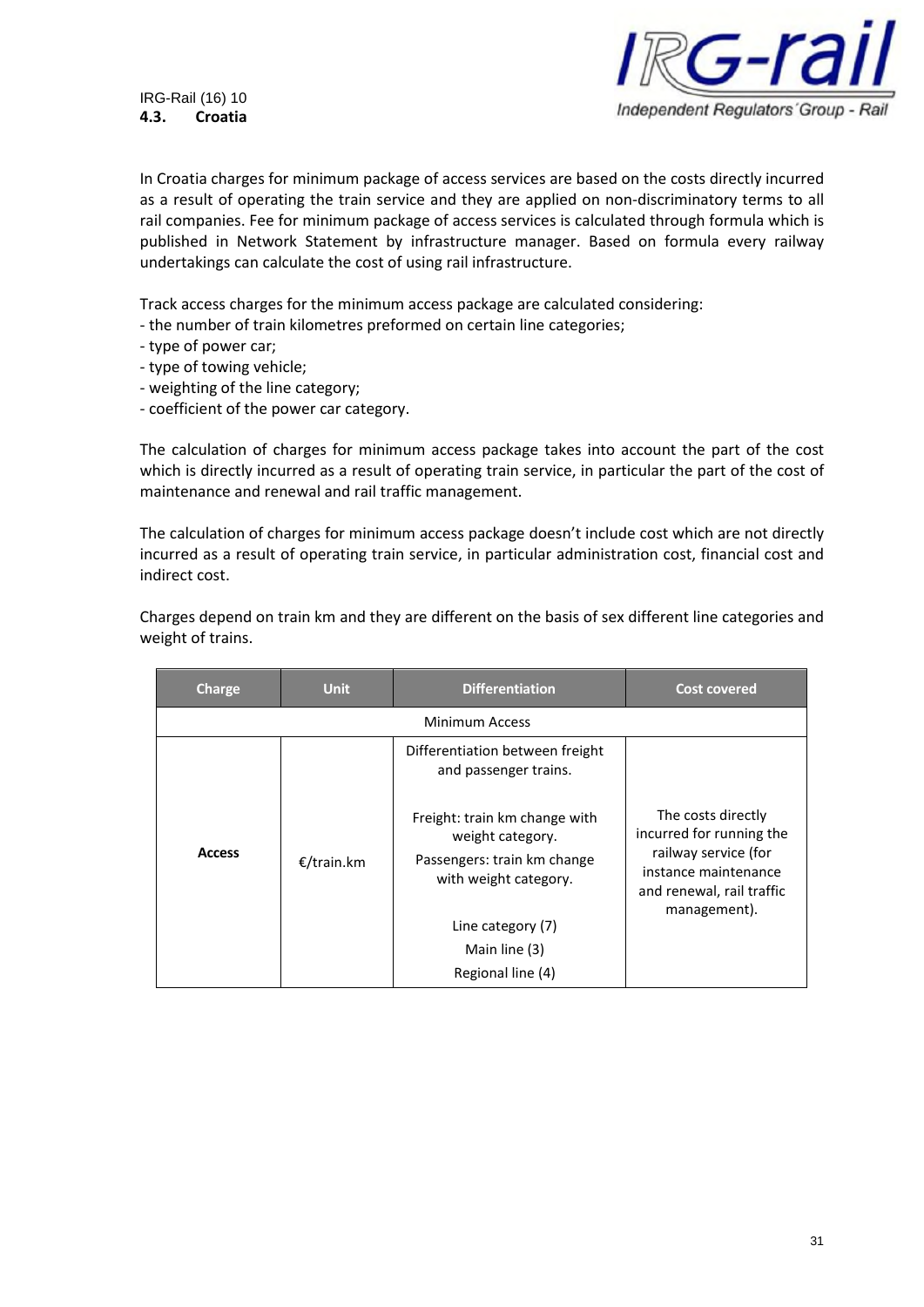

IRG-Rail (16) 10 **4.3. Croatia**

In Croatia charges for minimum package of access services are based on the costs directly incurred as a result of operating the train service and they are applied on non-discriminatory terms to all rail companies. Fee for minimum package of access services is calculated through formula which is published in Network Statement by infrastructure manager. Based on formula every railway undertakings can calculate the cost of using rail infrastructure.

Track access charges for the minimum access package are calculated considering:

- the number of train kilometres preformed on certain line categories;
- type of power car;
- type of towing vehicle;
- weighting of the line category;
- coefficient of the power car category.

The calculation of charges for minimum access package takes into account the part of the cost which is directly incurred as a result of operating train service, in particular the part of the cost of maintenance and renewal and rail traffic management.

The calculation of charges for minimum access package doesn't include cost which are not directly incurred as a result of operating train service, in particular administration cost, financial cost and indirect cost.

Charges depend on train km and they are different on the basis of sex different line categories and weight of trains.

| <b>Charge</b> | <b>Unit</b> | <b>Differentiation</b>                                                                                    | <b>Cost covered</b>                                                                                                                         |
|---------------|-------------|-----------------------------------------------------------------------------------------------------------|---------------------------------------------------------------------------------------------------------------------------------------------|
|               |             | Minimum Access                                                                                            |                                                                                                                                             |
|               |             | Differentiation between freight<br>and passenger trains.                                                  |                                                                                                                                             |
| <b>Access</b> | €/train.km  | Freight: train km change with<br>weight category.<br>Passengers: train km change<br>with weight category. | The costs directly<br>incurred for running the<br>railway service (for<br>instance maintenance<br>and renewal, rail traffic<br>management). |
|               |             | Line category (7)                                                                                         |                                                                                                                                             |
|               |             | Main line (3)                                                                                             |                                                                                                                                             |
|               |             | Regional line (4)                                                                                         |                                                                                                                                             |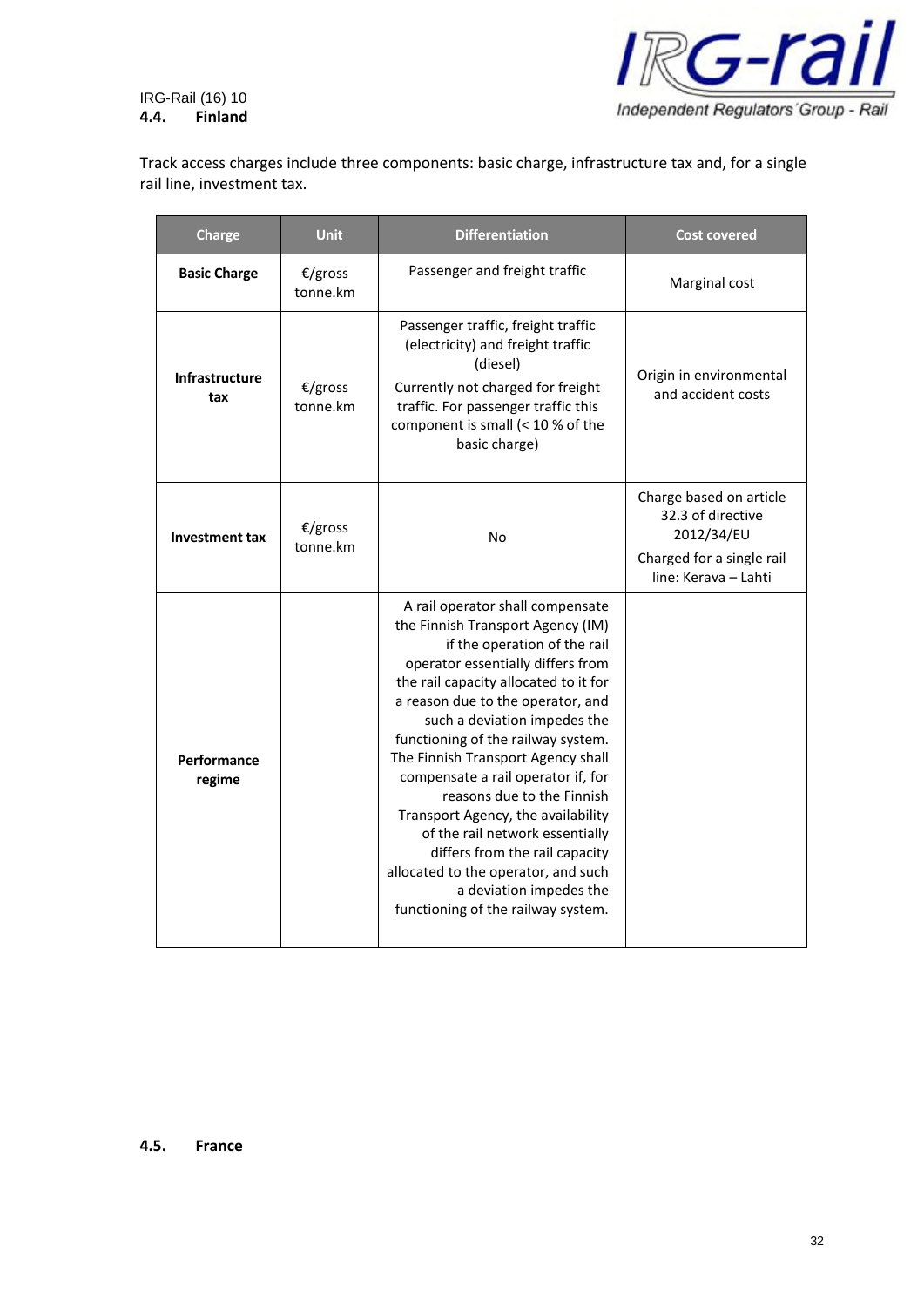IRG-Rail (16) 10 **4.4. Finland**



Track access charges include three components: basic charge, infrastructure tax and, for a single rail line, investment tax.

| <b>Charge</b>         | <b>Unit</b>         | <b>Differentiation</b>                                                                                                                                                                                                                                                                                                                                                                                                                                                                                                                                                                                                      | <b>Cost covered</b>                                                                                             |
|-----------------------|---------------------|-----------------------------------------------------------------------------------------------------------------------------------------------------------------------------------------------------------------------------------------------------------------------------------------------------------------------------------------------------------------------------------------------------------------------------------------------------------------------------------------------------------------------------------------------------------------------------------------------------------------------------|-----------------------------------------------------------------------------------------------------------------|
| <b>Basic Charge</b>   | €/gross<br>tonne.km | Passenger and freight traffic                                                                                                                                                                                                                                                                                                                                                                                                                                                                                                                                                                                               | Marginal cost                                                                                                   |
| Infrastructure<br>tax | €/gross<br>tonne.km | Passenger traffic, freight traffic<br>(electricity) and freight traffic<br>(diesel)<br>Currently not charged for freight<br>traffic. For passenger traffic this<br>component is small (< 10 % of the<br>basic charge)                                                                                                                                                                                                                                                                                                                                                                                                       | Origin in environmental<br>and accident costs                                                                   |
| <b>Investment tax</b> | €/gross<br>tonne.km | No                                                                                                                                                                                                                                                                                                                                                                                                                                                                                                                                                                                                                          | Charge based on article<br>32.3 of directive<br>2012/34/EU<br>Charged for a single rail<br>line: Kerava - Lahti |
| Performance<br>regime |                     | A rail operator shall compensate<br>the Finnish Transport Agency (IM)<br>if the operation of the rail<br>operator essentially differs from<br>the rail capacity allocated to it for<br>a reason due to the operator, and<br>such a deviation impedes the<br>functioning of the railway system.<br>The Finnish Transport Agency shall<br>compensate a rail operator if, for<br>reasons due to the Finnish<br>Transport Agency, the availability<br>of the rail network essentially<br>differs from the rail capacity<br>allocated to the operator, and such<br>a deviation impedes the<br>functioning of the railway system. |                                                                                                                 |

#### **4.5. France**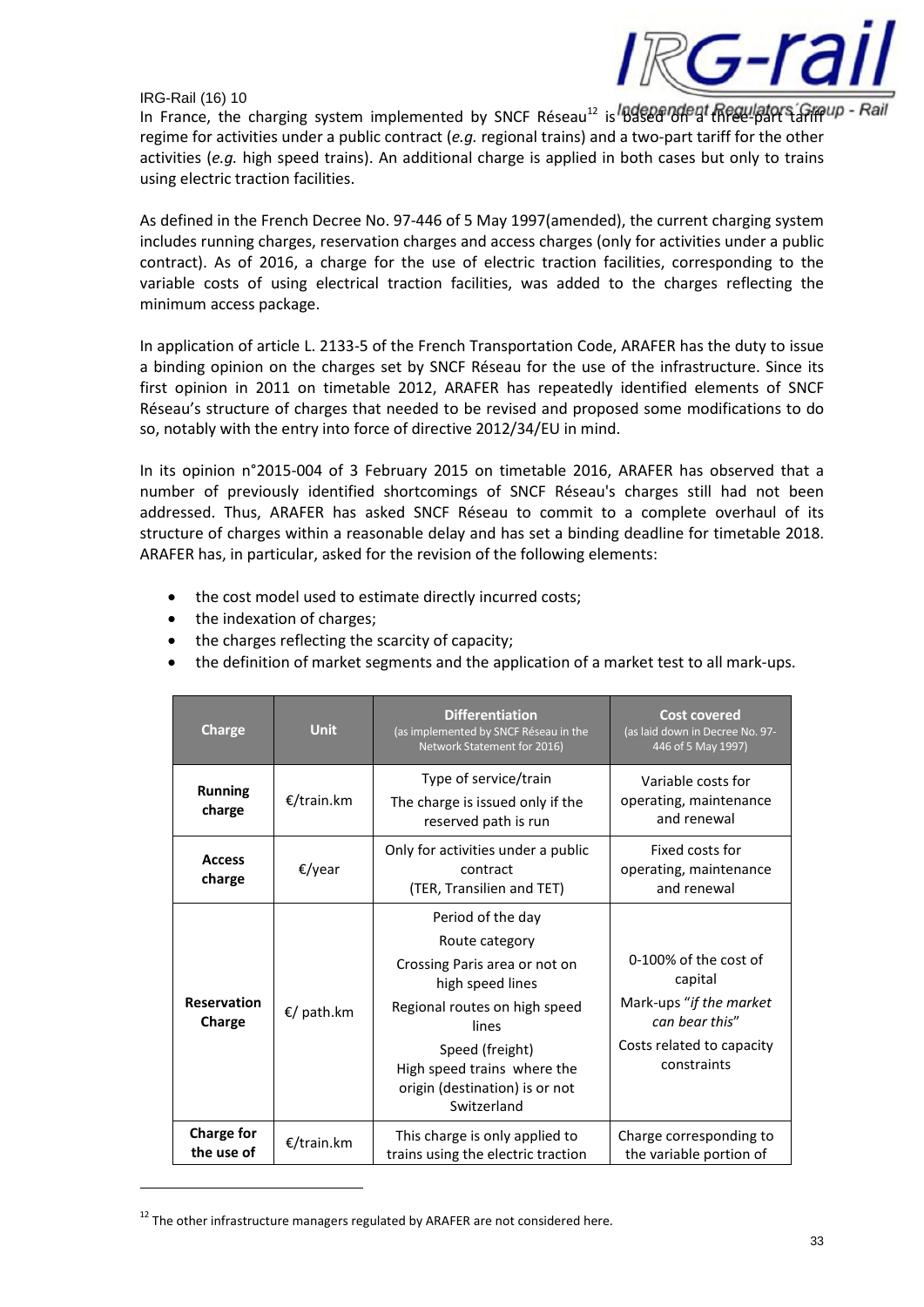

In France, the charging system implemented by SNCF Réseau<sup>12</sup> is **Based on at Requisions Graup** regime for activities under a public contract (*e.g.* regional trains) and a two-part tariff for the other activities (*e.g.* high speed trains). An additional charge is applied in both cases but only to trains using electric traction facilities.

As defined in the French Decree No. 97-446 of 5 May 1997(amended), the current charging system includes running charges, reservation charges and access charges (only for activities under a public contract). As of 2016, a charge for the use of electric traction facilities, corresponding to the variable costs of using electrical traction facilities, was added to the charges reflecting the minimum access package.

In application of article L. 2133-5 of the French Transportation Code, ARAFER has the duty to issue a binding opinion on the charges set by SNCF Réseau for the use of the infrastructure. Since its first opinion in 2011 on timetable 2012, ARAFER has repeatedly identified elements of SNCF Réseau's structure of charges that needed to be revised and proposed some modifications to do so, notably with the entry into force of directive 2012/34/EU in mind.

In its opinion n°2015-004 of 3 February 2015 on timetable 2016, ARAFER has observed that a number of previously identified shortcomings of SNCF Réseau's charges still had not been addressed. Thus, ARAFER has asked SNCF Réseau to commit to a complete overhaul of its structure of charges within a reasonable delay and has set a binding deadline for timetable 2018. ARAFER has, in particular, asked for the revision of the following elements:

- the cost model used to estimate directly incurred costs;
- the indexation of charges;
- the charges reflecting the scarcity of capacity;
- the definition of market segments and the application of a market test to all mark-ups.

| <b>Charge</b>                   | <b>Unit</b> | <b>Differentiation</b><br>(as implemented by SNCF Réseau in the<br>Network Statement for 2016)                                                                                                                                        | <b>Cost covered</b><br>(as laid down in Decree No. 97-<br>446 of 5 May 1997)                                              |
|---------------------------------|-------------|---------------------------------------------------------------------------------------------------------------------------------------------------------------------------------------------------------------------------------------|---------------------------------------------------------------------------------------------------------------------------|
| <b>Running</b><br>charge        | €/train.km  | Type of service/train<br>The charge is issued only if the<br>reserved path is run                                                                                                                                                     | Variable costs for<br>operating, maintenance<br>and renewal                                                               |
| <b>Access</b><br>charge         | €/year      | Only for activities under a public<br>contract<br>(TER, Transilien and TET)                                                                                                                                                           | Fixed costs for<br>operating, maintenance<br>and renewal                                                                  |
| <b>Reservation</b><br>Charge    | €/ path.km  | Period of the day<br>Route category<br>Crossing Paris area or not on<br>high speed lines<br>Regional routes on high speed<br>lines<br>Speed (freight)<br>High speed trains where the<br>origin (destination) is or not<br>Switzerland | 0-100% of the cost of<br>capital<br>Mark-ups "if the market<br>can hear this"<br>Costs related to capacity<br>constraints |
| <b>Charge for</b><br>the use of | €/train.km  | This charge is only applied to<br>trains using the electric traction                                                                                                                                                                  | Charge corresponding to<br>the variable portion of                                                                        |

 $12$  The other infrastructure managers regulated by ARAFER are not considered here.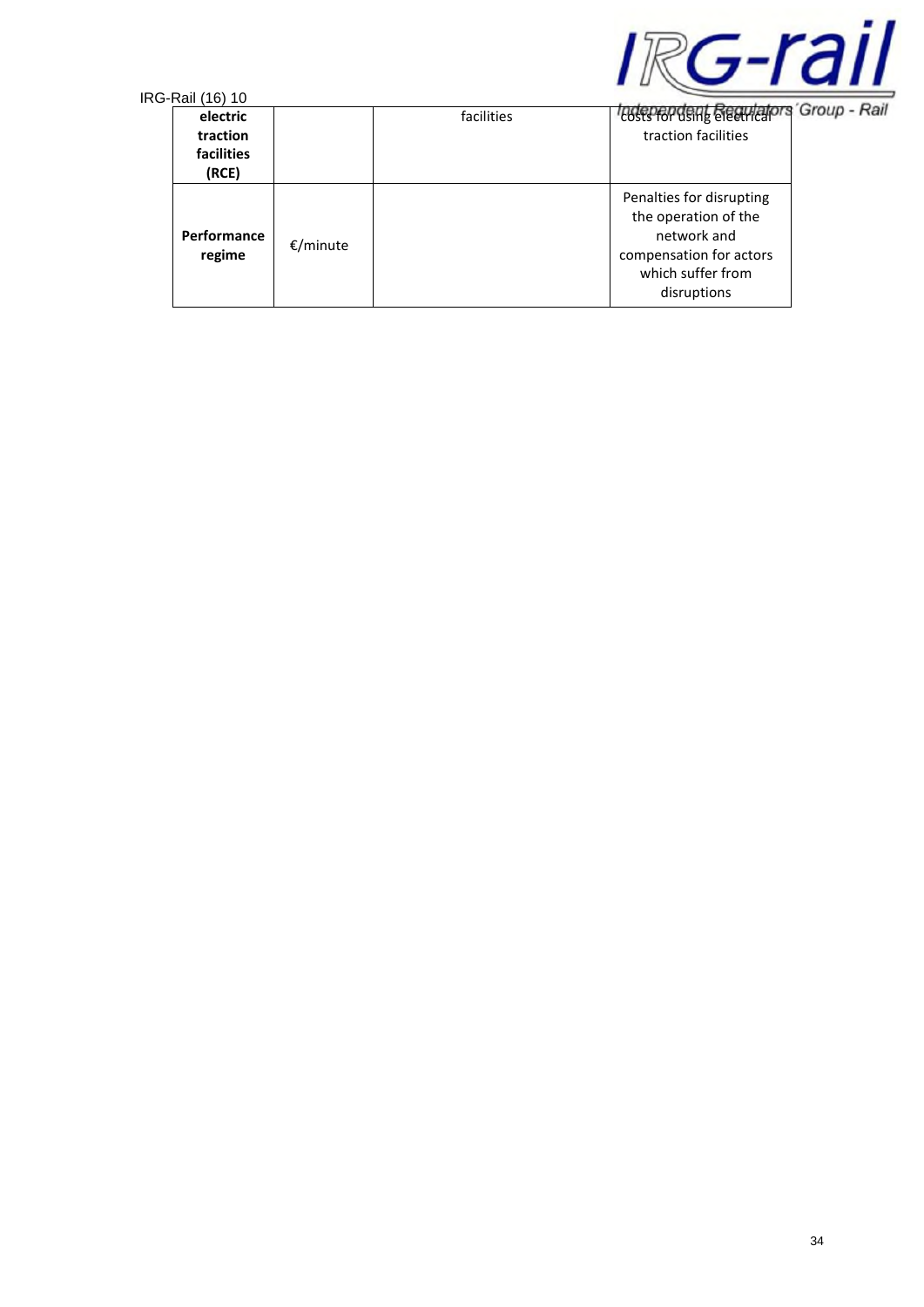

| electric<br>traction<br><b>facilities</b><br>(RCE) |          | facilities | <i><b>Todependent Requiators</b></i><br>traction facilities                                                                    | 'Group - Ra |
|----------------------------------------------------|----------|------------|--------------------------------------------------------------------------------------------------------------------------------|-------------|
| <b>Performance</b><br>regime                       | €/minute |            | Penalties for disrupting<br>the operation of the<br>network and<br>compensation for actors<br>which suffer from<br>disruptions |             |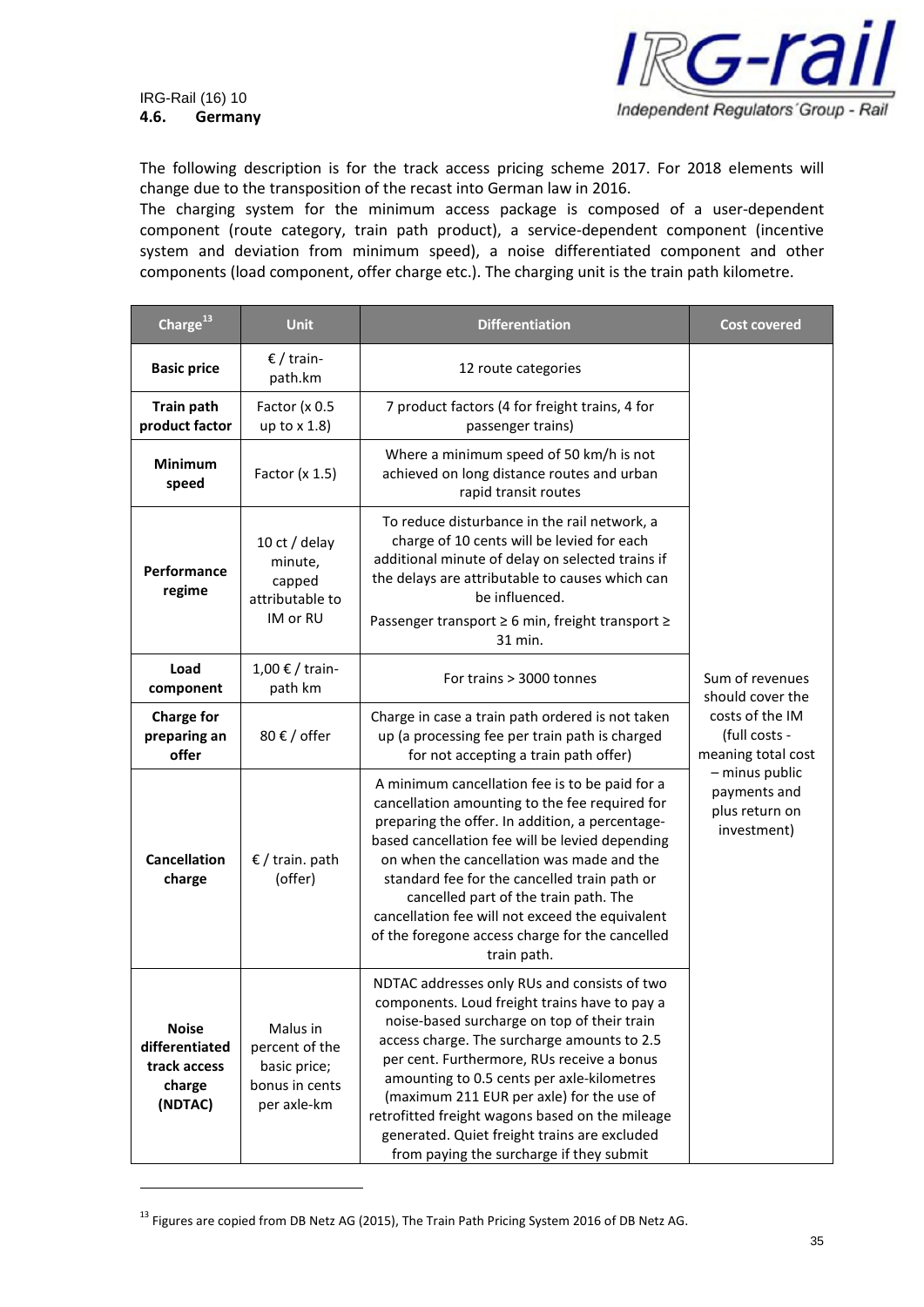

The following description is for the track access pricing scheme 2017. For 2018 elements will change due to the transposition of the recast into German law in 2016.

The charging system for the minimum access package is composed of a user-dependent component (route category, train path product), a service-dependent component (incentive system and deviation from minimum speed), a noise differentiated component and other components (load component, offer charge etc.). The charging unit is the train path kilometre.

| Charge <sup>13</sup>                                                                                                                               | <b>Unit</b>                                                       | <b>Differentiation</b>                                                                                                                                                                                                                                                                                                                                                                                                                                                              | <b>Cost covered</b>                                             |
|----------------------------------------------------------------------------------------------------------------------------------------------------|-------------------------------------------------------------------|-------------------------------------------------------------------------------------------------------------------------------------------------------------------------------------------------------------------------------------------------------------------------------------------------------------------------------------------------------------------------------------------------------------------------------------------------------------------------------------|-----------------------------------------------------------------|
| <b>Basic price</b>                                                                                                                                 | € / train-<br>path.km                                             | 12 route categories                                                                                                                                                                                                                                                                                                                                                                                                                                                                 |                                                                 |
| <b>Train path</b><br>product factor                                                                                                                | Factor (x 0.5<br>up to $x$ 1.8)                                   | 7 product factors (4 for freight trains, 4 for<br>passenger trains)                                                                                                                                                                                                                                                                                                                                                                                                                 |                                                                 |
| <b>Minimum</b><br>speed                                                                                                                            | Factor $(x 1.5)$                                                  | Where a minimum speed of 50 km/h is not<br>achieved on long distance routes and urban<br>rapid transit routes                                                                                                                                                                                                                                                                                                                                                                       |                                                                 |
| Performance<br>regime                                                                                                                              | 10 ct / delay<br>minute,<br>capped<br>attributable to<br>IM or RU | To reduce disturbance in the rail network, a<br>charge of 10 cents will be levied for each<br>additional minute of delay on selected trains if<br>the delays are attributable to causes which can<br>be influenced.<br>Passenger transport ≥ 6 min, freight transport ≥<br>31 min.                                                                                                                                                                                                  |                                                                 |
| Load<br>component                                                                                                                                  | 1,00 € / train-<br>path km                                        | For trains > 3000 tonnes                                                                                                                                                                                                                                                                                                                                                                                                                                                            | Sum of revenues<br>should cover the                             |
| <b>Charge for</b><br>preparing an<br>offer                                                                                                         | 80 € / offer                                                      | Charge in case a train path ordered is not taken<br>up (a processing fee per train path is charged<br>for not accepting a train path offer)                                                                                                                                                                                                                                                                                                                                         | costs of the IM<br>(full costs -<br>meaning total cost          |
| <b>Cancellation</b><br>$\epsilon$ / train. path<br>(offer)<br>charge<br>train path.                                                                |                                                                   | A minimum cancellation fee is to be paid for a<br>cancellation amounting to the fee required for<br>preparing the offer. In addition, a percentage-<br>based cancellation fee will be levied depending<br>on when the cancellation was made and the<br>standard fee for the cancelled train path or<br>cancelled part of the train path. The<br>cancellation fee will not exceed the equivalent<br>of the foregone access charge for the cancelled                                  | - minus public<br>payments and<br>plus return on<br>investment) |
| <b>Noise</b><br>Malus in<br>differentiated<br>percent of the<br>track access<br>basic price;<br>bonus in cents<br>charge<br>(NDTAC)<br>per axle-km |                                                                   | NDTAC addresses only RUs and consists of two<br>components. Loud freight trains have to pay a<br>noise-based surcharge on top of their train<br>access charge. The surcharge amounts to 2.5<br>per cent. Furthermore, RUs receive a bonus<br>amounting to 0.5 cents per axle-kilometres<br>(maximum 211 EUR per axle) for the use of<br>retrofitted freight wagons based on the mileage<br>generated. Quiet freight trains are excluded<br>from paying the surcharge if they submit |                                                                 |

<sup>&</sup>lt;sup>13</sup> Figures are copied from DB Netz AG (2015), The Train Path Pricing System 2016 of DB Netz AG.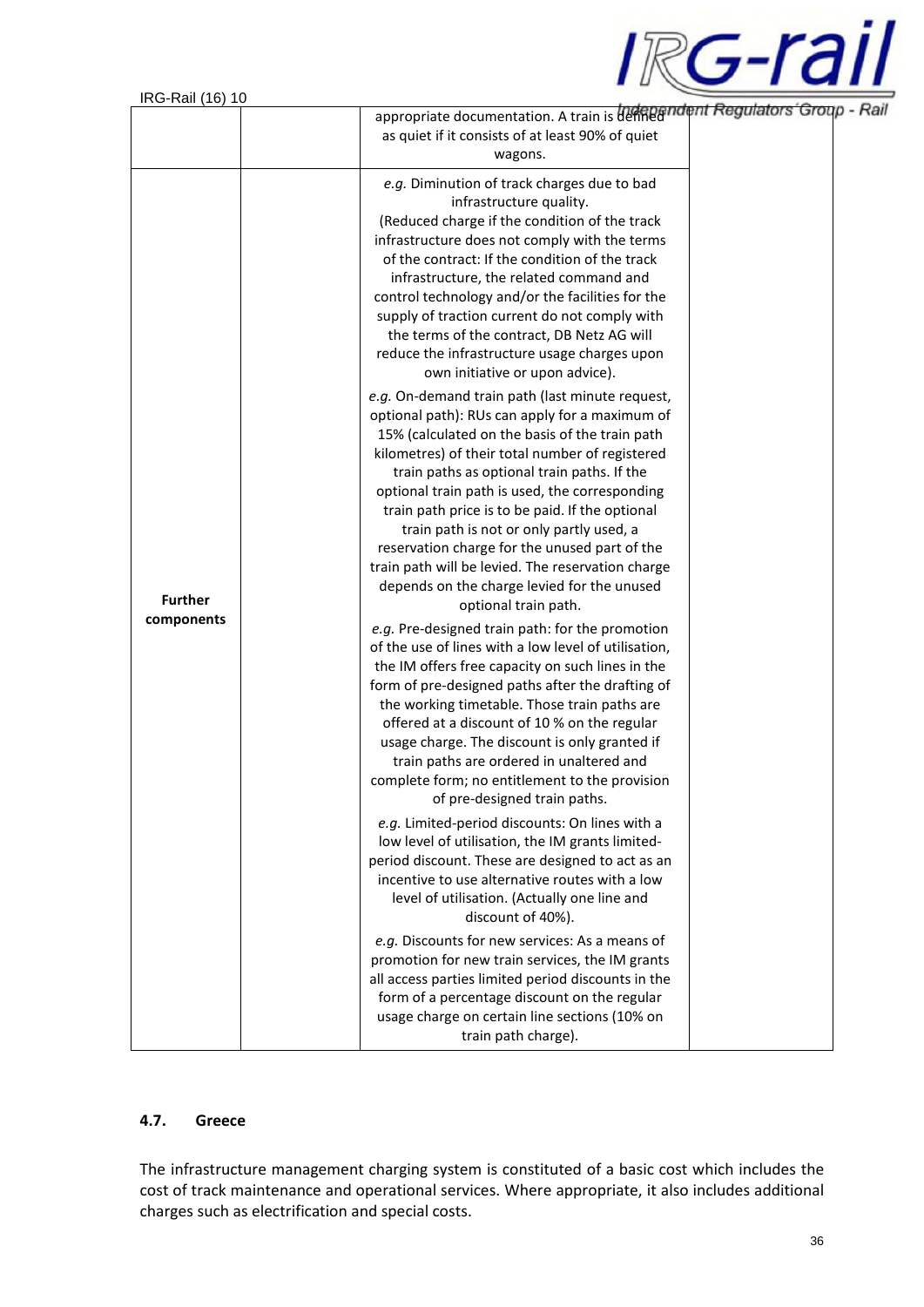

| $1110 - 1101$ $101$ | appropriate documentation. A train is defined independent Regulators Group - F                                                                                                                                                                                                                                                                                                                                                                                                                                                                                                      |  |
|---------------------|-------------------------------------------------------------------------------------------------------------------------------------------------------------------------------------------------------------------------------------------------------------------------------------------------------------------------------------------------------------------------------------------------------------------------------------------------------------------------------------------------------------------------------------------------------------------------------------|--|
|                     | as quiet if it consists of at least 90% of quiet<br>wagons.                                                                                                                                                                                                                                                                                                                                                                                                                                                                                                                         |  |
|                     | e.g. Diminution of track charges due to bad<br>infrastructure quality.<br>(Reduced charge if the condition of the track<br>infrastructure does not comply with the terms<br>of the contract: If the condition of the track<br>infrastructure, the related command and<br>control technology and/or the facilities for the<br>supply of traction current do not comply with<br>the terms of the contract, DB Netz AG will<br>reduce the infrastructure usage charges upon<br>own initiative or upon advice).                                                                         |  |
| <b>Further</b>      | e.g. On-demand train path (last minute request,<br>optional path): RUs can apply for a maximum of<br>15% (calculated on the basis of the train path<br>kilometres) of their total number of registered<br>train paths as optional train paths. If the<br>optional train path is used, the corresponding<br>train path price is to be paid. If the optional<br>train path is not or only partly used, a<br>reservation charge for the unused part of the<br>train path will be levied. The reservation charge<br>depends on the charge levied for the unused<br>optional train path. |  |
| components          | e.g. Pre-designed train path: for the promotion<br>of the use of lines with a low level of utilisation,<br>the IM offers free capacity on such lines in the<br>form of pre-designed paths after the drafting of<br>the working timetable. Those train paths are<br>offered at a discount of 10 % on the regular<br>usage charge. The discount is only granted if<br>train paths are ordered in unaltered and<br>complete form; no entitlement to the provision<br>of pre-designed train paths.                                                                                      |  |
|                     | e.g. Limited-period discounts: On lines with a<br>low level of utilisation, the IM grants limited-<br>period discount. These are designed to act as an<br>incentive to use alternative routes with a low<br>level of utilisation. (Actually one line and<br>discount of 40%).                                                                                                                                                                                                                                                                                                       |  |
|                     | e.g. Discounts for new services: As a means of<br>promotion for new train services, the IM grants<br>all access parties limited period discounts in the<br>form of a percentage discount on the regular<br>usage charge on certain line sections (10% on<br>train path charge).                                                                                                                                                                                                                                                                                                     |  |

## **4.7. Greece**

The infrastructure management charging system is constituted of a basic cost which includes the cost of track maintenance and operational services. Where appropriate, it also includes additional charges such as electrification and special costs.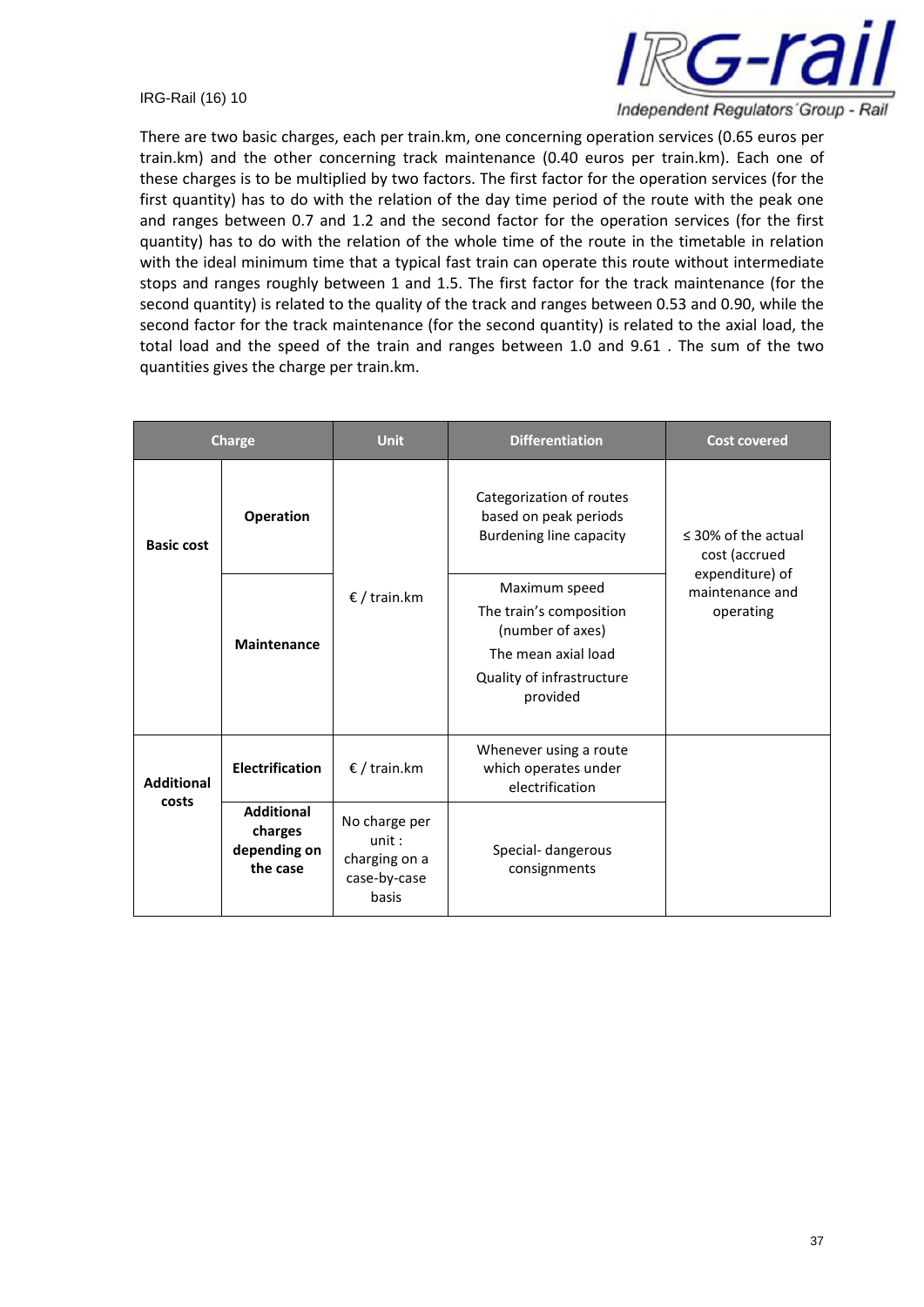

There are two basic charges, each per train.km, one concerning operation services (0.65 euros per train.km) and the other concerning track maintenance (0.40 euros per train.km). Each one of these charges is to be multiplied by two factors. The first factor for the operation services (for the first quantity) has to do with the relation of the day time period of the route with the peak one and ranges between 0.7 and 1.2 and the second factor for the operation services (for the first quantity) has to do with the relation of the whole time of the route in the timetable in relation with the ideal minimum time that a typical fast train can operate this route without intermediate stops and ranges roughly between 1 and 1.5. The first factor for the track maintenance (for the second quantity) is related to the quality of the track and ranges between 0.53 and 0.90, while the second factor for the track maintenance (for the second quantity) is related to the axial load, the total load and the speed of the train and ranges between 1.0 and 9.61 . The sum of the two quantities gives the charge per train.km.

| <b>Charge</b>              |                                                          | <b>Unit</b>                                                      | <b>Differentiation</b>                                                                                                       | <b>Cost covered</b>                             |
|----------------------------|----------------------------------------------------------|------------------------------------------------------------------|------------------------------------------------------------------------------------------------------------------------------|-------------------------------------------------|
| <b>Basic cost</b>          | Operation                                                |                                                                  | Categorization of routes<br>based on peak periods<br><b>Burdening line capacity</b>                                          | $\leq$ 30% of the actual<br>cost (accrued       |
|                            | <b>Maintenance</b>                                       | € / train.km                                                     | Maximum speed<br>The train's composition<br>(number of axes)<br>The mean axial load<br>Quality of infrastructure<br>provided | expenditure) of<br>maintenance and<br>operating |
| <b>Additional</b><br>costs | <b>Electrification</b>                                   | € / train.km                                                     | Whenever using a route<br>which operates under<br>electrification                                                            |                                                 |
|                            | <b>Additional</b><br>charges<br>depending on<br>the case | No charge per<br>unit:<br>charging on a<br>case-by-case<br>basis | Special- dangerous<br>consignments                                                                                           |                                                 |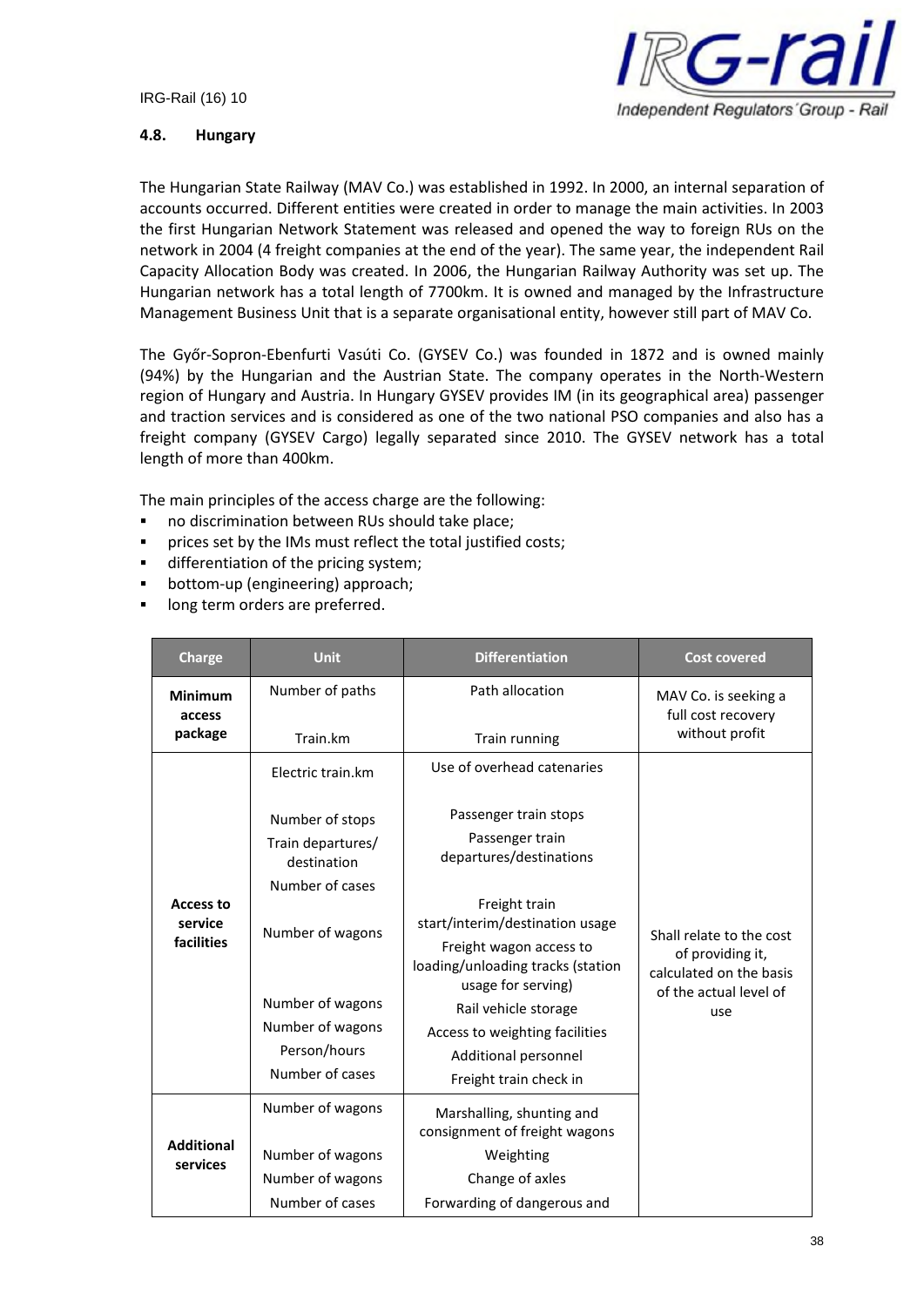

## **4.8. Hungary**

The Hungarian State Railway (MAV Co.) was established in 1992. In 2000, an internal separation of accounts occurred. Different entities were created in order to manage the main activities. In 2003 the first Hungarian Network Statement was released and opened the way to foreign RUs on the network in 2004 (4 freight companies at the end of the year). The same year, the independent Rail Capacity Allocation Body was created. In 2006, the Hungarian Railway Authority was set up. The Hungarian network has a total length of 7700km. It is owned and managed by the Infrastructure Management Business Unit that is a separate organisational entity, however still part of MAV Co.

The Győr-Sopron-Ebenfurti Vasúti Co. (GYSEV Co.) was founded in 1872 and is owned mainly (94%) by the Hungarian and the Austrian State. The company operates in the North-Western region of Hungary and Austria. In Hungary GYSEV provides IM (in its geographical area) passenger and traction services and is considered as one of the two national PSO companies and also has a freight company (GYSEV Cargo) legally separated since 2010. The GYSEV network has a total length of more than 400km.

The main principles of the access charge are the following:

- no discrimination between RUs should take place;
- **PED FIGUREY 11** prices set by the IMs must reflect the total justified costs;
- differentiation of the pricing system;
- bottom-up (engineering) approach;
- **IDONG** long term orders are preferred.

| <b>Charge</b>                             | <b>Unit</b>                                         | <b>Differentiation</b>                                                             | <b>Cost covered</b>                                                                               |
|-------------------------------------------|-----------------------------------------------------|------------------------------------------------------------------------------------|---------------------------------------------------------------------------------------------------|
| <b>Minimum</b><br>access                  | Number of paths                                     | Path allocation                                                                    | MAV Co. is seeking a<br>full cost recovery                                                        |
| package                                   | Train.km                                            | Train running                                                                      | without profit                                                                                    |
|                                           | Electric train.km                                   | Use of overhead catenaries                                                         |                                                                                                   |
|                                           | Number of stops<br>Train departures/<br>destination | Passenger train stops<br>Passenger train<br>departures/destinations                |                                                                                                   |
|                                           | Number of cases                                     |                                                                                    |                                                                                                   |
| <b>Access to</b><br>service<br>facilities | Number of wagons                                    | Freight train<br>start/interim/destination usage                                   | Shall relate to the cost<br>of providing it,<br>calculated on the basis<br>of the actual level of |
|                                           |                                                     | Freight wagon access to<br>loading/unloading tracks (station<br>usage for serving) |                                                                                                   |
|                                           | Number of wagons                                    | Rail vehicle storage                                                               | use                                                                                               |
|                                           | Number of wagons                                    | Access to weighting facilities                                                     |                                                                                                   |
|                                           | Person/hours                                        | Additional personnel                                                               |                                                                                                   |
|                                           | Number of cases                                     | Freight train check in                                                             |                                                                                                   |
|                                           | Number of wagons                                    | Marshalling, shunting and<br>consignment of freight wagons                         |                                                                                                   |
| <b>Additional</b><br>services             | Number of wagons                                    | Weighting                                                                          |                                                                                                   |
|                                           | Number of wagons                                    | Change of axles                                                                    |                                                                                                   |
|                                           | Number of cases                                     | Forwarding of dangerous and                                                        |                                                                                                   |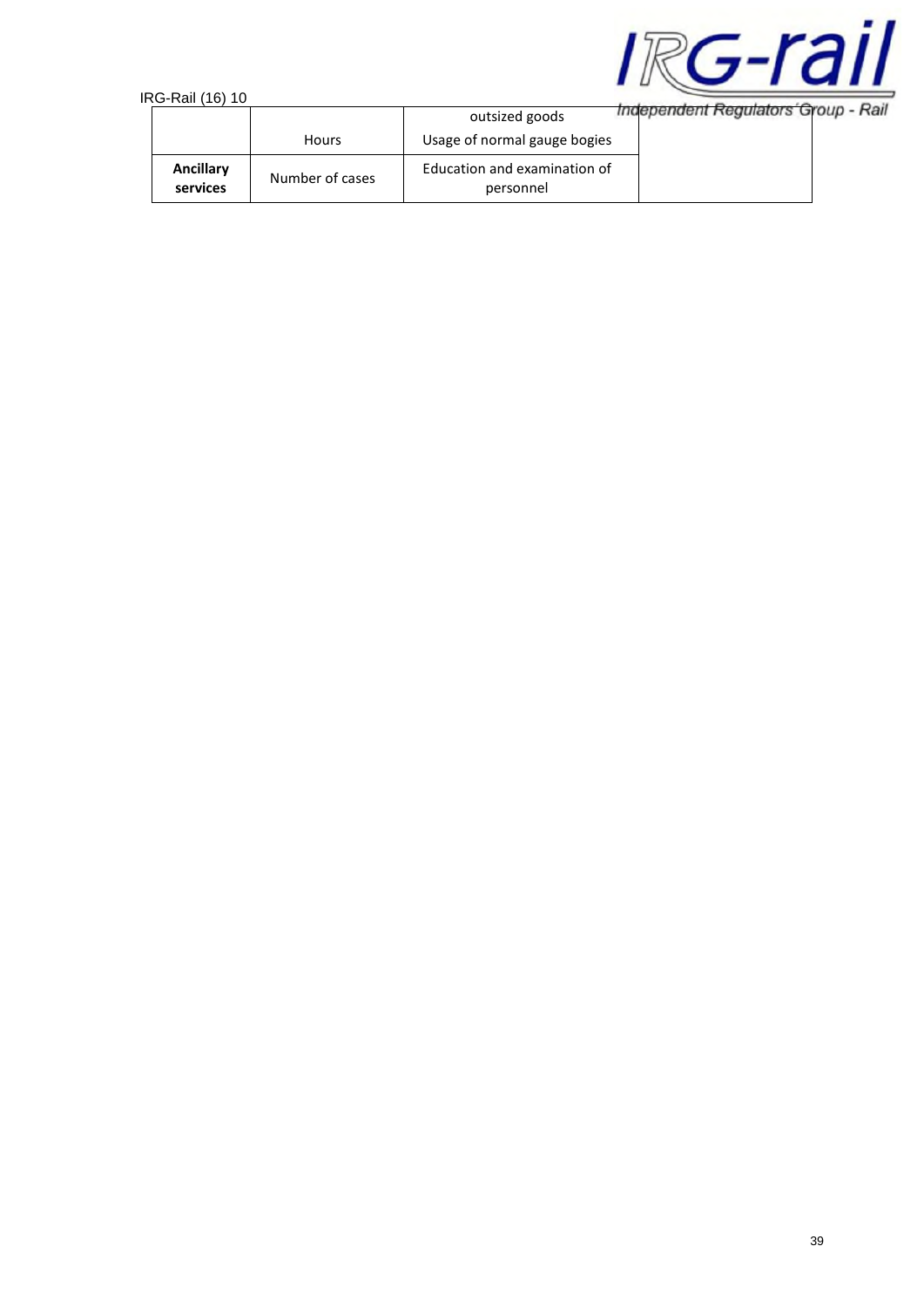

| טו נטון ווסח־טר              |                 |                                           |                                     |
|------------------------------|-----------------|-------------------------------------------|-------------------------------------|
|                              |                 | outsized goods                            | Independent Regulators Group - Rail |
|                              | <b>Hours</b>    | Usage of normal gauge bogies              |                                     |
| <b>Ancillary</b><br>services | Number of cases | Education and examination of<br>personnel |                                     |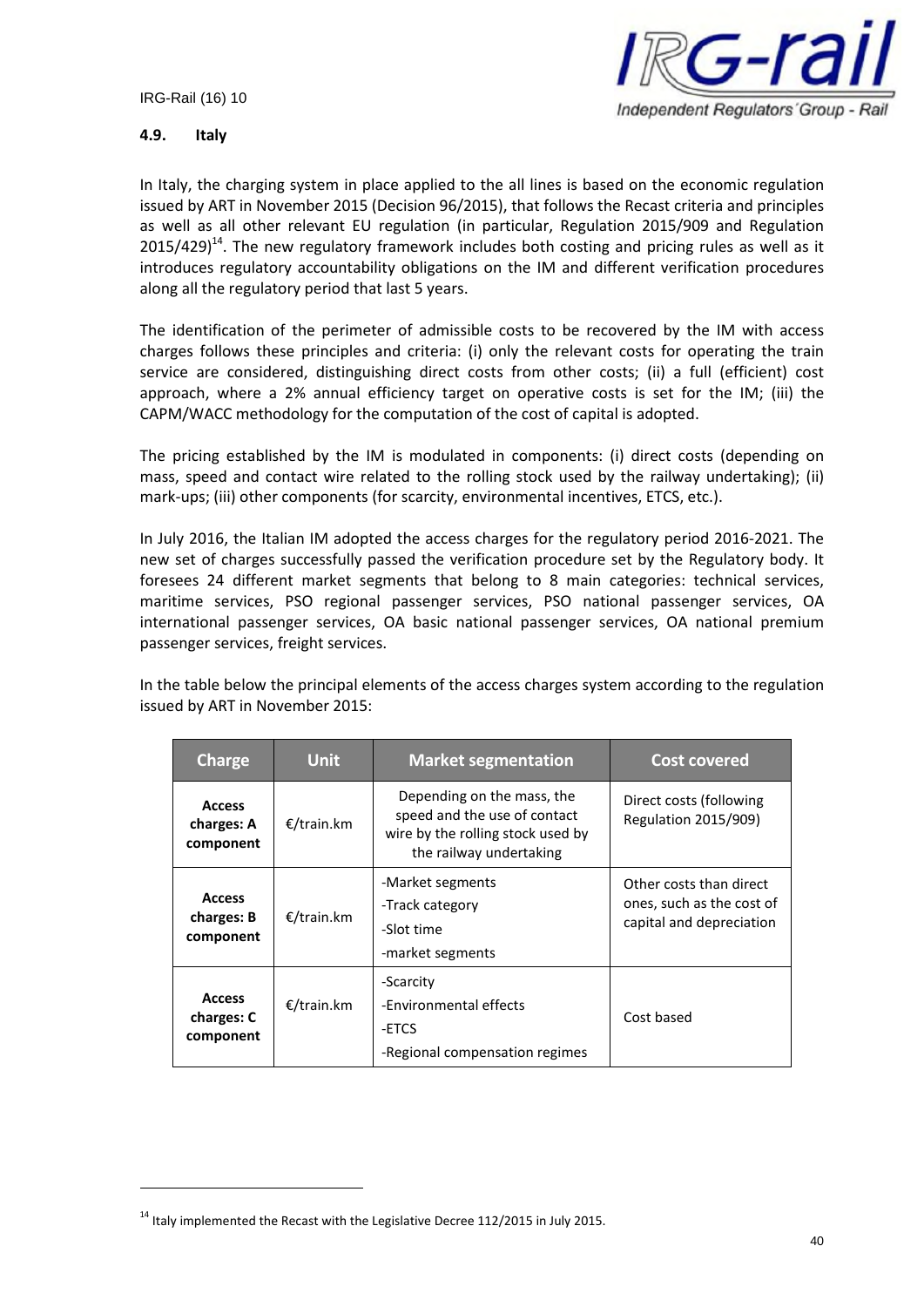

## **4.9. Italy**

In Italy, the charging system in place applied to the all lines is based on the economic regulation issued by ART in November 2015 (Decision 96/2015), that follows the Recast criteria and principles as well as all other relevant EU regulation (in particular, Regulation 2015/909 and Regulation  $2015/429$ <sup>14</sup>. The new regulatory framework includes both costing and pricing rules as well as it introduces regulatory accountability obligations on the IM and different verification procedures along all the regulatory period that last 5 years.

The identification of the perimeter of admissible costs to be recovered by the IM with access charges follows these principles and criteria: (i) only the relevant costs for operating the train service are considered, distinguishing direct costs from other costs; (ii) a full (efficient) cost approach, where a 2% annual efficiency target on operative costs is set for the IM; (iii) the CAPM/WACC methodology for the computation of the cost of capital is adopted.

The pricing established by the IM is modulated in components: (i) direct costs (depending on mass, speed and contact wire related to the rolling stock used by the railway undertaking); (ii) mark-ups; (iii) other components (for scarcity, environmental incentives, ETCS, etc.).

In July 2016, the Italian IM adopted the access charges for the regulatory period 2016-2021. The new set of charges successfully passed the verification procedure set by the Regulatory body. It foresees 24 different market segments that belong to 8 main categories: technical services, maritime services, PSO regional passenger services, PSO national passenger services, OA international passenger services, OA basic national passenger services, OA national premium passenger services, freight services.

In the table below the principal elements of the access charges system according to the regulation issued by ART in November 2015:

| <b>Charge</b>                            | <b>Unit</b> | <b>Market segmentation</b>                                                                                                 | Cost covered                                                                     |
|------------------------------------------|-------------|----------------------------------------------------------------------------------------------------------------------------|----------------------------------------------------------------------------------|
| <b>Access</b><br>charges: A<br>component | €/train.km  | Depending on the mass, the<br>speed and the use of contact<br>wire by the rolling stock used by<br>the railway undertaking | Direct costs (following<br><b>Regulation 2015/909)</b>                           |
| <b>Access</b><br>charges: B<br>component | €/train.km  | -Market segments<br>-Track category<br>-Slot time<br>-market segments                                                      | Other costs than direct<br>ones, such as the cost of<br>capital and depreciation |
| <b>Access</b><br>charges: C<br>component | €/train.km  | -Scarcity<br>-Environmental effects<br>-ETCS<br>-Regional compensation regimes                                             | Cost based                                                                       |

 $14$  Italy implemented the Recast with the Legislative Decree 112/2015 in July 2015.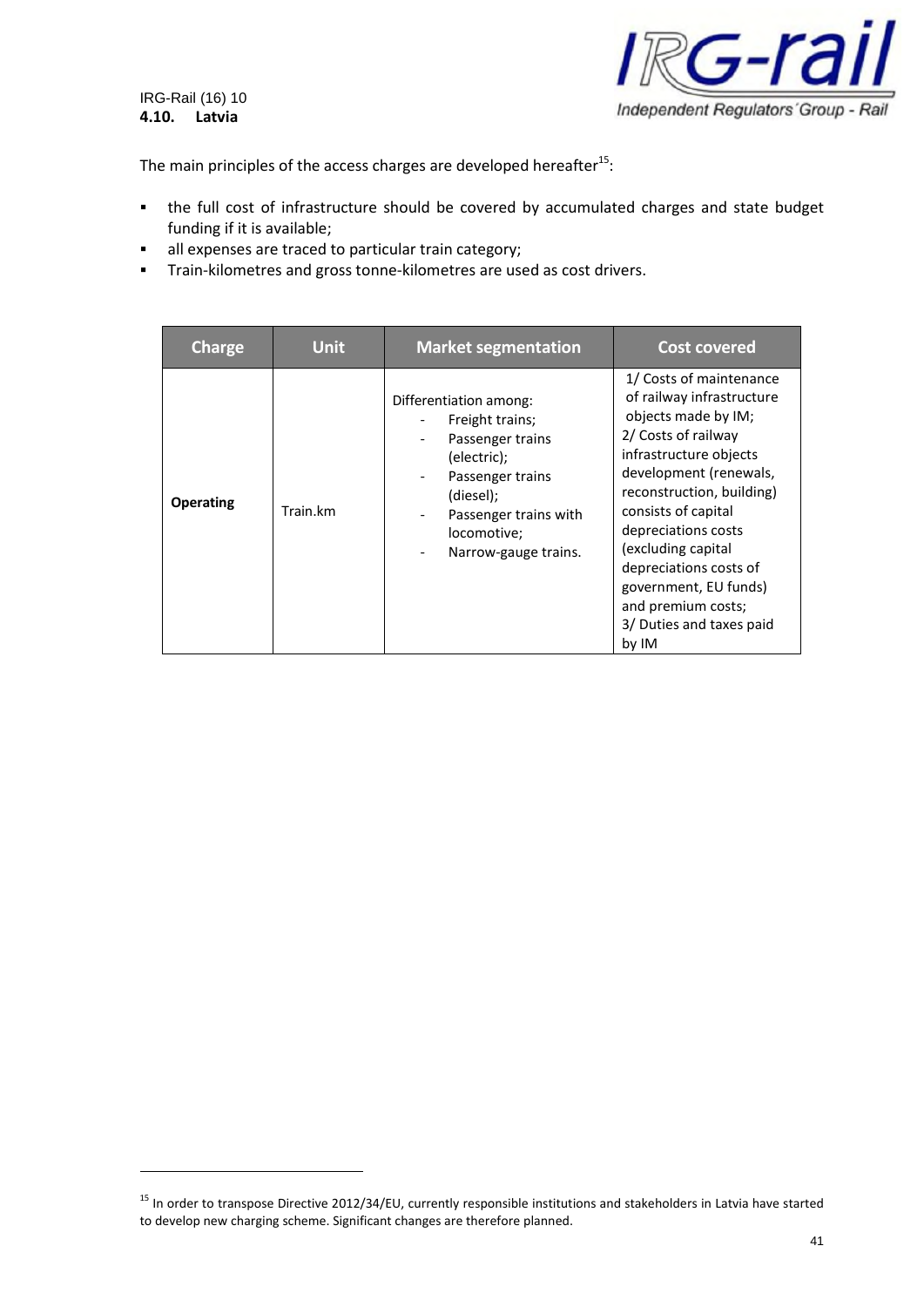IRG-Rail (16) 10 **4.10. Latvia**



The main principles of the access charges are developed hereafter<sup>15</sup>:

- the full cost of infrastructure should be covered by accumulated charges and state budget funding if it is available;
- all expenses are traced to particular train category;
- **Train-kilometres and gross tonne-kilometres are used as cost drivers.**

| <b>Charge</b>    | <b>Unit</b> | <b>Market segmentation</b>                                                                                                                                                    | <b>Cost covered</b>                                                                                                                                                                                                                                                                                                                                                   |
|------------------|-------------|-------------------------------------------------------------------------------------------------------------------------------------------------------------------------------|-----------------------------------------------------------------------------------------------------------------------------------------------------------------------------------------------------------------------------------------------------------------------------------------------------------------------------------------------------------------------|
| <b>Operating</b> | Train.km    | Differentiation among:<br>Freight trains;<br>Passenger trains<br>(electric);<br>Passenger trains<br>(diesel);<br>Passenger trains with<br>locomotive;<br>Narrow-gauge trains. | 1/ Costs of maintenance<br>of railway infrastructure<br>objects made by IM;<br>2/ Costs of railway<br>infrastructure objects<br>development (renewals,<br>reconstruction, building)<br>consists of capital<br>depreciations costs<br>(excluding capital<br>depreciations costs of<br>government, EU funds)<br>and premium costs;<br>3/ Duties and taxes paid<br>by IM |

<sup>&</sup>lt;sup>15</sup> In order to transpose Directive 2012/34/EU, currently responsible institutions and stakeholders in Latvia have started to develop new charging scheme. Significant changes are therefore planned.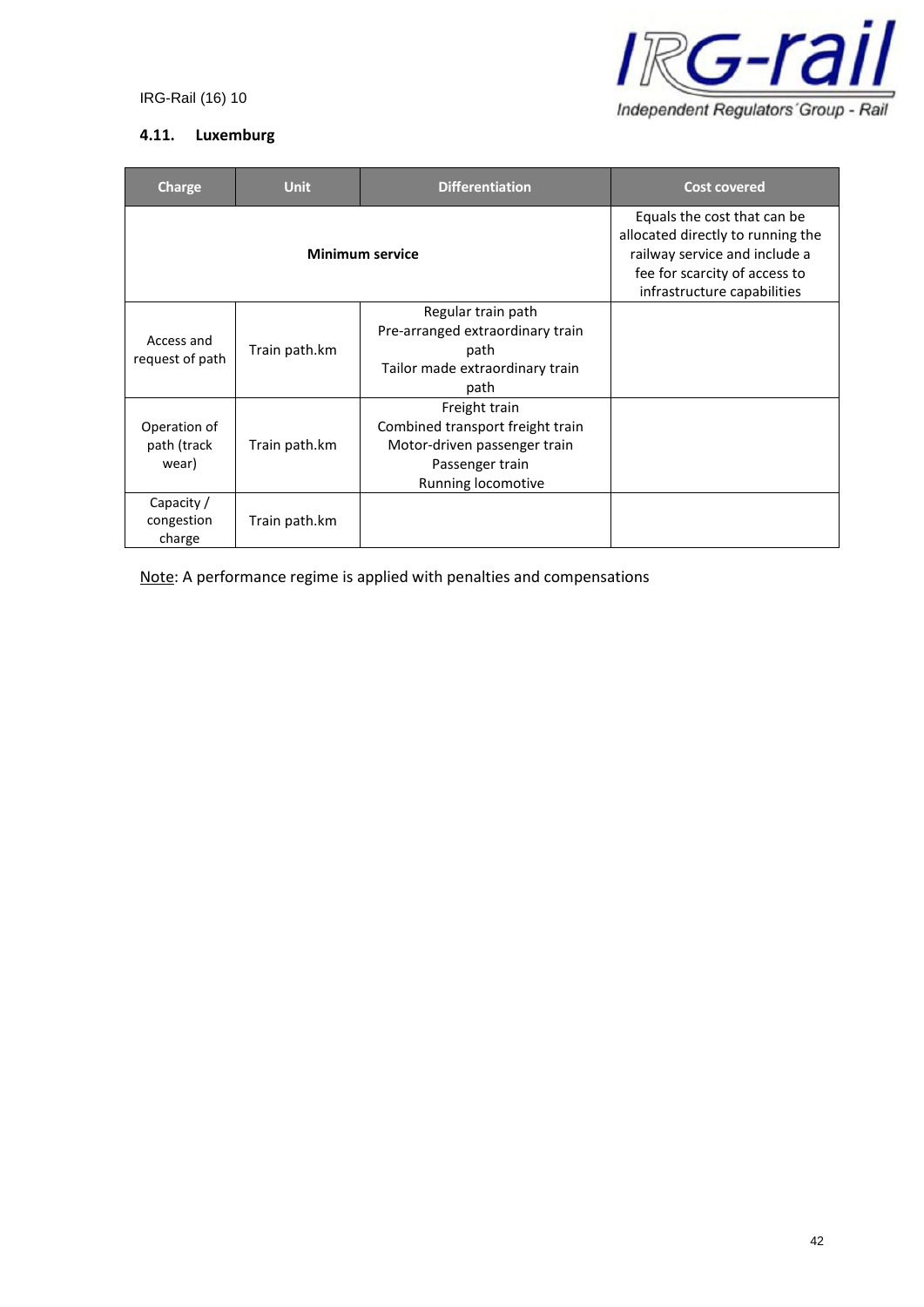

# **4.11. Luxemburg**

| Charge                               | <b>Unit</b>            | <b>Differentiation</b>                                                                                                                                            | <b>Cost covered</b> |
|--------------------------------------|------------------------|-------------------------------------------------------------------------------------------------------------------------------------------------------------------|---------------------|
|                                      | <b>Minimum service</b> | Equals the cost that can be<br>allocated directly to running the<br>railway service and include a<br>fee for scarcity of access to<br>infrastructure capabilities |                     |
| Access and<br>request of path        | Train path.km          | Regular train path<br>Pre-arranged extraordinary train<br>path<br>Tailor made extraordinary train<br>path                                                         |                     |
| Operation of<br>path (track<br>wear) | Train path.km          | Freight train<br>Combined transport freight train<br>Motor-driven passenger train<br>Passenger train<br>Running locomotive                                        |                     |
| Capacity /<br>congestion<br>charge   | Train path.km          |                                                                                                                                                                   |                     |

Note: A performance regime is applied with penalties and compensations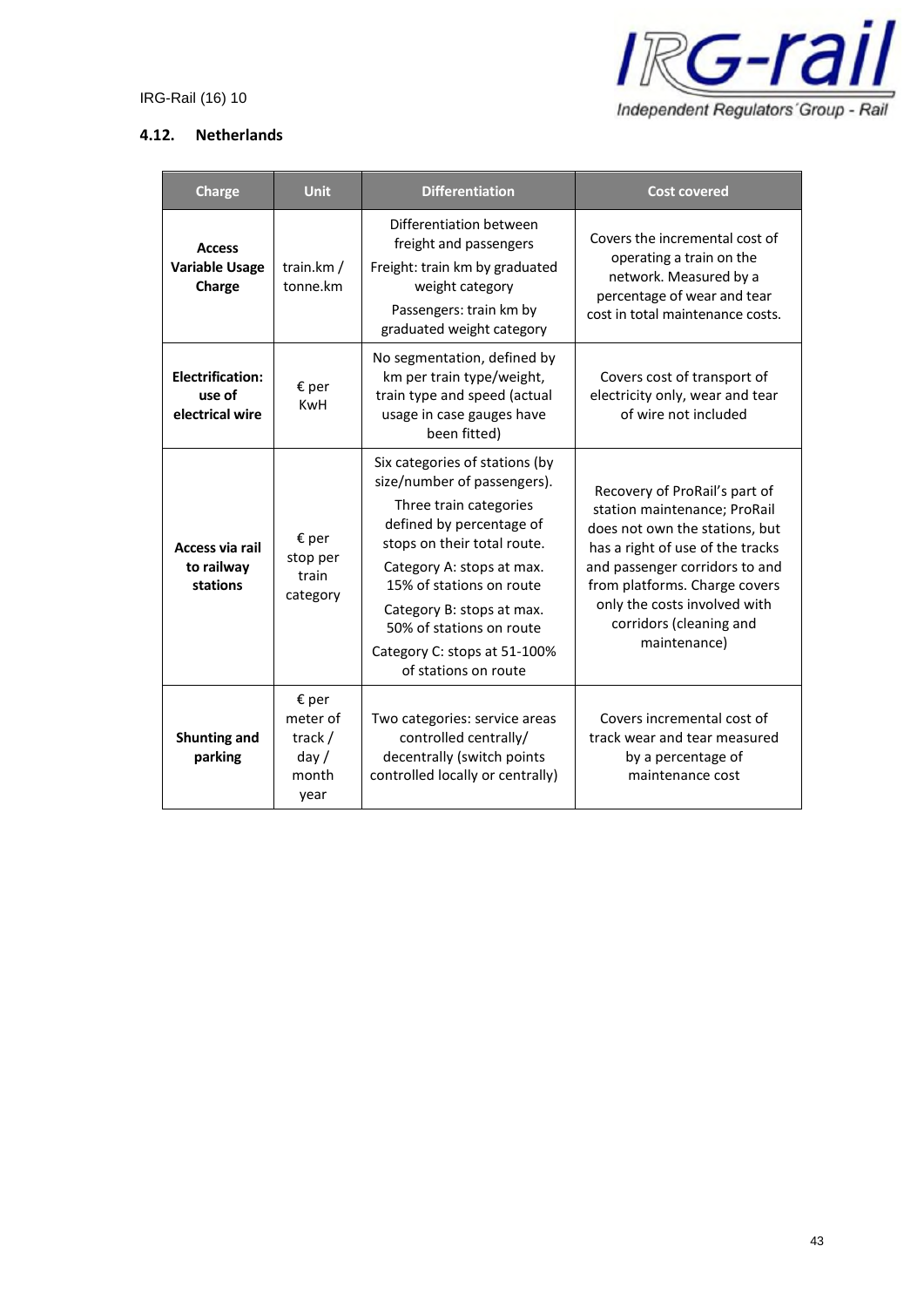

## **4.12. Netherlands**

| <b>Charge</b>                                        | <b>Unit</b>                                           | <b>Differentiation</b>                                                                                                                                                                                                                                                                                                       | <b>Cost covered</b>                                                                                                                                                                                                                                                               |
|------------------------------------------------------|-------------------------------------------------------|------------------------------------------------------------------------------------------------------------------------------------------------------------------------------------------------------------------------------------------------------------------------------------------------------------------------------|-----------------------------------------------------------------------------------------------------------------------------------------------------------------------------------------------------------------------------------------------------------------------------------|
| <b>Access</b><br><b>Variable Usage</b><br>Charge     | train.km $/$<br>tonne.km                              | Differentiation between<br>freight and passengers<br>Freight: train km by graduated<br>weight category<br>Passengers: train km by<br>graduated weight category                                                                                                                                                               | Covers the incremental cost of<br>operating a train on the<br>network. Measured by a<br>percentage of wear and tear<br>cost in total maintenance costs.                                                                                                                           |
| <b>Electrification:</b><br>use of<br>electrical wire | € per<br><b>KwH</b>                                   | No segmentation, defined by<br>km per train type/weight,<br>train type and speed (actual<br>usage in case gauges have<br>been fitted)                                                                                                                                                                                        | Covers cost of transport of<br>electricity only, wear and tear<br>of wire not included                                                                                                                                                                                            |
| Access via rail<br>to railway<br>stations            | $\epsilon$ per<br>stop per<br>train<br>category       | Six categories of stations (by<br>size/number of passengers).<br>Three train categories<br>defined by percentage of<br>stops on their total route.<br>Category A: stops at max.<br>15% of stations on route<br>Category B: stops at max.<br>50% of stations on route<br>Category C: stops at 51-100%<br>of stations on route | Recovery of ProRail's part of<br>station maintenance; ProRail<br>does not own the stations, but<br>has a right of use of the tracks<br>and passenger corridors to and<br>from platforms. Charge covers<br>only the costs involved with<br>corridors (cleaning and<br>maintenance) |
| <b>Shunting and</b><br>parking                       | € per<br>meter of<br>track /<br>day/<br>month<br>year | Two categories: service areas<br>controlled centrally/<br>decentrally (switch points<br>controlled locally or centrally)                                                                                                                                                                                                     | Covers incremental cost of<br>track wear and tear measured<br>by a percentage of<br>maintenance cost                                                                                                                                                                              |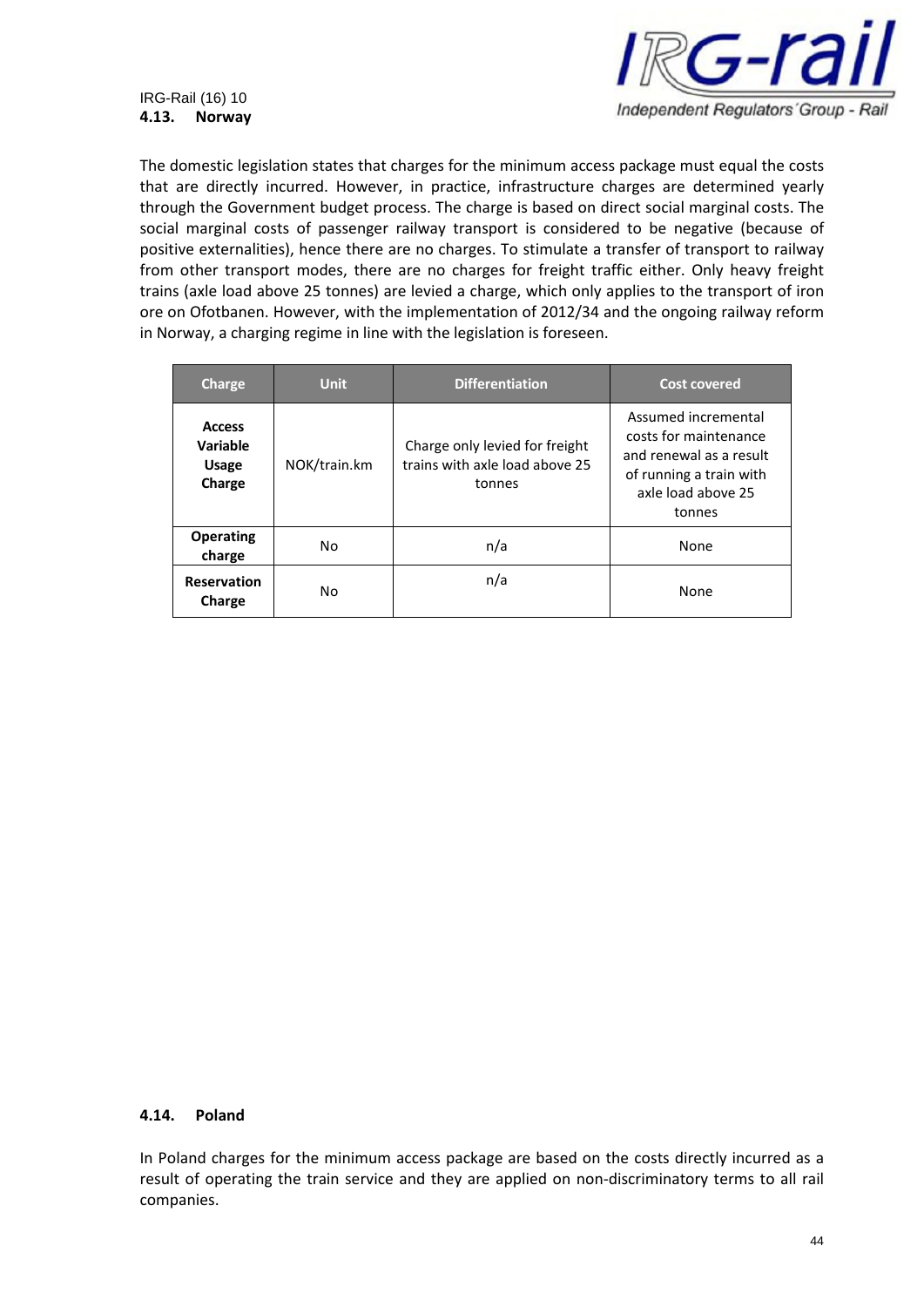

The domestic legislation states that charges for the minimum access package must equal the costs that are directly incurred. However, in practice, infrastructure charges are determined yearly through the Government budget process. The charge is based on direct social marginal costs. The social marginal costs of passenger railway transport is considered to be negative (because of positive externalities), hence there are no charges. To stimulate a transfer of transport to railway from other transport modes, there are no charges for freight traffic either. Only heavy freight trains (axle load above 25 tonnes) are levied a charge, which only applies to the transport of iron ore on Ofotbanen. However, with the implementation of 2012/34 and the ongoing railway reform in Norway, a charging regime in line with the legislation is foreseen.

| <b>Charge</b>                                       | <b>Unit</b>  | <b>Differentiation</b>                                                     | <b>Cost covered</b>                                                                                                                |
|-----------------------------------------------------|--------------|----------------------------------------------------------------------------|------------------------------------------------------------------------------------------------------------------------------------|
| <b>Access</b><br>Variable<br><b>Usage</b><br>Charge | NOK/train.km | Charge only levied for freight<br>trains with axle load above 25<br>tonnes | Assumed incremental<br>costs for maintenance<br>and renewal as a result<br>of running a train with<br>axle load above 25<br>tonnes |
| <b>Operating</b><br>charge                          | No           | n/a                                                                        | None                                                                                                                               |
| <b>Reservation</b><br>Charge                        | No           | n/a                                                                        | None                                                                                                                               |

#### **4.14. Poland**

In Poland charges for the minimum access package are based on the costs directly incurred as a result of operating the train service and they are applied on non-discriminatory terms to all rail companies.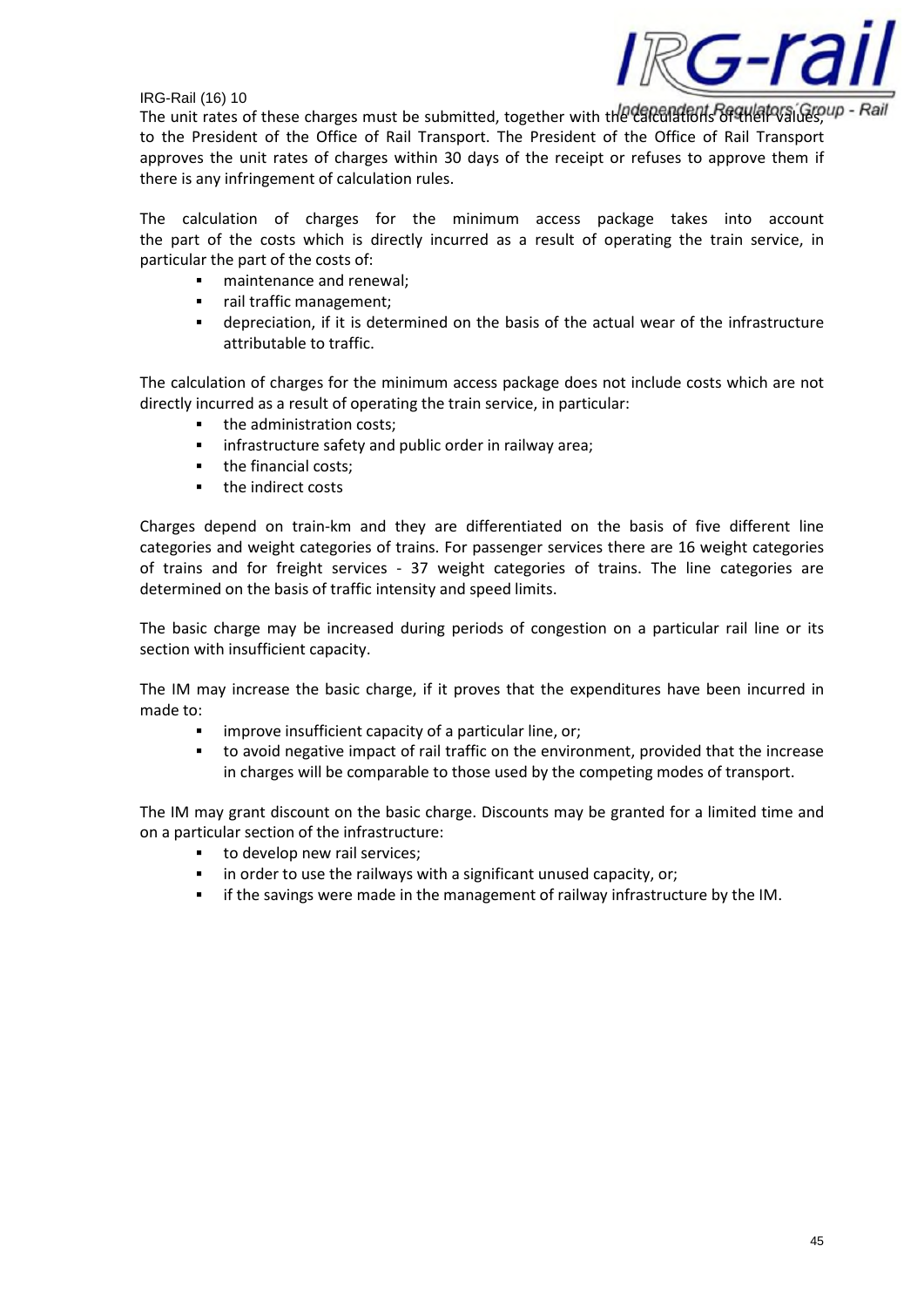

The unit rates of these charges must be submitted, together with the calculations of analysings, up - Rail to the President of the Office of Rail Transport. The President of the Office of Rail Transport approves the unit rates of charges within 30 days of the receipt or refuses to approve them if there is any infringement of calculation rules.

The calculation of charges for the minimum access package takes into account the part of the costs which is directly incurred as a result of operating the train service, in particular the part of the costs of:

- maintenance and renewal;
- rail traffic management;
- depreciation, if it is determined on the basis of the actual wear of the infrastructure attributable to traffic.

The calculation of charges for the minimum access package does not include costs which are not directly incurred as a result of operating the train service, in particular:

- the administration costs;
- **·** infrastructure safety and public order in railway area;
- the financial costs;
- **the indirect costs**

Charges depend on train-km and they are differentiated on the basis of five different line categories and weight categories of trains. For passenger services there are 16 weight categories of trains and for freight services - 37 weight categories of trains. The line categories are determined on the basis of traffic intensity and speed limits.

The basic charge may be increased during periods of congestion on a particular rail line or its section with insufficient capacity.

The IM may increase the basic charge, if it proves that the expenditures have been incurred in made to:

- improve insufficient capacity of a particular line, or;
- to avoid negative impact of rail traffic on the environment, provided that the increase in charges will be comparable to those used by the competing modes of transport.

The IM may grant discount on the basic charge. Discounts may be granted for a limited time and on a particular section of the infrastructure:

- to develop new rail services;
- in order to use the railways with a significant unused capacity, or;
- if the savings were made in the management of railway infrastructure by the IM.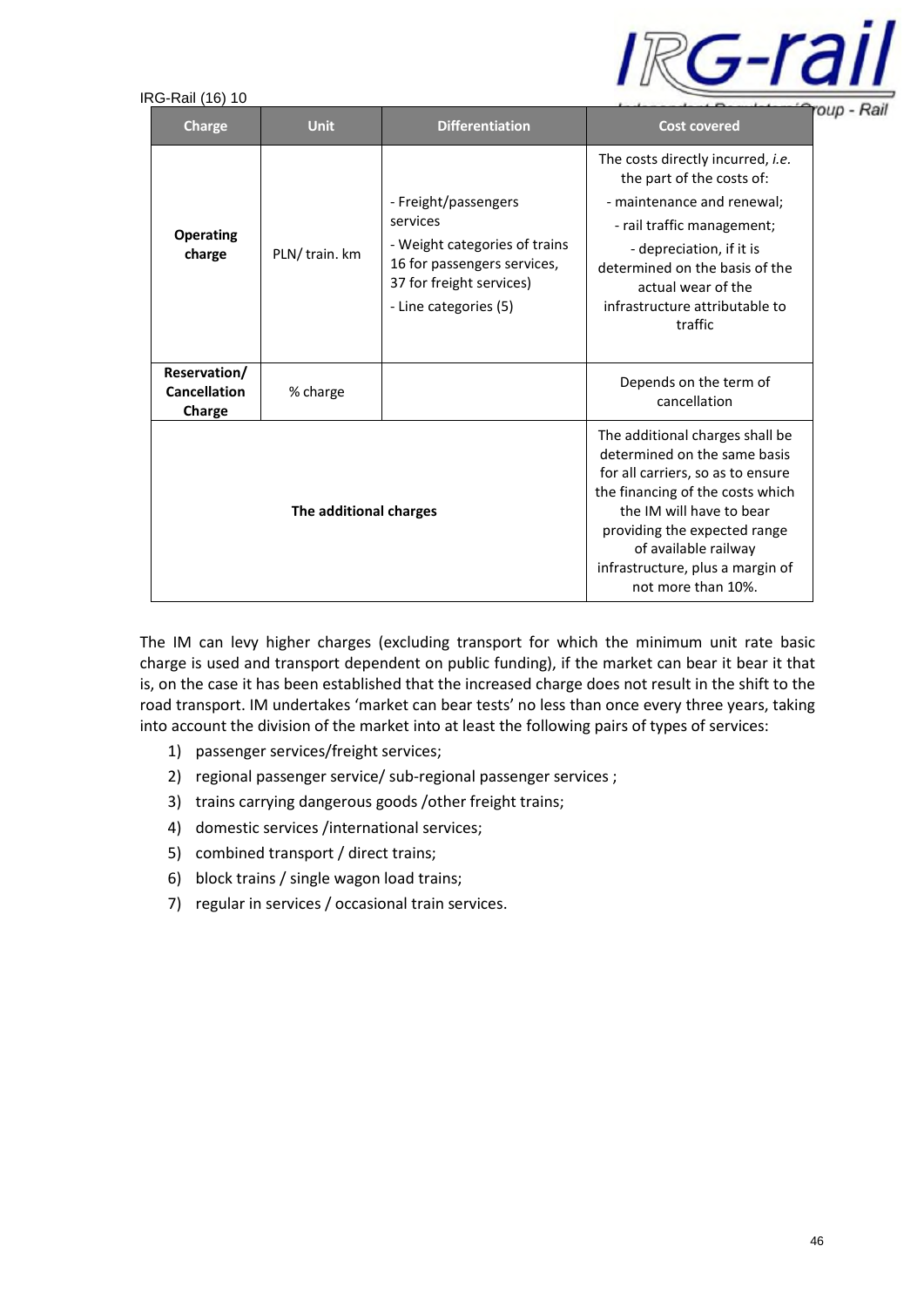

| <b>Charge</b>                                 | <b>Unit</b>    | <b>Differentiation</b>                                                                                                                                | <b>Cost covered</b>                                                                                                                                                                                                                                                                    |
|-----------------------------------------------|----------------|-------------------------------------------------------------------------------------------------------------------------------------------------------|----------------------------------------------------------------------------------------------------------------------------------------------------------------------------------------------------------------------------------------------------------------------------------------|
| <b>Operating</b><br>charge                    | PLN/ train. km | - Freight/passengers<br>services<br>- Weight categories of trains<br>16 for passengers services,<br>37 for freight services)<br>- Line categories (5) | The costs directly incurred, i.e.<br>the part of the costs of:<br>- maintenance and renewal;<br>- rail traffic management;<br>- depreciation, if it is<br>determined on the basis of the<br>actual wear of the<br>infrastructure attributable to<br>traffic                            |
| Reservation/<br><b>Cancellation</b><br>Charge | % charge       |                                                                                                                                                       | Depends on the term of<br>cancellation                                                                                                                                                                                                                                                 |
| The additional charges                        |                |                                                                                                                                                       | The additional charges shall be<br>determined on the same basis<br>for all carriers, so as to ensure<br>the financing of the costs which<br>the IM will have to bear<br>providing the expected range<br>of available railway<br>infrastructure, plus a margin of<br>not more than 10%. |

The IM can levy higher charges (excluding transport for which the minimum unit rate basic charge is used and transport dependent on public funding), if the market can bear it bear it that is, on the case it has been established that the increased charge does not result in the shift to the road transport. IM undertakes 'market can bear tests' no less than once every three years, taking into account the division of the market into at least the following pairs of types of services:

- 1) passenger services/freight services;
- 2) regional passenger service/ sub-regional passenger services ;
- 3) trains carrying dangerous goods /other freight trains;
- 4) domestic services /international services;
- 5) combined transport / direct trains;
- 6) block trains / single wagon load trains;
- 7) regular in services / occasional train services.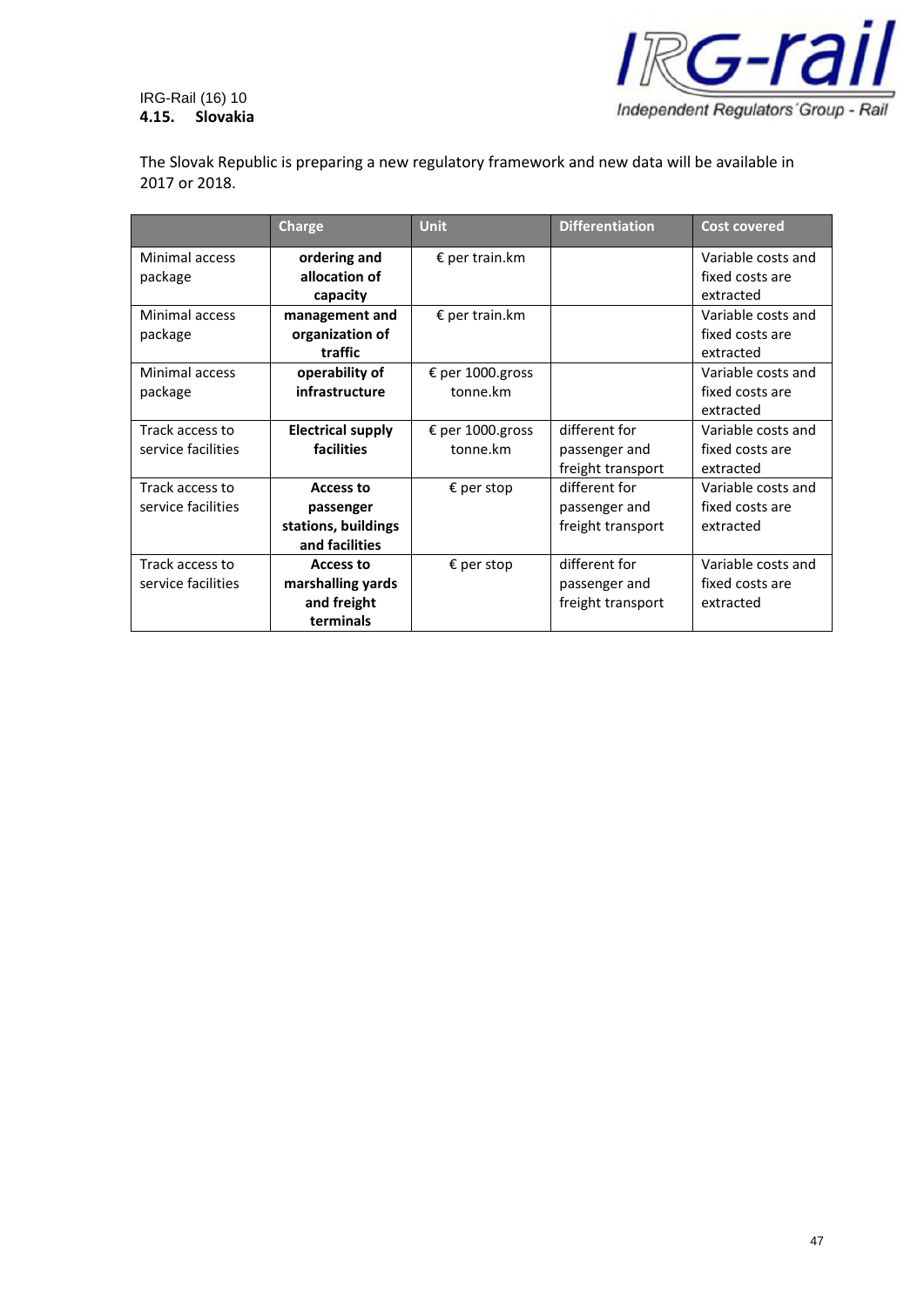



The Slovak Republic is preparing a new regulatory framework and new data will be available in 2017 or 2018.

|                    | <b>Charge</b>            | <b>Unit</b>         | <b>Differentiation</b> | <b>Cost covered</b> |
|--------------------|--------------------------|---------------------|------------------------|---------------------|
| Minimal access     | ordering and             | € per train.km      |                        | Variable costs and  |
| package            | allocation of            |                     |                        | fixed costs are     |
|                    | capacity                 |                     |                        | extracted           |
| Minimal access     | management and           | € per train.km      |                        | Variable costs and  |
| package            | organization of          |                     |                        | fixed costs are     |
|                    | traffic                  |                     |                        | extracted           |
| Minimal access     | operability of           | € per 1000.gross    |                        | Variable costs and  |
| package            | infrastructure           | tonne.km            |                        | fixed costs are     |
|                    |                          |                     |                        | extracted           |
| Track access to    | <b>Electrical supply</b> | € per 1000.gross    | different for          | Variable costs and  |
| service facilities | facilities               | tonne.km            | passenger and          | fixed costs are     |
|                    |                          |                     | freight transport      | extracted           |
| Track access to    | <b>Access to</b>         | € per stop          | different for          | Variable costs and  |
| service facilities | passenger                |                     | passenger and          | fixed costs are     |
|                    | stations, buildings      |                     | freight transport      | extracted           |
|                    | and facilities           |                     |                        |                     |
| Track access to    | Access to                | $\epsilon$ per stop | different for          | Variable costs and  |
| service facilities | marshalling yards        |                     | passenger and          | fixed costs are     |
|                    | and freight              |                     | freight transport      | extracted           |
|                    | terminals                |                     |                        |                     |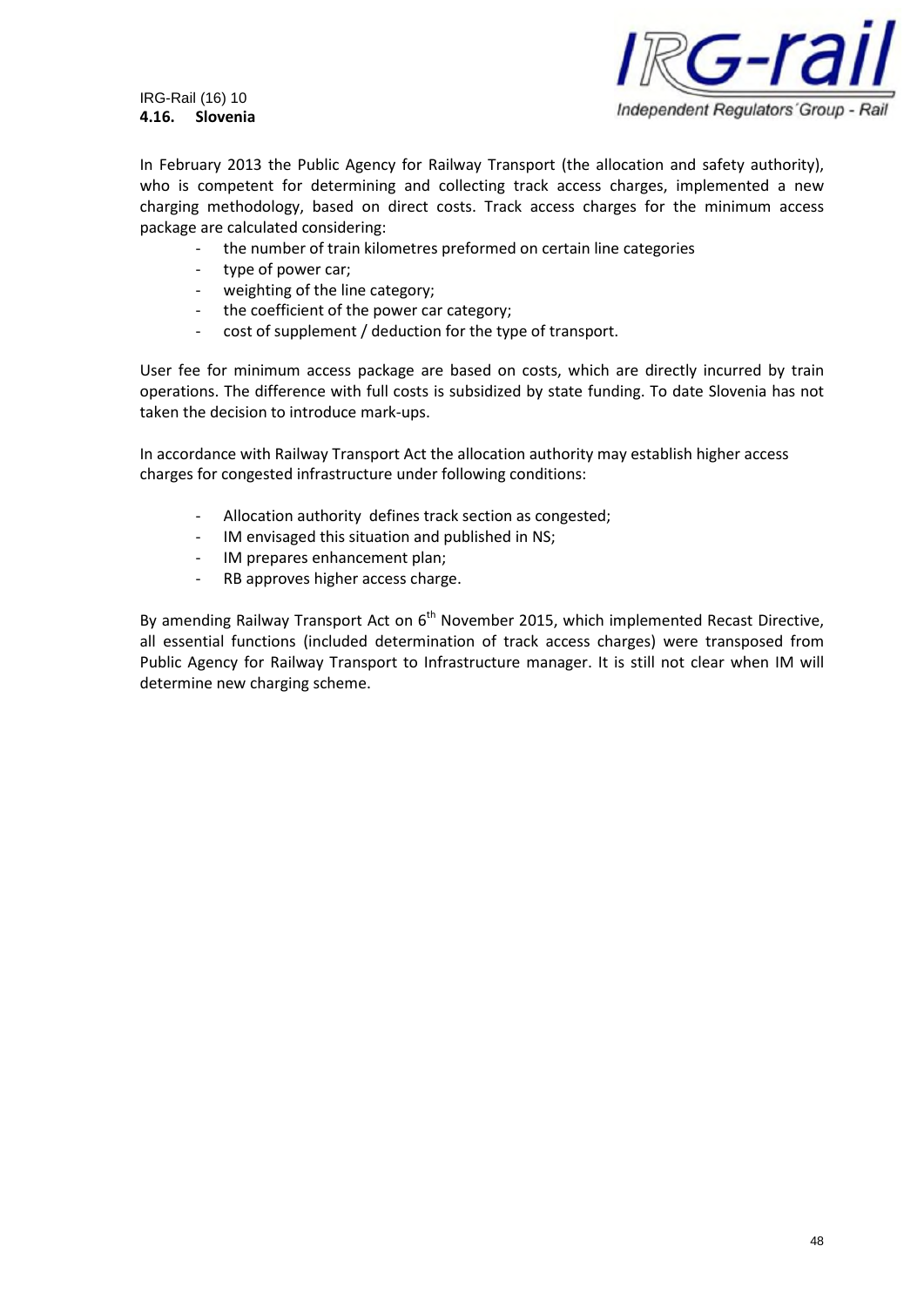IRG-Rail (16) 10 **4.16. Slovenia**



In February 2013 the Public Agency for Railway Transport (the allocation and safety authority), who is competent for determining and collecting track access charges, implemented a new charging methodology, based on direct costs. Track access charges for the minimum access package are calculated considering:

- the number of train kilometres preformed on certain line categories
- type of power car;
- weighting of the line category;
- the coefficient of the power car category;
- cost of supplement / deduction for the type of transport.

User fee for minimum access package are based on costs, which are directly incurred by train operations. The difference with full costs is subsidized by state funding. To date Slovenia has not taken the decision to introduce mark-ups.

In accordance with Railway Transport Act the allocation authority may establish higher access charges for congested infrastructure under following conditions:

- Allocation authority defines track section as congested;
- IM envisaged this situation and published in NS;
- IM prepares enhancement plan;
- RB approves higher access charge.

By amending Railway Transport Act on  $6<sup>th</sup>$  November 2015, which implemented Recast Directive, all essential functions (included determination of track access charges) were transposed from Public Agency for Railway Transport to Infrastructure manager. It is still not clear when IM will determine new charging scheme.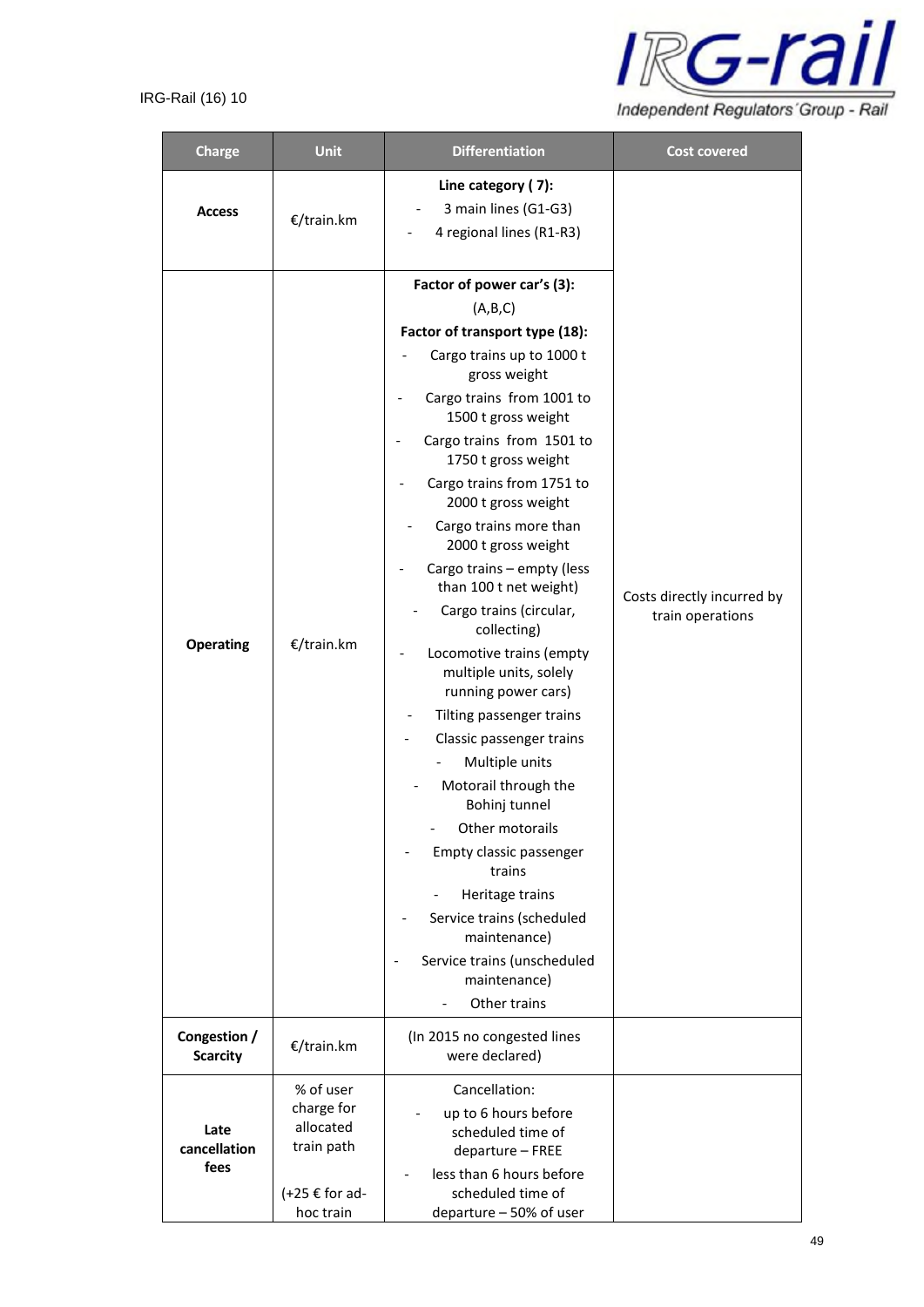

| <b>Charge</b>                   | Unit                                                                                     | <b>Differentiation</b>                                                                                                                                                                                                                                                                                                                                                                                                                                                                                                                                                                                                                                                                                                                                                                                                     | <b>Cost covered</b>                            |
|---------------------------------|------------------------------------------------------------------------------------------|----------------------------------------------------------------------------------------------------------------------------------------------------------------------------------------------------------------------------------------------------------------------------------------------------------------------------------------------------------------------------------------------------------------------------------------------------------------------------------------------------------------------------------------------------------------------------------------------------------------------------------------------------------------------------------------------------------------------------------------------------------------------------------------------------------------------------|------------------------------------------------|
| <b>Access</b>                   | €/train.km                                                                               | Line category (7):<br>3 main lines (G1-G3)<br>4 regional lines (R1-R3)                                                                                                                                                                                                                                                                                                                                                                                                                                                                                                                                                                                                                                                                                                                                                     |                                                |
| <b>Operating</b>                | €/train.km                                                                               | Factor of power car's (3):<br>(A,B,C)<br>Factor of transport type (18):<br>Cargo trains up to 1000 t<br>gross weight<br>Cargo trains from 1001 to<br>1500 t gross weight<br>Cargo trains from 1501 to<br>1750 t gross weight<br>Cargo trains from 1751 to<br>2000 t gross weight<br>Cargo trains more than<br>2000 t gross weight<br>Cargo trains - empty (less<br>than 100 t net weight)<br>Cargo trains (circular,<br>collecting)<br>Locomotive trains (empty<br>multiple units, solely<br>running power cars)<br>Tilting passenger trains<br>Classic passenger trains<br>Multiple units<br>Motorail through the<br>Bohinj tunnel<br>Other motorails<br>Empty classic passenger<br>trains<br>Heritage trains<br>Service trains (scheduled<br>maintenance)<br>Service trains (unscheduled<br>maintenance)<br>Other trains | Costs directly incurred by<br>train operations |
| Congestion /<br><b>Scarcity</b> | €/train.km                                                                               | (In 2015 no congested lines<br>were declared)                                                                                                                                                                                                                                                                                                                                                                                                                                                                                                                                                                                                                                                                                                                                                                              |                                                |
| Late<br>cancellation<br>fees    | % of user<br>charge for<br>allocated<br>train path<br>$(+25 \notin$ for ad-<br>hoc train | Cancellation:<br>up to 6 hours before<br>scheduled time of<br>departure - FREE<br>less than 6 hours before<br>scheduled time of<br>departure - 50% of user                                                                                                                                                                                                                                                                                                                                                                                                                                                                                                                                                                                                                                                                 |                                                |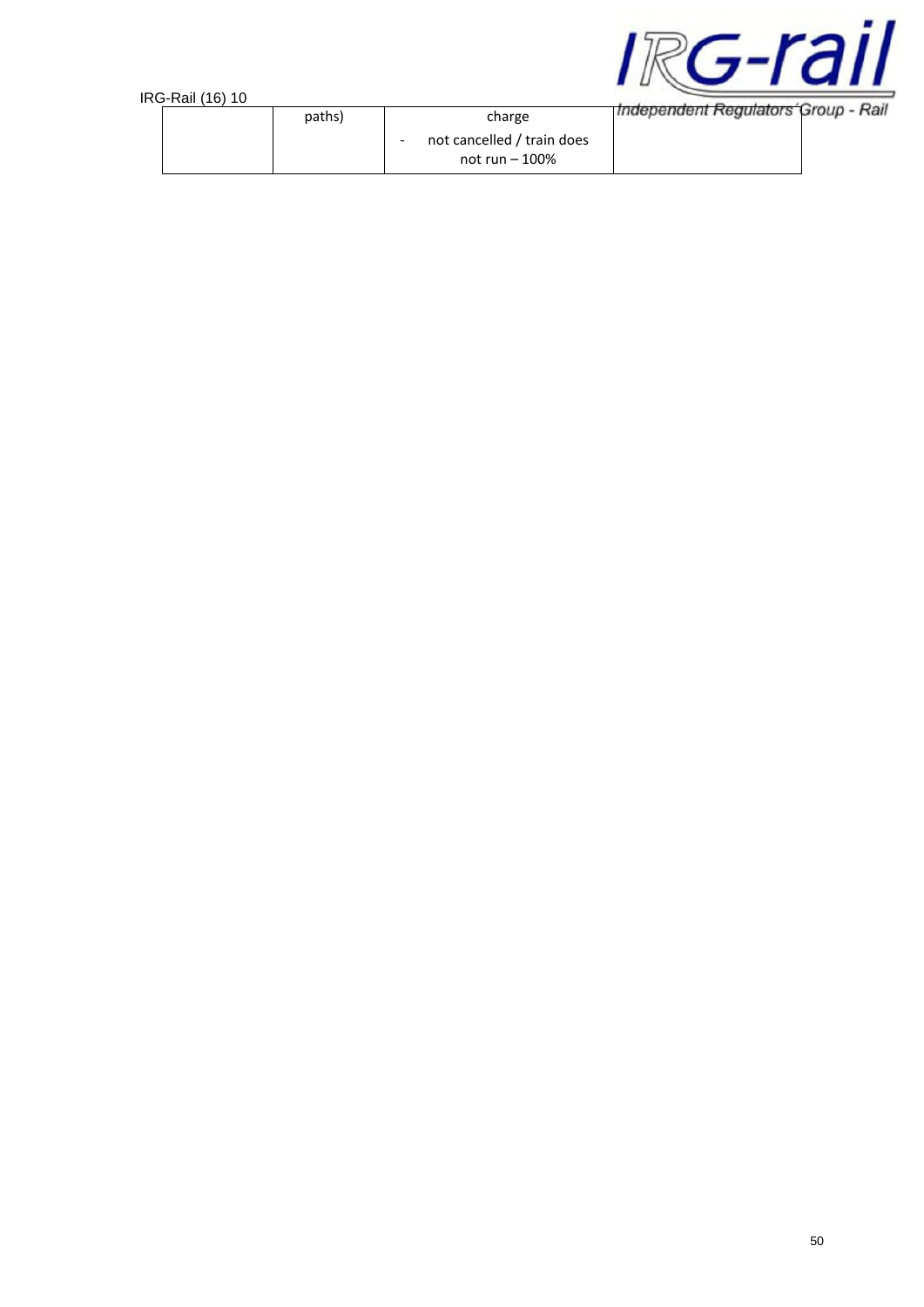



| טו וטווווואריטרו |        |                                                |                                     |  |
|------------------|--------|------------------------------------------------|-------------------------------------|--|
|                  | paths) | charge                                         | Independent Regulators Group - Rail |  |
|                  |        | not cancelled / train does<br>not run $-100\%$ |                                     |  |
|                  |        |                                                |                                     |  |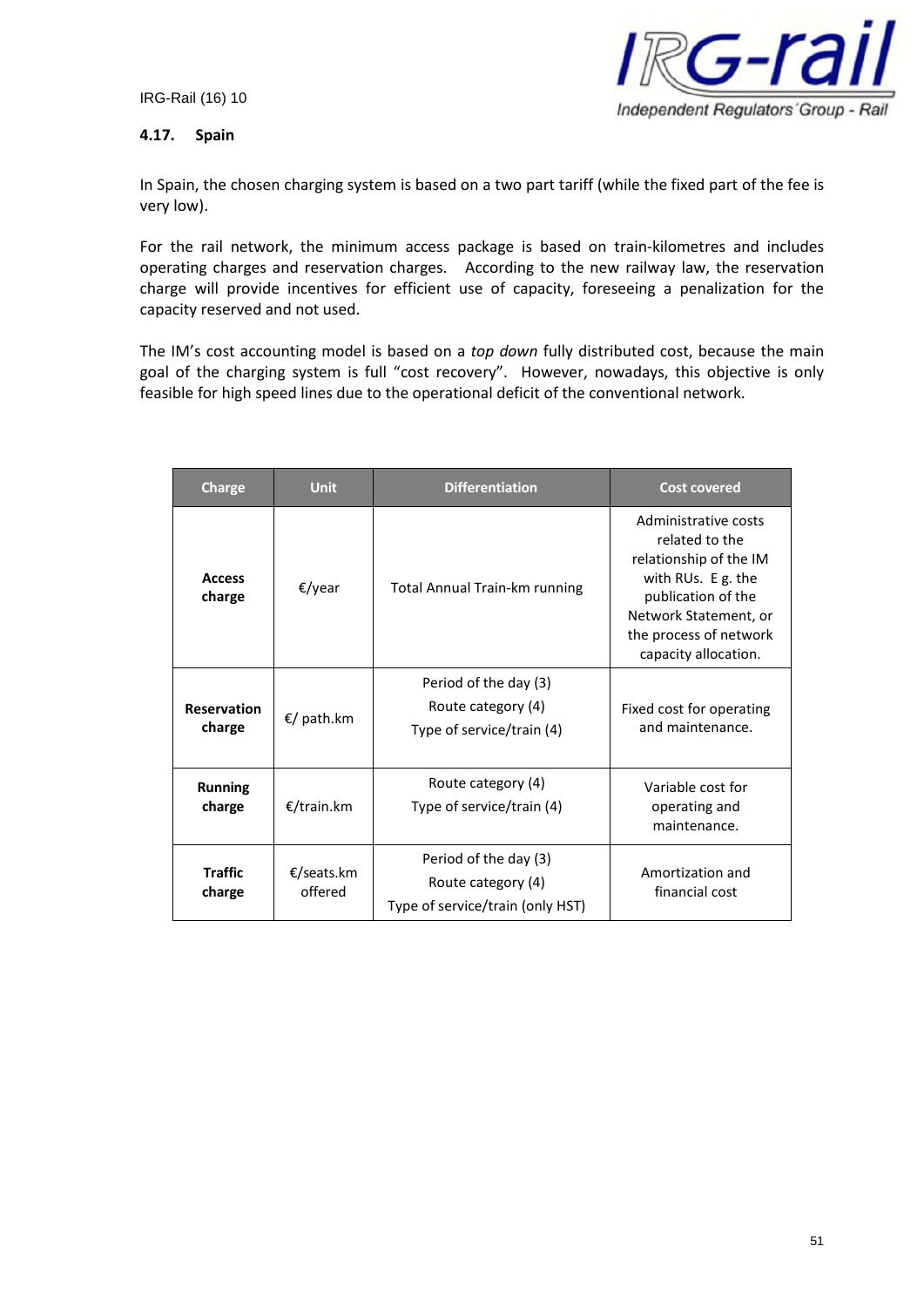

## **4.17. Spain**

In Spain, the chosen charging system is based on a two part tariff (while the fixed part of the fee is very low).

For the rail network, the minimum access package is based on train-kilometres and includes operating charges and reservation charges. According to the new railway law, the reservation charge will provide incentives for efficient use of capacity, foreseeing a penalization for the capacity reserved and not used.

The IM's cost accounting model is based on a *top down* fully distributed cost, because the main goal of the charging system is full "cost recovery". However, nowadays, this objective is only feasible for high speed lines due to the operational deficit of the conventional network.

| Charge                                 | <b>Unit</b>           | <b>Differentiation</b>                                                          | <b>Cost covered</b>                                                                                                                                                                     |
|----------------------------------------|-----------------------|---------------------------------------------------------------------------------|-----------------------------------------------------------------------------------------------------------------------------------------------------------------------------------------|
| <b>Access</b><br>charge                | €/year                | <b>Total Annual Train-km running</b>                                            | Administrative costs<br>related to the<br>relationship of the IM<br>with RUs. E g. the<br>publication of the<br>Network Statement, or<br>the process of network<br>capacity allocation. |
| <b>Reservation</b><br>charge           | €/ path.km            | Period of the day (3)<br>Route category (4)<br>Type of service/train (4)        | Fixed cost for operating<br>and maintenance.                                                                                                                                            |
| <b>Running</b><br>€/train.km<br>charge |                       | Route category (4)<br>Type of service/train (4)                                 | Variable cost for<br>operating and<br>maintenance.                                                                                                                                      |
| <b>Traffic</b><br>charge               | €/seats.km<br>offered | Period of the day (3)<br>Route category (4)<br>Type of service/train (only HST) | Amortization and<br>financial cost                                                                                                                                                      |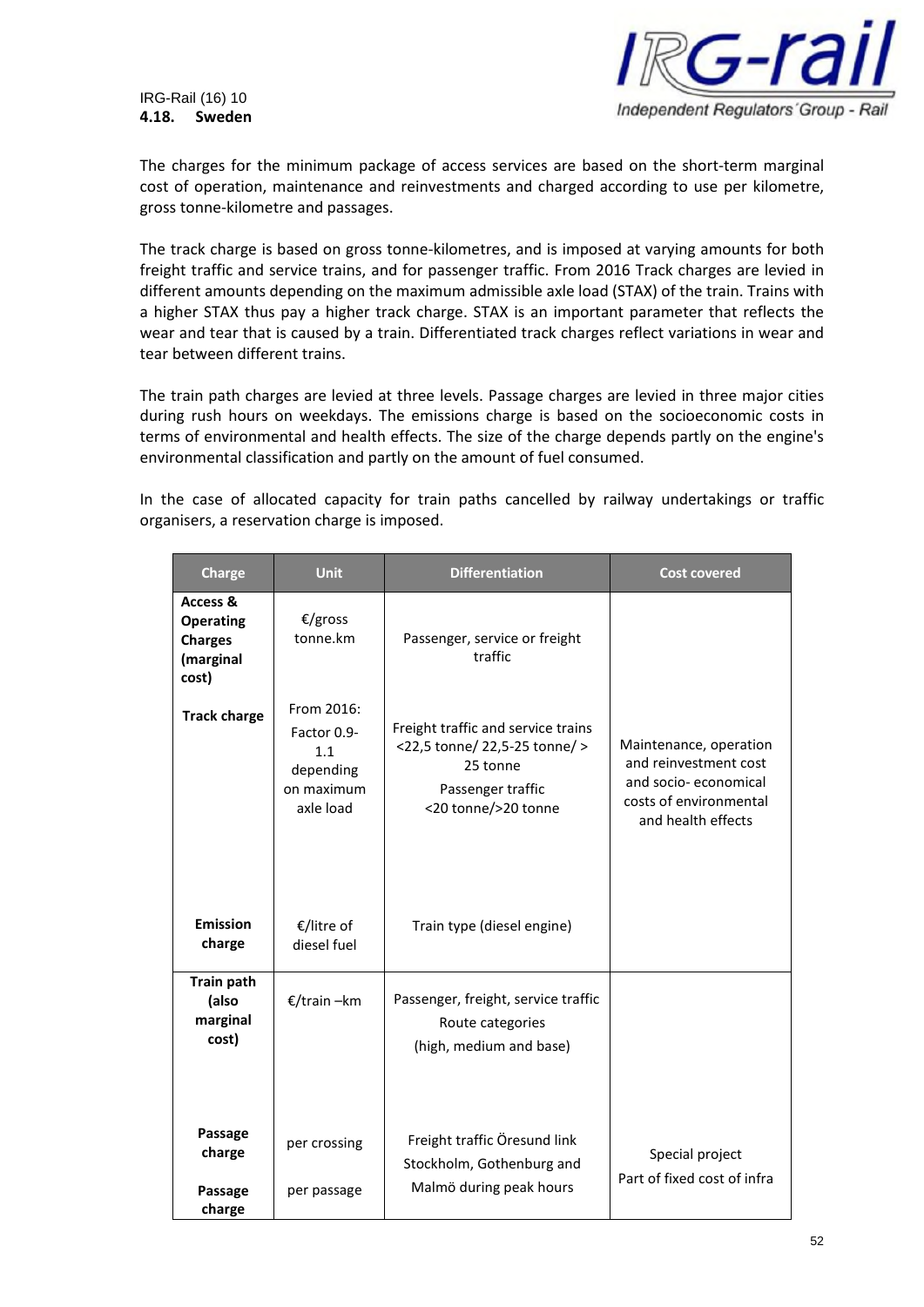

#### IRG-Rail (16) 10 **4.18. Sweden**

The charges for the minimum package of access services are based on the short-term marginal cost of operation, maintenance and reinvestments and charged according to use per kilometre, gross tonne-kilometre and passages.

The track charge is based on gross tonne-kilometres, and is imposed at varying amounts for both freight traffic and service trains, and for passenger traffic. From 2016 Track charges are levied in different amounts depending on the maximum admissible axle load (STAX) of the train. Trains with a higher STAX thus pay a higher track charge. STAX is an important parameter that reflects the wear and tear that is caused by a train. Differentiated track charges reflect variations in wear and tear between different trains.

The train path charges are levied at three levels. Passage charges are levied in three major cities during rush hours on weekdays. The emissions charge is based on the socioeconomic costs in terms of environmental and health effects. The size of the charge depends partly on the engine's environmental classification and partly on the amount of fuel consumed.

In the case of allocated capacity for train paths cancelled by railway undertakings or traffic organisers, a reservation charge is imposed.

| <b>Charge</b>                                                        | <b>Unit</b>                                                              | <b>Differentiation</b>                                                                                                      | <b>Cost covered</b>                                                                                                     |
|----------------------------------------------------------------------|--------------------------------------------------------------------------|-----------------------------------------------------------------------------------------------------------------------------|-------------------------------------------------------------------------------------------------------------------------|
| Access &<br><b>Operating</b><br><b>Charges</b><br>(marginal<br>cost) | €/gross<br>tonne.km                                                      | Passenger, service or freight<br>traffic                                                                                    |                                                                                                                         |
| <b>Track charge</b>                                                  | From 2016:<br>Factor 0.9-<br>1.1<br>depending<br>on maximum<br>axle load | Freight traffic and service trains<br><22,5 tonne/ 22,5-25 tonne/ ><br>25 tonne<br>Passenger traffic<br><20 tonne/>20 tonne | Maintenance, operation<br>and reinvestment cost<br>and socio-economical<br>costs of environmental<br>and health effects |
| Emission<br>charge                                                   | €/litre of<br>diesel fuel                                                | Train type (diesel engine)                                                                                                  |                                                                                                                         |
| <b>Train path</b><br>(also<br>marginal<br>cost)                      | €/train-km                                                               | Passenger, freight, service traffic<br>Route categories<br>(high, medium and base)                                          |                                                                                                                         |
| <b>Passage</b><br>charge<br><b>Passage</b><br>charge                 | per crossing<br>per passage                                              | Freight traffic Öresund link<br>Stockholm, Gothenburg and<br>Malmö during peak hours                                        | Special project<br>Part of fixed cost of infra                                                                          |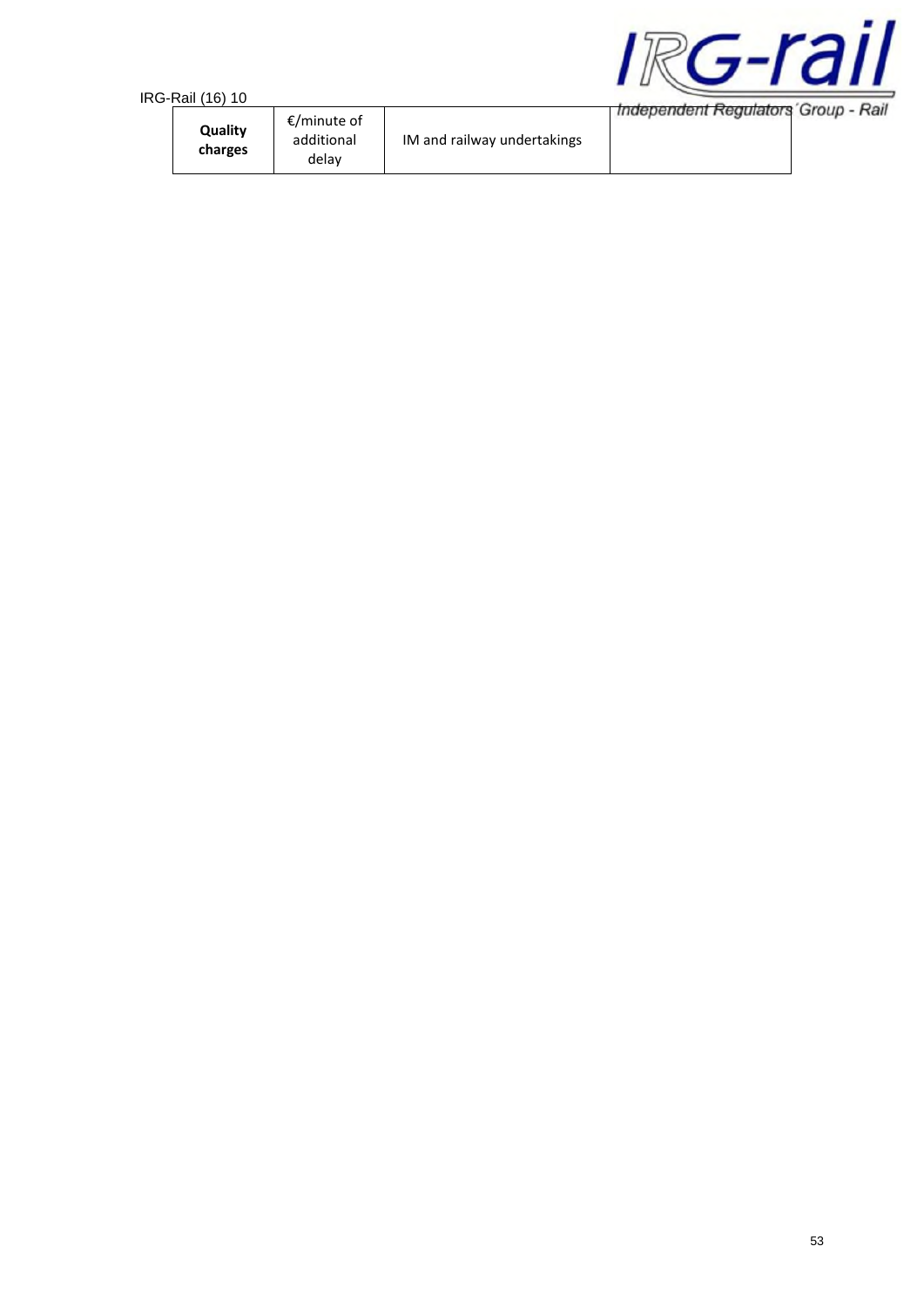| i-Rail (16) 10     |                                    |                             |                                     |
|--------------------|------------------------------------|-----------------------------|-------------------------------------|
| Quality<br>charges | €/minute of<br>additional<br>delay | IM and railway undertakings | Independent Regulators Group - Rail |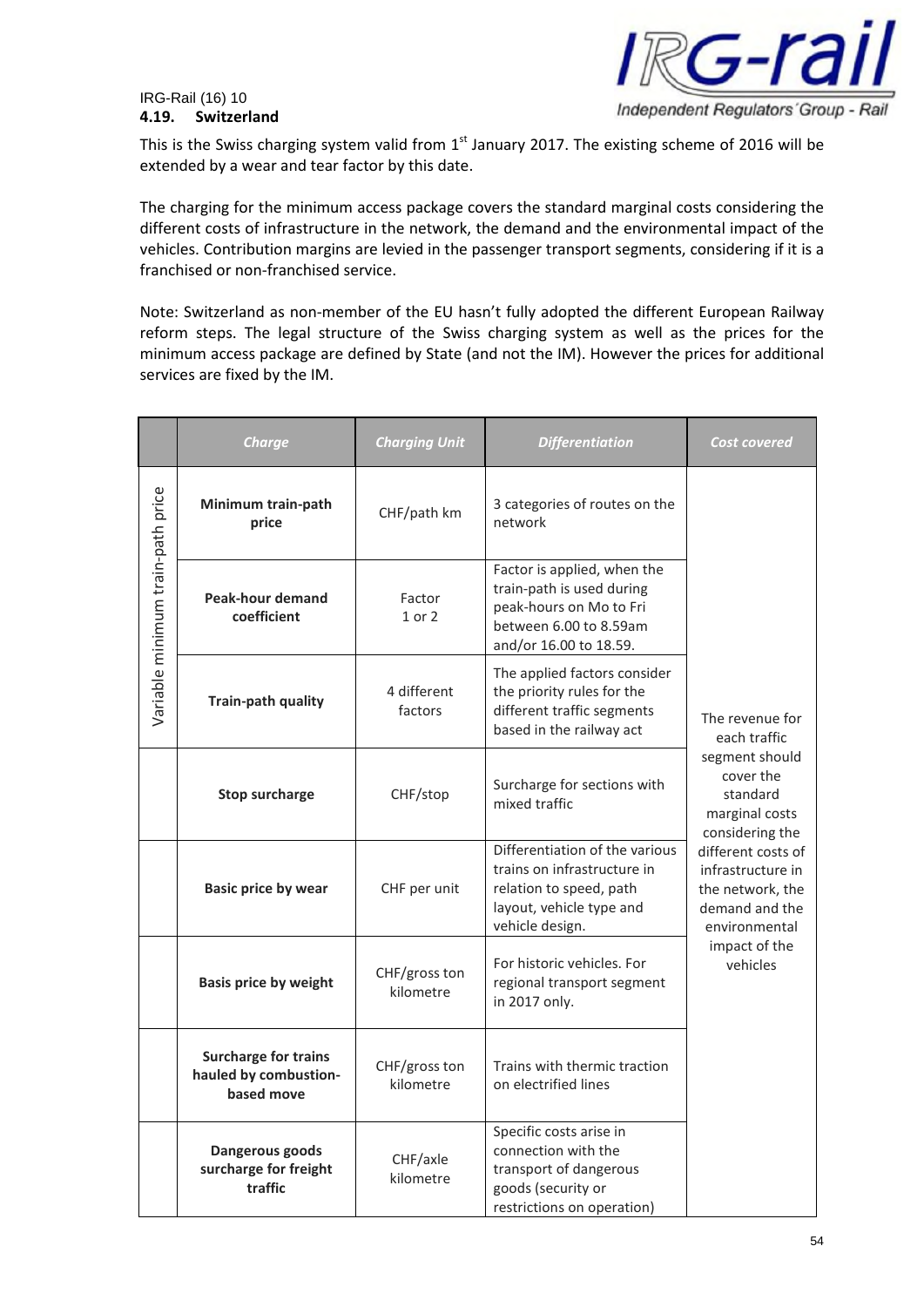## IRG-Rail (16) 10 **4.19. Switzerland**



This is the Swiss charging system valid from  $1<sup>st</sup>$  January 2017. The existing scheme of 2016 will be extended by a wear and tear factor by this date.

The charging for the minimum access package covers the standard marginal costs considering the different costs of infrastructure in the network, the demand and the environmental impact of the vehicles. Contribution margins are levied in the passenger transport segments, considering if it is a franchised or non-franchised service.

Note: Switzerland as non-member of the EU hasn't fully adopted the different European Railway reform steps. The legal structure of the Swiss charging system as well as the prices for the minimum access package are defined by State (and not the IM). However the prices for additional services are fixed by the IM.

|                                   | <b>Charge</b>                                                                                    | <b>Charging Unit</b> | <b>Differentiation</b>                                                                                                                  | Cost covered                                                                                   |  |
|-----------------------------------|--------------------------------------------------------------------------------------------------|----------------------|-----------------------------------------------------------------------------------------------------------------------------------------|------------------------------------------------------------------------------------------------|--|
|                                   | Minimum train-path<br>price                                                                      | CHF/path km          | 3 categories of routes on the<br>network                                                                                                |                                                                                                |  |
| Variable minimum train-path price | <b>Peak-hour demand</b><br>coefficient                                                           | Factor<br>1 or 2     | Factor is applied, when the<br>train-path is used during<br>peak-hours on Mo to Fri<br>between 6.00 to 8.59am<br>and/or 16.00 to 18.59. |                                                                                                |  |
|                                   | 4 different<br>Train-path quality<br>factors                                                     |                      | The applied factors consider<br>the priority rules for the<br>different traffic segments<br>based in the railway act                    | The revenue for<br>each traffic                                                                |  |
|                                   | <b>Stop surcharge</b>                                                                            | CHF/stop             | Surcharge for sections with<br>mixed traffic                                                                                            | segment should<br>cover the<br>standard<br>marginal costs<br>considering the                   |  |
|                                   | <b>Basic price by wear</b><br>CHF per unit                                                       |                      | Differentiation of the various<br>trains on infrastructure in<br>relation to speed, path<br>layout, vehicle type and<br>vehicle design. | different costs of<br>infrastructure in<br>the network, the<br>demand and the<br>environmental |  |
|                                   | CHF/gross ton<br><b>Basis price by weight</b><br>kilometre                                       |                      | For historic vehicles. For<br>regional transport segment<br>in 2017 only.                                                               | impact of the<br>vehicles                                                                      |  |
|                                   | <b>Surcharge for trains</b><br>CHF/gross ton<br>hauled by combustion-<br>kilometre<br>based move |                      | Trains with thermic traction<br>on electrified lines                                                                                    |                                                                                                |  |
|                                   | Dangerous goods<br>CHF/axle<br>surcharge for freight<br>kilometre<br>traffic                     |                      | Specific costs arise in<br>connection with the<br>transport of dangerous<br>goods (security or<br>restrictions on operation)            |                                                                                                |  |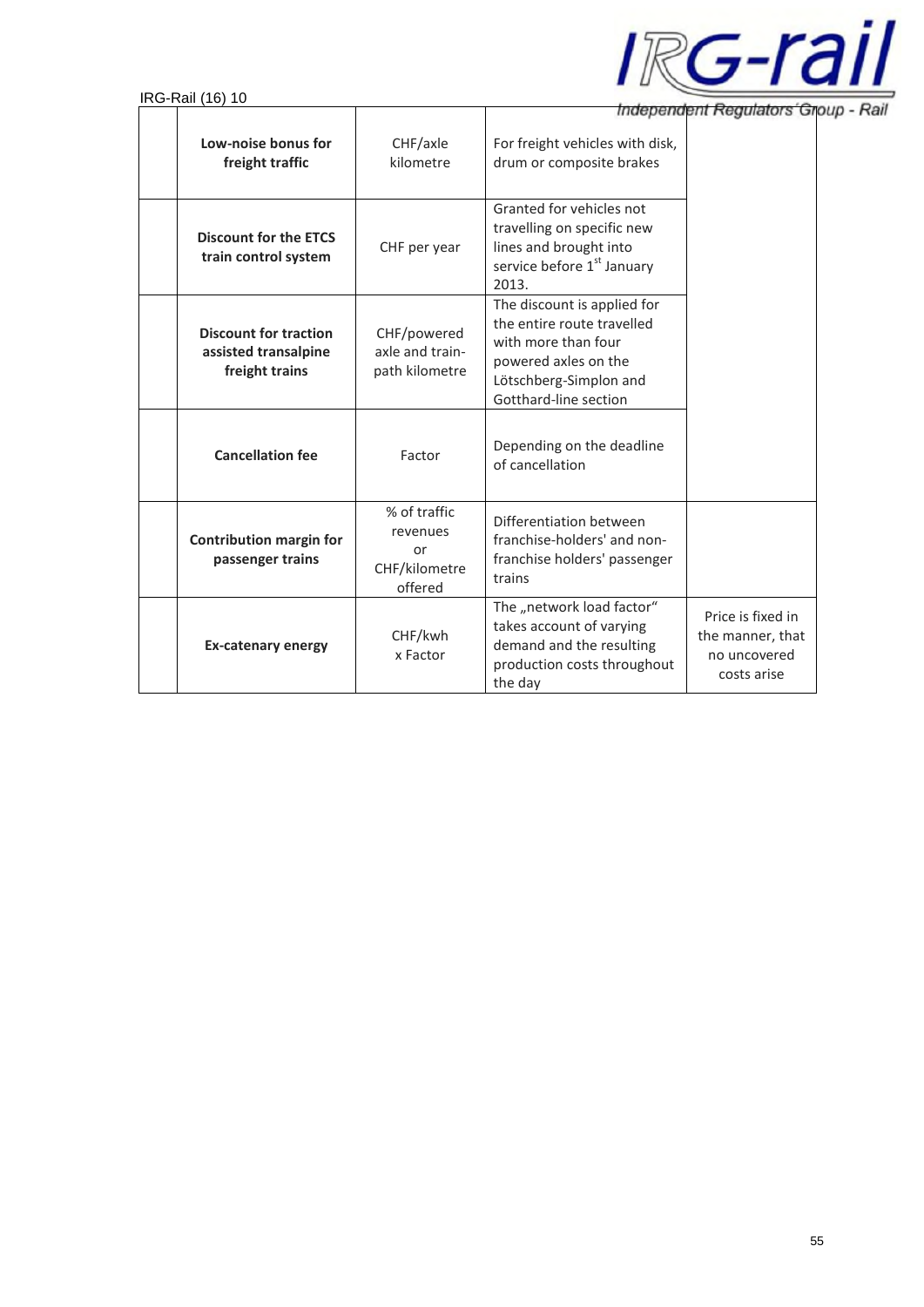

Independent Regulators Group - Rail

|                                                                        | Independent Regulators Gr                                  |                                                                                                                                                             |                                                                      |
|------------------------------------------------------------------------|------------------------------------------------------------|-------------------------------------------------------------------------------------------------------------------------------------------------------------|----------------------------------------------------------------------|
| Low-noise bonus for<br>freight traffic                                 | CHF/axle<br>kilometre                                      | For freight vehicles with disk,<br>drum or composite brakes                                                                                                 |                                                                      |
| <b>Discount for the ETCS</b><br>train control system                   | CHF per year                                               | Granted for vehicles not<br>travelling on specific new<br>lines and brought into<br>service before 1 <sup>st</sup> January<br>2013.                         |                                                                      |
| <b>Discount for traction</b><br>assisted transalpine<br>freight trains | CHF/powered<br>axle and train-<br>path kilometre           | The discount is applied for<br>the entire route travelled<br>with more than four<br>powered axles on the<br>Lötschberg-Simplon and<br>Gotthard-line section |                                                                      |
| <b>Cancellation fee</b>                                                | Factor                                                     | Depending on the deadline<br>of cancellation                                                                                                                |                                                                      |
| <b>Contribution margin for</b><br>passenger trains                     | % of traffic<br>revenues<br>or<br>CHF/kilometre<br>offered | Differentiation between<br>franchise-holders' and non-<br>franchise holders' passenger<br>trains                                                            |                                                                      |
| <b>Ex-catenary energy</b>                                              | CHF/kwh<br>x Factor                                        | The "network load factor"<br>takes account of varying<br>demand and the resulting<br>production costs throughout<br>the day                                 | Price is fixed in<br>the manner, that<br>no uncovered<br>costs arise |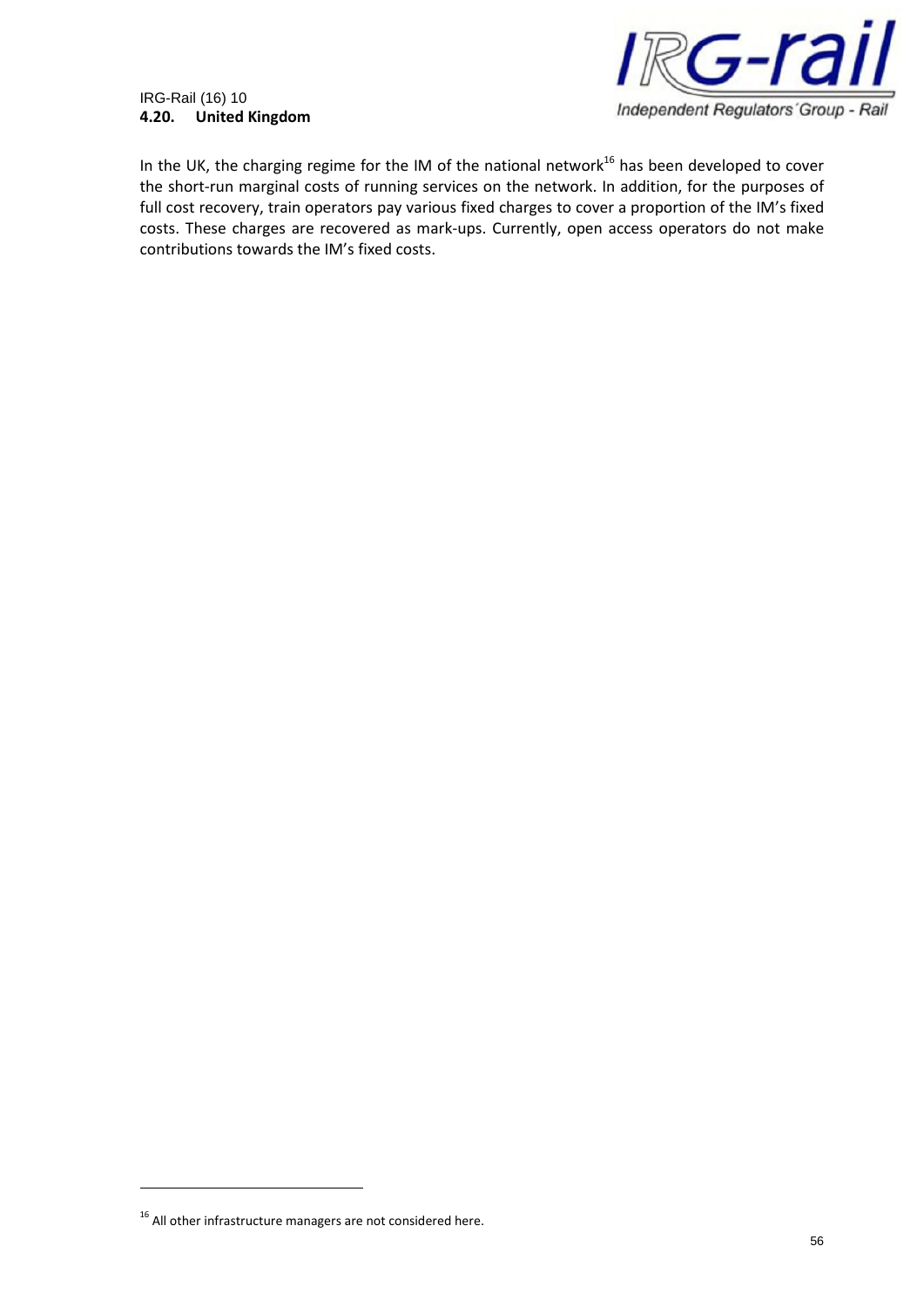## IRG-Rail (16) 10 **4.20. United Kingdom**



In the UK, the charging regime for the IM of the national network<sup>16</sup> has been developed to cover the short-run marginal costs of running services on the network. In addition, for the purposes of full cost recovery, train operators pay various fixed charges to cover a proportion of the IM's fixed costs. These charges are recovered as mark-ups. Currently, open access operators do not make contributions towards the IM's fixed costs.

 $16$  All other infrastructure managers are not considered here.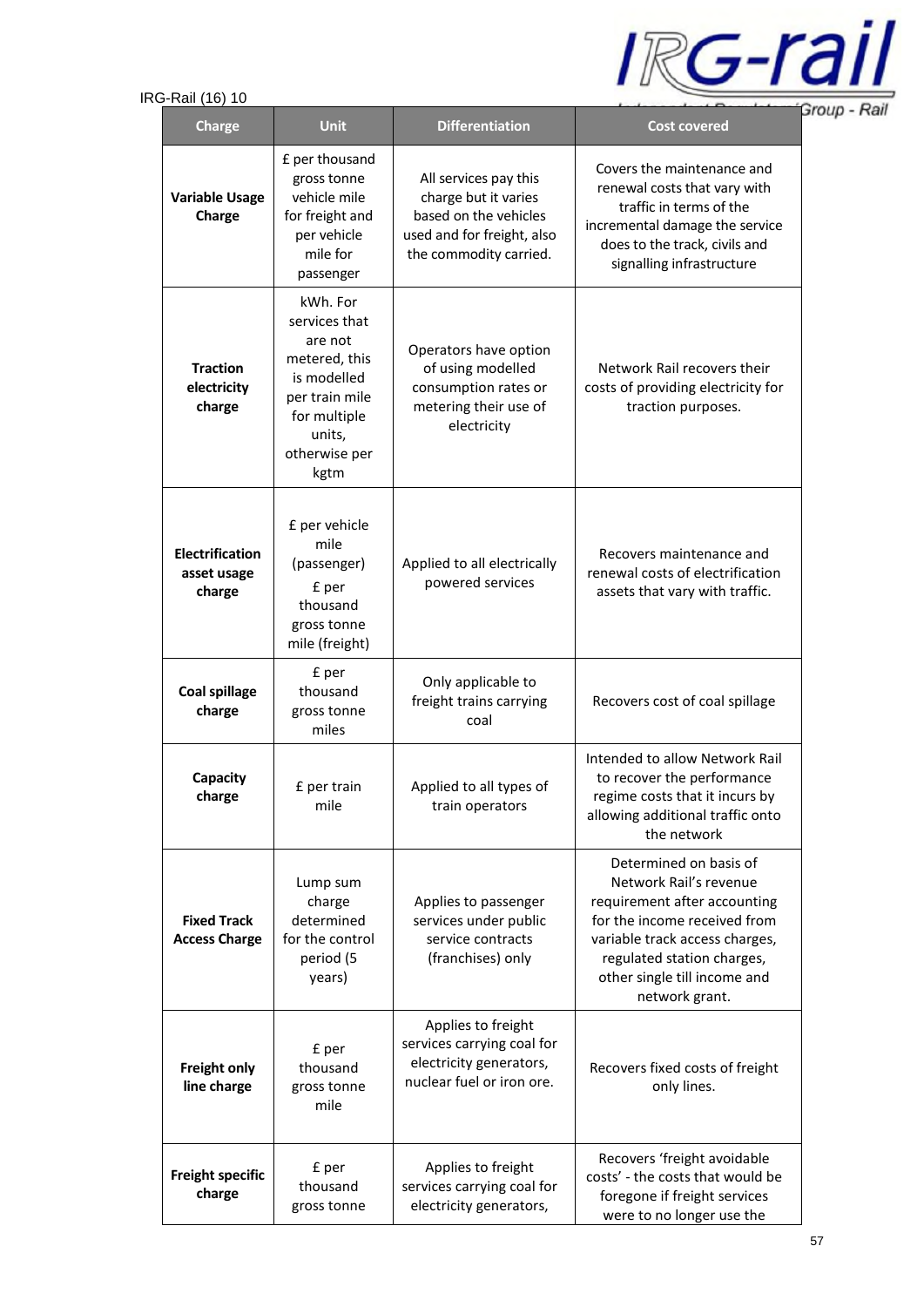

| טו (טו) ווש∖ו−ט                                 |                                                                                                                                           |                                                                                                                                | ΞI                                                                                                                                                                                                                                 |
|-------------------------------------------------|-------------------------------------------------------------------------------------------------------------------------------------------|--------------------------------------------------------------------------------------------------------------------------------|------------------------------------------------------------------------------------------------------------------------------------------------------------------------------------------------------------------------------------|
| <b>Charge</b>                                   | <b>Unit</b>                                                                                                                               | <b>Differentiation</b>                                                                                                         | <b>Cost covered</b>                                                                                                                                                                                                                |
| <b>Variable Usage</b><br>Charge                 | £ per thousand<br>gross tonne<br>vehicle mile<br>for freight and<br>per vehicle<br>mile for<br>passenger                                  | All services pay this<br>charge but it varies<br>based on the vehicles<br>used and for freight, also<br>the commodity carried. | Covers the maintenance and<br>renewal costs that vary with<br>traffic in terms of the<br>incremental damage the service<br>does to the track, civils and<br>signalling infrastructure                                              |
| <b>Traction</b><br>electricity<br>charge        | kWh. For<br>services that<br>are not<br>metered, this<br>is modelled<br>per train mile<br>for multiple<br>units,<br>otherwise per<br>kgtm | Operators have option<br>of using modelled<br>consumption rates or<br>metering their use of<br>electricity                     | Network Rail recovers their<br>costs of providing electricity for<br>traction purposes.                                                                                                                                            |
| <b>Electrification</b><br>asset usage<br>charge | £ per vehicle<br>mile<br>(passenger)<br>£ per<br>thousand<br>gross tonne<br>mile (freight)                                                | Applied to all electrically<br>powered services                                                                                | Recovers maintenance and<br>renewal costs of electrification<br>assets that vary with traffic.                                                                                                                                     |
| <b>Coal spillage</b><br>charge                  | £ per<br>thousand<br>gross tonne<br>miles                                                                                                 | Only applicable to<br>freight trains carrying<br>coal                                                                          | Recovers cost of coal spillage                                                                                                                                                                                                     |
| Capacity<br>charge                              | £ per train<br>mile                                                                                                                       | Applied to all types of<br>train operators                                                                                     | Intended to allow Network Rail<br>to recover the performance<br>regime costs that it incurs by<br>allowing additional traffic onto<br>the network                                                                                  |
| <b>Fixed Track</b><br><b>Access Charge</b>      | Lump sum<br>charge<br>determined<br>for the control<br>period (5<br>years)                                                                | Applies to passenger<br>services under public<br>service contracts<br>(franchises) only                                        | Determined on basis of<br>Network Rail's revenue<br>requirement after accounting<br>for the income received from<br>variable track access charges,<br>regulated station charges,<br>other single till income and<br>network grant. |
| <b>Freight only</b><br>line charge              | £ per<br>thousand<br>gross tonne<br>mile                                                                                                  | Applies to freight<br>services carrying coal for<br>electricity generators,<br>nuclear fuel or iron ore.                       | Recovers fixed costs of freight<br>only lines.                                                                                                                                                                                     |
| <b>Freight specific</b><br>charge               | £ per<br>thousand<br>gross tonne                                                                                                          | Applies to freight<br>services carrying coal for<br>electricity generators,                                                    | Recovers 'freight avoidable<br>costs' - the costs that would be<br>foregone if freight services<br>were to no longer use the                                                                                                       |